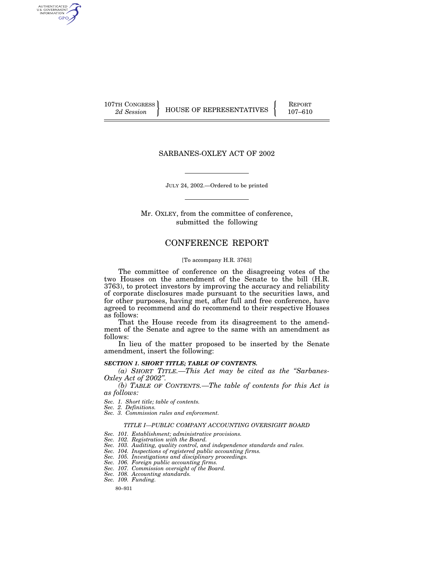107TH CONGRESS REPORT

AUTHENTICATED<br>U.S. GOVERNMENT<br>INFORMATION GPO

2d Session **HOUSE OF REPRESENTATIVES**  $\left\{\n\begin{array}{c}\n161 \text{ on } 107-610 \\
107-610\n\end{array}\n\right\}$ 

## SARBANES-OXLEY ACT OF 2002

JULY 24, 2002.—Ordered to be printed

Mr. OXLEY, from the committee of conference, submitted the following

## CONFERENCE REPORT

## [To accompany H.R. 3763]

The committee of conference on the disagreeing votes of the two Houses on the amendment of the Senate to the bill (H.R. 3763), to protect investors by improving the accuracy and reliability of corporate disclosures made pursuant to the securities laws, and for other purposes, having met, after full and free conference, have agreed to recommend and do recommend to their respective Houses as follows:

That the House recede from its disagreement to the amendment of the Senate and agree to the same with an amendment as follows:

In lieu of the matter proposed to be inserted by the Senate amendment, insert the following:

## *SECTION 1. SHORT TITLE; TABLE OF CONTENTS.*

*(a) SHORT TITLE.—This Act may be cited as the ''Sarbanes-Oxley Act of 2002''.* 

*(b) TABLE OF CONTENTS.—The table of contents for this Act is as follows:*

*Sec. 1. Short title; table of contents.* 

*Sec. 2. Definitions.* 

*Sec. 3. Commission rules and enforcement.* 

#### *TITLE I—PUBLIC COMPANY ACCOUNTING OVERSIGHT BOARD*

*Sec. 101. Establishment; administrative provisions.* 

*Sec. 102. Registration with the Board.* 

*Sec. 103. Auditing, quality control, and independence standards and rules.* 

*Sec. 104. Inspections of registered public accounting firms.* 

*Sec. 105. Investigations and disciplinary proceedings.* 

*Sec. 106. Foreign public accounting firms.* 

*Sec. 107. Commission oversight of the Board.* 

*Sec. 108. Accounting standards. Sec. 109. Funding.* 

80–931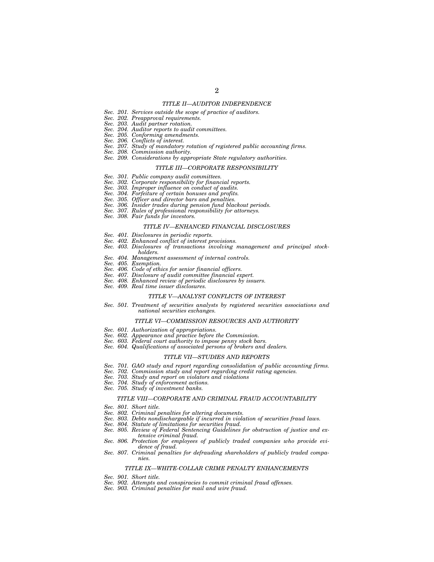### *TITLE II—AUDITOR INDEPENDENCE*

- *Sec. 201. Services outside the scope of practice of auditors.*
- *Sec. 202. Preapproval requirements.*
- *Sec. 203. Audit partner rotation.*
- *Sec. 204. Auditor reports to audit committees.*
- *Sec. 205. Conforming amendments. Sec. 206. Conflicts of interest.*
- *Sec. 207. Study of mandatory rotation of registered public accounting firms.*
- *Sec. 208. Commission authority.*
- *Sec. 209. Considerations by appropriate State regulatory authorities.*

#### *TITLE III—CORPORATE RESPONSIBILITY*

- *Sec. 301. Public company audit committees.*
- *Sec. 302. Corporate responsibility for financial reports.*
- *Sec. 303. Improper influence on conduct of audits.*
- *Sec. 304. Forfeiture of certain bonuses and profits.*
- *Sec. 305. Officer and director bars and penalties.*
- *Sec. 306. Insider trades during pension fund blackout periods.*
- *Sec. 307. Rules of professional responsibility for attorneys.*
- *Sec. 308. Fair funds for investors.*

#### *TITLE IV—ENHANCED FINANCIAL DISCLOSURES*

- *Sec. 401. Disclosures in periodic reports.*
- *Sec. 402. Enhanced conflict of interest provisions.*
- *Sec. 403. Disclosures of transactions involving management and principal stockholders.*
- *Sec. 404. Management assessment of internal controls.*
- *Sec. 405. Exemption.*
- *Sec. 406. Code of ethics for senior financial officers.*
- *Sec. 407. Disclosure of audit committee financial expert.*
- *Sec. 408. Enhanced review of periodic disclosures by issuers.*
- *Sec. 409. Real time issuer disclosures.*

#### *TITLE V—ANALYST CONFLICTS OF INTEREST*

*Sec. 501. Treatment of securities analysts by registered securities associations and national securities exchanges.* 

### *TITLE VI—COMMISSION RESOURCES AND AUTHORITY*

- *Sec. 601. Authorization of appropriations.*
- *Sec. 602. Appearance and practice before the Commission.*
- *Sec. 603. Federal court authority to impose penny stock bars.*
- *Sec. 604. Qualifications of associated persons of brokers and dealers.*

#### *TITLE VII—STUDIES AND REPORTS*

- *Sec. 701. GAO study and report regarding consolidation of public accounting firms.*
- *Sec. 702. Commission study and report regarding credit rating agencies.*
- *Sec. 703. Study and report on violators and violations*
- *Sec. 704. Study of enforcement actions.*
- *Sec. 705. Study of investment banks.*

#### *TITLE VIII—CORPORATE AND CRIMINAL FRAUD ACCOUNTABILITY*

- *Sec. 801. Short title.*
- *Sec. 802. Criminal penalties for altering documents.*
- *Sec. 803. Debts nondischargeable if incurred in violation of securities fraud laws.*
- *Sec. 804. Statute of limitations for securities fraud.*
- *Sec. 805. Review of Federal Sentencing Guidelines for obstruction of justice and extensive criminal fraud.*
- *Sec. 806. Protection for employees of publicly traded companies who provide evidence of fraud.*
- *Sec. 807. Criminal penalties for defrauding shareholders of publicly traded companies.*

#### *TITLE IX—WHITE-COLLAR CRIME PENALTY ENHANCEMENTS*

*Sec. 901. Short title.* 

- *Sec. 902. Attempts and conspiracies to commit criminal fraud offenses.*
- *Sec. 903. Criminal penalties for mail and wire fraud.*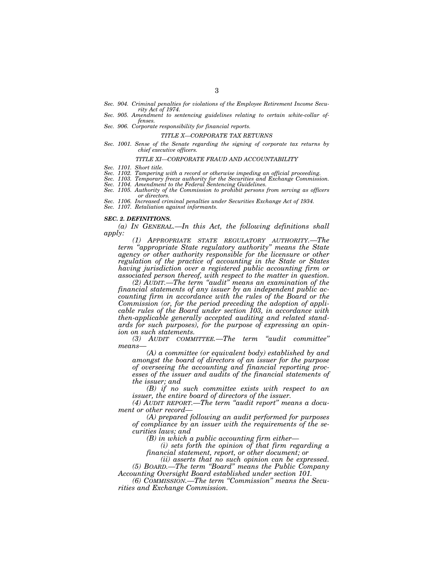- *Sec. 904. Criminal penalties for violations of the Employee Retirement Income Security Act of 1974.*
- *Sec. 905. Amendment to sentencing guidelines relating to certain white-collar offenses.*
- *Sec. 906. Corporate responsibility for financial reports.*

#### *TITLE X—CORPORATE TAX RETURNS*

*Sec. 1001. Sense of the Senate regarding the signing of corporate tax returns by chief executive officers.* 

## *TITLE XI—CORPORATE FRAUD AND ACCOUNTABILITY*

*Sec. 1101. Short title.* 

*Sec. 1102. Tampering with a record or otherwise impeding an official proceeding.* 

*Sec. 1103. Temporary freeze authority for the Securities and Exchange Commission. Sec. 1104. Amendment to the Federal Sentencing Guidelines.* 

*Sec. 1105. Authority of the Commission to prohibit persons from serving as officers or directors.* 

Sec. 1106. Increased criminal penalties under Securities Exchange Act of 1934.

*Sec. 1107. Retaliation against informants.*

#### *SEC. 2. DEFINITIONS.*

*(a) IN GENERAL.—In this Act, the following definitions shall apply:* 

*(1) APPROPRIATE STATE REGULATORY AUTHORITY.—The term ''appropriate State regulatory authority'' means the State agency or other authority responsible for the licensure or other regulation of the practice of accounting in the State or States having jurisdiction over a registered public accounting firm or associated person thereof, with respect to the matter in question.* 

*(2) AUDIT.—The term ''audit'' means an examination of the financial statements of any issuer by an independent public accounting firm in accordance with the rules of the Board or the Commission (or, for the period preceding the adoption of applicable rules of the Board under section 103, in accordance with then-applicable generally accepted auditing and related standards for such purposes), for the purpose of expressing an opinion on such statements.* 

*(3) AUDIT COMMITTEE.—The term ''audit committee'' means—*

*(A) a committee (or equivalent body) established by and amongst the board of directors of an issuer for the purpose of overseeing the accounting and financial reporting processes of the issuer and audits of the financial statements of the issuer; and* 

*(B) if no such committee exists with respect to an issuer, the entire board of directors of the issuer.* 

*(4) AUDIT REPORT.—The term ''audit report'' means a document or other record—*

*(A) prepared following an audit performed for purposes of compliance by an issuer with the requirements of the securities laws; and* 

*(B) in which a public accounting firm either—*

*(i) sets forth the opinion of that firm regarding a financial statement, report, or other document; or* 

*(ii) asserts that no such opinion can be expressed. (5) BOARD.—The term ''Board'' means the Public Company Accounting Oversight Board established under section 101.* 

*(6) COMMISSION.—The term ''Commission'' means the Securities and Exchange Commission.*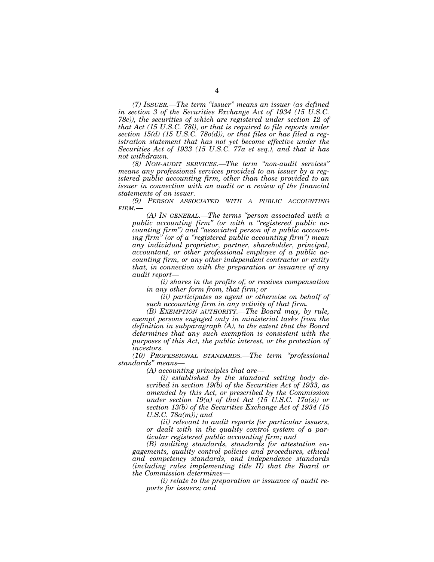*(7) ISSUER.—The term ''issuer'' means an issuer (as defined in section 3 of the Securities Exchange Act of 1934 (15 U.S.C. 78c)), the securities of which are registered under section 12 of that Act (15 U.S.C. 78l), or that is required to file reports under section 15(d) (15 U.S.C. 78o(d)), or that files or has filed a registration statement that has not yet become effective under the Securities Act of 1933 (15 U.S.C. 77a et seq.), and that it has not withdrawn.* 

*(8) NON-AUDIT SERVICES.—The term ''non-audit services'' means any professional services provided to an issuer by a registered public accounting firm, other than those provided to an issuer in connection with an audit or a review of the financial statements of an issuer.* 

*(9) PERSON ASSOCIATED WITH A PUBLIC ACCOUNTING FIRM.—*

*(A) IN GENERAL.—The terms ''person associated with a public accounting firm'' (or with a ''registered public accounting firm'') and ''associated person of a public accounting firm'' (or of a ''registered public accounting firm'') mean any individual proprietor, partner, shareholder, principal, accountant, or other professional employee of a public accounting firm, or any other independent contractor or entity that, in connection with the preparation or issuance of any audit report—*

*(i) shares in the profits of, or receives compensation in any other form from, that firm; or* 

*(ii) participates as agent or otherwise on behalf of such accounting firm in any activity of that firm.* 

*(B) EXEMPTION AUTHORITY.—The Board may, by rule, exempt persons engaged only in ministerial tasks from the definition in subparagraph (A), to the extent that the Board determines that any such exemption is consistent with the purposes of this Act, the public interest, or the protection of investors.* 

*(10) PROFESSIONAL STANDARDS.—The term ''professional standards'' means—*

*(A) accounting principles that are—*

*(i) established by the standard setting body described in section 19(b) of the Securities Act of 1933, as amended by this Act, or prescribed by the Commission under section 19(a) of that Act (15 U.S.C. 17a(s)) or section 13(b) of the Securities Exchange Act of 1934 (15 U.S.C. 78a(m)); and* 

*(ii) relevant to audit reports for particular issuers, or dealt with in the quality control system of a particular registered public accounting firm; and* 

*(B) auditing standards, standards for attestation engagements, quality control policies and procedures, ethical and competency standards, and independence standards (including rules implementing title II) that the Board or the Commission determines—*

*(i) relate to the preparation or issuance of audit reports for issuers; and*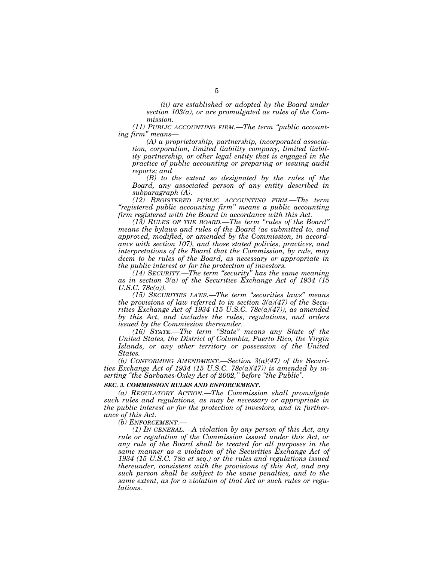*(ii) are established or adopted by the Board under section 103(a), or are promulgated as rules of the Commission.* 

*(11) PUBLIC ACCOUNTING FIRM.—The term ''public accounting firm'' means—*

*(A) a proprietorship, partnership, incorporated association, corporation, limited liability company, limited liability partnership, or other legal entity that is engaged in the practice of public accounting or preparing or issuing audit reports; and* 

*(B) to the extent so designated by the rules of the Board, any associated person of any entity described in subparagraph (A).* 

*(12) REGISTERED PUBLIC ACCOUNTING FIRM.—The term ''registered public accounting firm'' means a public accounting firm registered with the Board in accordance with this Act.* 

*(13) RULES OF THE BOARD.—The term ''rules of the Board'' means the bylaws and rules of the Board (as submitted to, and approved, modified, or amended by the Commission, in accordance with section 107), and those stated policies, practices, and interpretations of the Board that the Commission, by rule, may deem to be rules of the Board, as necessary or appropriate in the public interest or for the protection of investors.* 

*(14) SECURITY.—The term ''security'' has the same meaning as in section 3(a) of the Securities Exchange Act of 1934 (15 U.S.C. 78c(a)).* 

*(15) SECURITIES LAWS.—The term ''securities laws'' means the provisions of law referred to in section 3(a)(47) of the Securities Exchange Act of 1934 (15 U.S.C. 78c(a)(47)), as amended by this Act, and includes the rules, regulations, and orders issued by the Commission thereunder.* 

*(16) STATE.—The term ''State'' means any State of the United States, the District of Columbia, Puerto Rico, the Virgin Islands, or any other territory or possession of the United States.* 

*(b) CONFORMING AMENDMENT.—Section 3(a)(47) of the Securities Exchange Act of 1934 (15 U.S.C. 78c(a)(47)) is amended by inserting ''the Sarbanes-Oxley Act of 2002,'' before ''the Public''.* 

## *SEC. 3. COMMISSION RULES AND ENFORCEMENT.*

*(a) REGULATORY ACTION.—The Commission shall promulgate such rules and regulations, as may be necessary or appropriate in the public interest or for the protection of investors, and in furtherance of this Act.* 

*(b) ENFORCEMENT.—*

*(1) IN GENERAL.—A violation by any person of this Act, any rule or regulation of the Commission issued under this Act, or any rule of the Board shall be treated for all purposes in the same manner as a violation of the Securities Exchange Act of 1934 (15 U.S.C. 78a et seq.) or the rules and regulations issued thereunder, consistent with the provisions of this Act, and any such person shall be subject to the same penalties, and to the same extent, as for a violation of that Act or such rules or regulations.*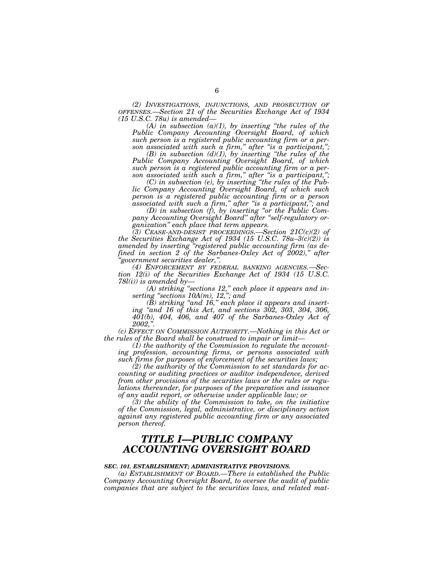*(2) INVESTIGATIONS, INJUNCTIONS, AND PROSECUTION OF OFFENSES.—Section 21 of the Securities Exchange Act of 1934* 

 $(A)$  in subsection  $(a)(1)$ , by inserting "the rules of the *Public Company Accounting Oversight Board, of which such person is a registered public accounting firm or a person associated with such a firm,'' after ''is a participant,'';* 

*(B) in subsection (d)(1), by inserting ''the rules of the Public Company Accounting Oversight Board, of which such person is a registered public accounting firm or a person associated with such a firm,'' after ''is a participant,'';* 

*(C) in subsection (e), by inserting ''the rules of the Public Company Accounting Oversight Board, of which such person is a registered public accounting firm or a person associated with such a firm,'' after ''is a participant,''; and* 

*(D) in subsection (f), by inserting ''or the Public Company Accounting Oversight Board'' after ''self-regulatory organization'' each place that term appears.* 

*(3) CEASE-AND-DESIST PROCEEDINGS.—Section 21C(c)(2) of the Securities Exchange Act of 1934 (15 U.S.C. 78u–3(c)(2)) is amended by inserting ''registered public accounting firm (as defined in section 2 of the Sarbanes-Oxley Act of 2002),'' after ''government securities dealer,''.* 

*(4) ENFORCEMENT BY FEDERAL BANKING AGENCIES.—Section 12(i) of the Securities Exchange Act of 1934 (15 U.S.C. 78l(i)) is amended by—*

*(A) striking ''sections 12,'' each place it appears and inserting ''sections 10A(m), 12,''; and* 

*(B) striking ''and 16,'' each place it appears and inserting ''and 16 of this Act, and sections 302, 303, 304, 306, 401(b), 404, 406, and 407 of the Sarbanes-Oxley Act of 2002,''.*

*(c) EFFECT ON COMMISSION AUTHORITY.—Nothing in this Act or the rules of the Board shall be construed to impair or limit—*

*(1) the authority of the Commission to regulate the accounting profession, accounting firms, or persons associated with such firms for purposes of enforcement of the securities laws;* 

*(2) the authority of the Commission to set standards for accounting or auditing practices or auditor independence, derived from other provisions of the securities laws or the rules or regulations thereunder, for purposes of the preparation and issuance of any audit report, or otherwise under applicable law; or* 

*(3) the ability of the Commission to take, on the initiative of the Commission, legal, administrative, or disciplinary action against any registered public accounting firm or any associated person thereof.* 

## *TITLE I—PUBLIC COMPANY ACCOUNTING OVERSIGHT BOARD*

#### *SEC. 101. ESTABLISHMENT; ADMINISTRATIVE PROVISIONS.*

*(a) ESTABLISHMENT OF BOARD.—There is established the Public Company Accounting Oversight Board, to oversee the audit of public companies that are subject to the securities laws, and related mat-*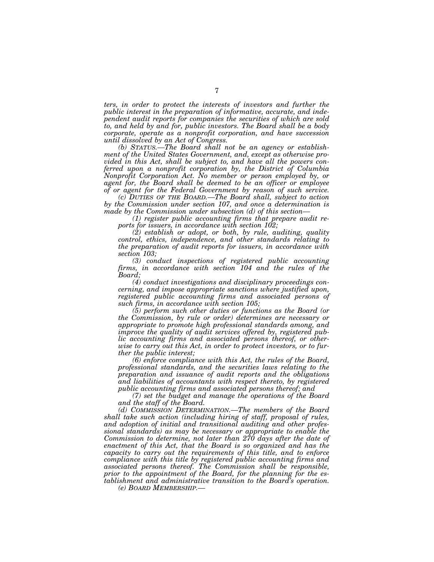*ters, in order to protect the interests of investors and further the public interest in the preparation of informative, accurate, and independent audit reports for companies the securities of which are sold to, and held by and for, public investors. The Board shall be a body corporate, operate as a nonprofit corporation, and have succession until dissolved by an Act of Congress.* 

*(b) STATUS.—The Board shall not be an agency or establishment of the United States Government, and, except as otherwise provided in this Act, shall be subject to, and have all the powers conferred upon a nonprofit corporation by, the District of Columbia Nonprofit Corporation Act. No member or person employed by, or agent for, the Board shall be deemed to be an officer or employee of or agent for the Federal Government by reason of such service.* 

*(c) DUTIES OF THE BOARD.—The Board shall, subject to action by the Commission under section 107, and once a determination is made by the Commission under subsection (d) of this section— (1) register public accounting firms that prepare audit re-*

*ports for issuers, in accordance with section 102;* 

*(2) establish or adopt, or both, by rule, auditing, quality control, ethics, independence, and other standards relating to the preparation of audit reports for issuers, in accordance with section 103;* 

*(3) conduct inspections of registered public accounting firms, in accordance with section 104 and the rules of the Board;* 

*(4) conduct investigations and disciplinary proceedings concerning, and impose appropriate sanctions where justified upon, registered public accounting firms and associated persons of such firms, in accordance with section 105;* 

*(5) perform such other duties or functions as the Board (or the Commission, by rule or order) determines are necessary or appropriate to promote high professional standards among, and improve the quality of audit services offered by, registered public accounting firms and associated persons thereof, or otherwise to carry out this Act, in order to protect investors, or to further the public interest;* 

*(6) enforce compliance with this Act, the rules of the Board, professional standards, and the securities laws relating to the preparation and issuance of audit reports and the obligations and liabilities of accountants with respect thereto, by registered public accounting firms and associated persons thereof; and* 

*(7) set the budget and manage the operations of the Board and the staff of the Board.* 

*(d) COMMISSION DETERMINATION.—The members of the Board shall take such action (including hiring of staff, proposal of rules, and adoption of initial and transitional auditing and other professional standards) as may be necessary or appropriate to enable the Commission to determine, not later than 270 days after the date of enactment of this Act, that the Board is so organized and has the capacity to carry out the requirements of this title, and to enforce compliance with this title by registered public accounting firms and associated persons thereof. The Commission shall be responsible, prior to the appointment of the Board, for the planning for the establishment and administrative transition to the Board's operation.* 

*(e) BOARD MEMBERSHIP.—*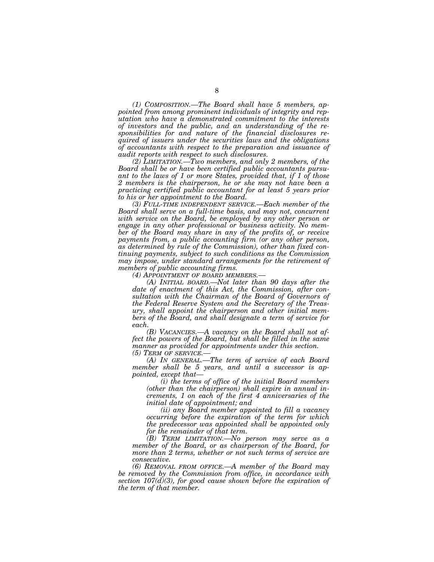*(1) COMPOSITION.—The Board shall have 5 members, appointed from among prominent individuals of integrity and reputation who have a demonstrated commitment to the interests of investors and the public, and an understanding of the responsibilities for and nature of the financial disclosures required of issuers under the securities laws and the obligations of accountants with respect to the preparation and issuance of audit reports with respect to such disclosures.* 

*(2) LIMITATION.—Two members, and only 2 members, of the Board shall be or have been certified public accountants pursuant to the laws of 1 or more States, provided that, if 1 of those 2 members is the chairperson, he or she may not have been a practicing certified public accountant for at least 5 years prior to his or her appointment to the Board.* 

*(3) FULL-TIME INDEPENDENT SERVICE.—Each member of the Board shall serve on a full-time basis, and may not, concurrent with service on the Board, be employed by any other person or engage in any other professional or business activity. No member of the Board may share in any of the profits of, or receive payments from, a public accounting firm (or any other person, as determined by rule of the Commission), other than fixed continuing payments, subject to such conditions as the Commission may impose, under standard arrangements for the retirement of members of public accounting firms.* 

*(4) APPOINTMENT OF BOARD MEMBERS.— (A) INITIAL BOARD.—Not later than 90 days after the date of enactment of this Act, the Commission, after consultation with the Chairman of the Board of Governors of the Federal Reserve System and the Secretary of the Treasury, shall appoint the chairperson and other initial members of the Board, and shall designate a term of service for each.* 

*(B) VACANCIES.—A vacancy on the Board shall not affect the powers of the Board, but shall be filled in the same manner as provided for appointments under this section.* 

*(5) TERM OF SERVICE.— (A) IN GENERAL.—The term of service of each Board member shall be 5 years, and until a successor is ap-*

*pointed, except that— (i) the terms of office of the initial Board members (other than the chairperson) shall expire in annual increments, 1 on each of the first 4 anniversaries of the initial date of appointment; and* 

*(ii) any Board member appointed to fill a vacancy occurring before the expiration of the term for which the predecessor was appointed shall be appointed only for the remainder of that term.* 

*(B) TERM LIMITATION.—No person may serve as a member of the Board, or as chairperson of the Board, for more than 2 terms, whether or not such terms of service are consecutive.* 

*(6) REMOVAL FROM OFFICE.—A member of the Board may be removed by the Commission from office, in accordance with section 107(d)(3), for good cause shown before the expiration of the term of that member.*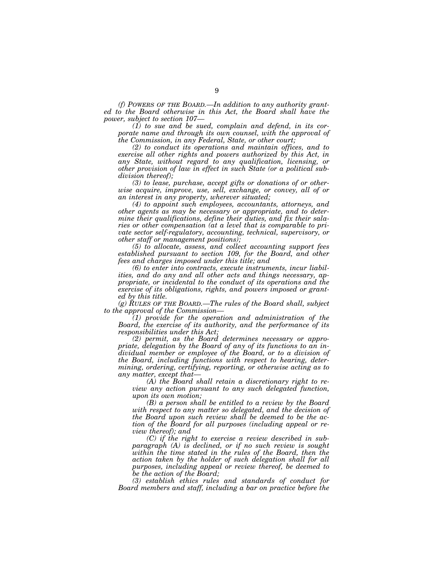*(f) POWERS OF THE BOARD.—In addition to any authority granted to the Board otherwise in this Act, the Board shall have the power, subject to section 107—* 

 $\tilde{f}(t)$  to sue and be sued, complain and defend, in its cor*porate name and through its own counsel, with the approval of the Commission, in any Federal, State, or other court;* 

*(2) to conduct its operations and maintain offices, and to exercise all other rights and powers authorized by this Act, in any State, without regard to any qualification, licensing, or other provision of law in effect in such State (or a political subdivision thereof);* 

*(3) to lease, purchase, accept gifts or donations of or otherwise acquire, improve, use, sell, exchange, or convey, all of or an interest in any property, wherever situated;* 

*(4) to appoint such employees, accountants, attorneys, and other agents as may be necessary or appropriate, and to determine their qualifications, define their duties, and fix their salaries or other compensation (at a level that is comparable to private sector self-regulatory, accounting, technical, supervisory, or other staff or management positions);* 

*(5) to allocate, assess, and collect accounting support fees established pursuant to section 109, for the Board, and other fees and charges imposed under this title; and* 

*(6) to enter into contracts, execute instruments, incur liabilities, and do any and all other acts and things necessary, appropriate, or incidental to the conduct of its operations and the exercise of its obligations, rights, and powers imposed or granted by this title.* 

*(g) RULES OF THE BOARD.—The rules of the Board shall, subject* 

*(1) provide for the operation and administration of the Board, the exercise of its authority, and the performance of its responsibilities under this Act;* 

*(2) permit, as the Board determines necessary or appropriate, delegation by the Board of any of its functions to an individual member or employee of the Board, or to a division of the Board, including functions with respect to hearing, determining, ordering, certifying, reporting, or otherwise acting as to any matter, except that—*

*(A) the Board shall retain a discretionary right to review any action pursuant to any such delegated function, upon its own motion;* 

*(B) a person shall be entitled to a review by the Board with respect to any matter so delegated, and the decision of the Board upon such review shall be deemed to be the action of the Board for all purposes (including appeal or review thereof); and* 

*(C) if the right to exercise a review described in subparagraph (A) is declined, or if no such review is sought within the time stated in the rules of the Board, then the action taken by the holder of such delegation shall for all purposes, including appeal or review thereof, be deemed to be the action of the Board;* 

*(3) establish ethics rules and standards of conduct for Board members and staff, including a bar on practice before the*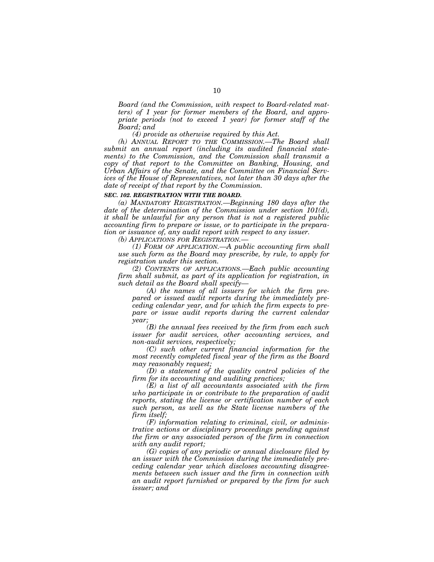*Board (and the Commission, with respect to Board-related matters) of 1 year for former members of the Board, and appropriate periods (not to exceed 1 year) for former staff of the Board; and* 

*(4) provide as otherwise required by this Act.* 

*(h) ANNUAL REPORT TO THE COMMISSION.—The Board shall submit an annual report (including its audited financial statements) to the Commission, and the Commission shall transmit a copy of that report to the Committee on Banking, Housing, and Urban Affairs of the Senate, and the Committee on Financial Services of the House of Representatives, not later than 30 days after the date of receipt of that report by the Commission.* 

## *SEC. 102. REGISTRATION WITH THE BOARD.*

*(a) MANDATORY REGISTRATION.—Beginning 180 days after the date of the determination of the Commission under section 101(d), it shall be unlawful for any person that is not a registered public accounting firm to prepare or issue, or to participate in the preparation or issuance of, any audit report with respect to any issuer.* 

*(b) APPLICATIONS FOR REGISTRATION.—*

*(1) FORM OF APPLICATION.—A public accounting firm shall use such form as the Board may prescribe, by rule, to apply for registration under this section.* 

*(2) CONTENTS OF APPLICATIONS.—Each public accounting firm shall submit, as part of its application for registration, in such detail as the Board shall specify—*

*(A) the names of all issuers for which the firm prepared or issued audit reports during the immediately preceding calendar year, and for which the firm expects to prepare or issue audit reports during the current calendar year;* 

*(B) the annual fees received by the firm from each such issuer for audit services, other accounting services, and non-audit services, respectively;* 

*(C) such other current financial information for the most recently completed fiscal year of the firm as the Board may reasonably request;* 

*(D) a statement of the quality control policies of the firm for its accounting and auditing practices;* 

*(E) a list of all accountants associated with the firm who participate in or contribute to the preparation of audit reports, stating the license or certification number of each such person, as well as the State license numbers of the firm itself;* 

*(F) information relating to criminal, civil, or administrative actions or disciplinary proceedings pending against the firm or any associated person of the firm in connection with any audit report;* 

*(G) copies of any periodic or annual disclosure filed by an issuer with the Commission during the immediately preceding calendar year which discloses accounting disagreements between such issuer and the firm in connection with an audit report furnished or prepared by the firm for such issuer; and*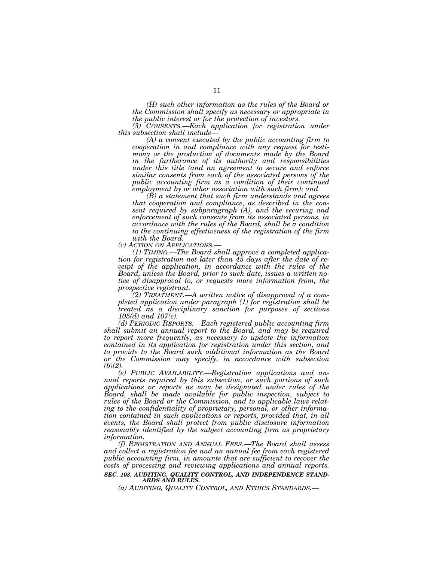*(H) such other information as the rules of the Board or the Commission shall specify as necessary or appropriate in the public interest or for the protection of investors.* 

*(3) CONSENTS.—Each application for registration under this subsection shall include— (A) a consent executed by the public accounting firm to* 

*cooperation in and compliance with any request for testimony or the production of documents made by the Board in the furtherance of its authority and responsibilities under this title (and an agreement to secure and enforce similar consents from each of the associated persons of the public accounting firm as a condition of their continued employment by or other association with such firm); and* 

*(B) a statement that such firm understands and agrees that cooperation and compliance, as described in the consent required by subparagraph (A), and the securing and enforcement of such consents from its associated persons, in accordance with the rules of the Board, shall be a condition to the continuing effectiveness of the registration of the firm with the Board.* 

*(c) ACTION ON APPLICATIONS.—*

*(1) TIMING.—The Board shall approve a completed application for registration not later than 45 days after the date of receipt of the application, in accordance with the rules of the Board, unless the Board, prior to such date, issues a written notice of disapproval to, or requests more information from, the prospective registrant.* 

*(2) TREATMENT.—A written notice of disapproval of a completed application under paragraph (1) for registration shall be treated as a disciplinary sanction for purposes of sections 105(d) and 107(c).* 

*(d) PERIODIC REPORTS.—Each registered public accounting firm shall submit an annual report to the Board, and may be required to report more frequently, as necessary to update the information contained in its application for registration under this section, and to provide to the Board such additional information as the Board or the Commission may specify, in accordance with subsection (b)(2).* 

*(e) PUBLIC AVAILABILITY.—Registration applications and annual reports required by this subsection, or such portions of such applications or reports as may be designated under rules of the Board, shall be made available for public inspection, subject to rules of the Board or the Commission, and to applicable laws relating to the confidentiality of proprietary, personal, or other information contained in such applications or reports, provided that, in all events, the Board shall protect from public disclosure information reasonably identified by the subject accounting firm as proprietary information.* 

*(f) REGISTRATION AND ANNUAL FEES.—The Board shall assess and collect a registration fee and an annual fee from each registered public accounting firm, in amounts that are sufficient to recover the costs of processing and reviewing applications and annual reports.* 

## *SEC. 103. AUDITING, QUALITY CONTROL, AND INDEPENDENCE STAND-ARDS AND RULES.*

*(a) AUDITING, QUALITY CONTROL, AND ETHICS STANDARDS.—*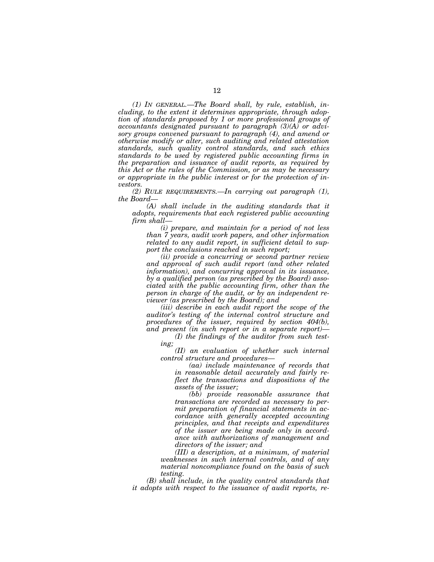*(1) IN GENERAL.—The Board shall, by rule, establish, including, to the extent it determines appropriate, through adoption of standards proposed by 1 or more professional groups of accountants designated pursuant to paragraph (3)(A) or advisory groups convened pursuant to paragraph (4), and amend or otherwise modify or alter, such auditing and related attestation standards, such quality control standards, and such ethics standards to be used by registered public accounting firms in the preparation and issuance of audit reports, as required by this Act or the rules of the Commission, or as may be necessary or appropriate in the public interest or for the protection of investors.* 

*(2) RULE REQUIREMENTS.—In carrying out paragraph (1), the Board—*

*(A) shall include in the auditing standards that it adopts, requirements that each registered public accounting firm shall—*

*(i) prepare, and maintain for a period of not less than 7 years, audit work papers, and other information related to any audit report, in sufficient detail to support the conclusions reached in such report;* 

*(ii) provide a concurring or second partner review and approval of such audit report (and other related information), and concurring approval in its issuance, by a qualified person (as prescribed by the Board) associated with the public accounting firm, other than the person in charge of the audit, or by an independent reviewer (as prescribed by the Board); and* 

*(iii) describe in each audit report the scope of the auditor's testing of the internal control structure and procedures of the issuer, required by section 404(b), and present (in such report or in a separate report)—*

*(I) the findings of the auditor from such testing;* 

*(II) an evaluation of whether such internal control structure and procedures—*

*(aa) include maintenance of records that in reasonable detail accurately and fairly reflect the transactions and dispositions of the assets of the issuer;* 

*(bb) provide reasonable assurance that transactions are recorded as necessary to permit preparation of financial statements in accordance with generally accepted accounting principles, and that receipts and expenditures of the issuer are being made only in accordance with authorizations of management and directors of the issuer; and* 

*(III) a description, at a minimum, of material weaknesses in such internal controls, and of any material noncompliance found on the basis of such testing.* 

*(B) shall include, in the quality control standards that it adopts with respect to the issuance of audit reports, re-*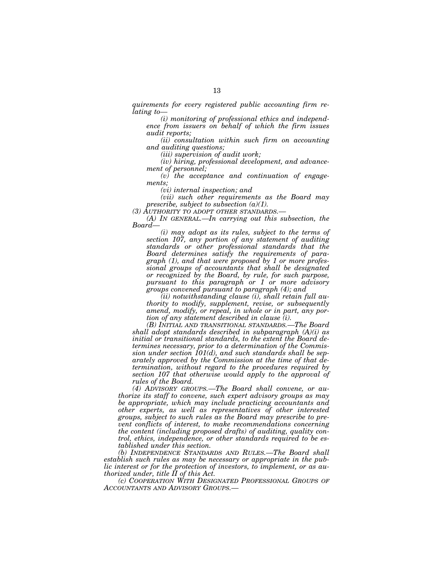*quirements for every registered public accounting firm relating to—*

*(i) monitoring of professional ethics and independence from issuers on behalf of which the firm issues audit reports;* 

*(ii) consultation within such firm on accounting and auditing questions;* 

*(iii) supervision of audit work;* 

*(iv) hiring, professional development, and advancement of personnel;* 

*(v) the acceptance and continuation of engagements;* 

*(vi) internal inspection; and* 

*(vii) such other requirements as the Board may prescribe, subject to subsection (a)(1).*<br>(3) AUTHORITY TO ADOPT OTHER STANDARDS.—

*(A) In GENERAL.—In carrying out this subsection, the Board—* 

*Board—(i) may adopt as its rules, subject to the terms of section 107, any portion of any statement of auditing standards or other professional standards that the Board determines satisfy the requirements of paragraph (1), and that were proposed by 1 or more professional groups of accountants that shall be designated or recognized by the Board, by rule, for such purpose, pursuant to this paragraph or 1 or more advisory groups convened pursuant to paragraph (4); and* 

*(ii) notwithstanding clause (i), shall retain full authority to modify, supplement, revise, or subsequently amend, modify, or repeal, in whole or in part, any portion of any statement described in clause (i).* 

*(B) INITIAL AND TRANSITIONAL STANDARDS.—The Board shall adopt standards described in subparagraph (A)(i) as initial or transitional standards, to the extent the Board determines necessary, prior to a determination of the Commission under section 101(d), and such standards shall be separately approved by the Commission at the time of that determination, without regard to the procedures required by section 107 that otherwise would apply to the approval of rules of the Board.* 

*(4) ADVISORY GROUPS.—The Board shall convene, or authorize its staff to convene, such expert advisory groups as may be appropriate, which may include practicing accountants and other experts, as well as representatives of other interested groups, subject to such rules as the Board may prescribe to prevent conflicts of interest, to make recommendations concerning the content (including proposed drafts) of auditing, quality control, ethics, independence, or other standards required to be established under this section.* 

*(b) INDEPENDENCE STANDARDS AND RULES.—The Board shall establish such rules as may be necessary or appropriate in the public interest or for the protection of investors, to implement, or as authorized under, title II of this Act.* 

*(c) COOPERATION WITH DESIGNATED PROFESSIONAL GROUPS OF ACCOUNTANTS AND ADVISORY GROUPS.—*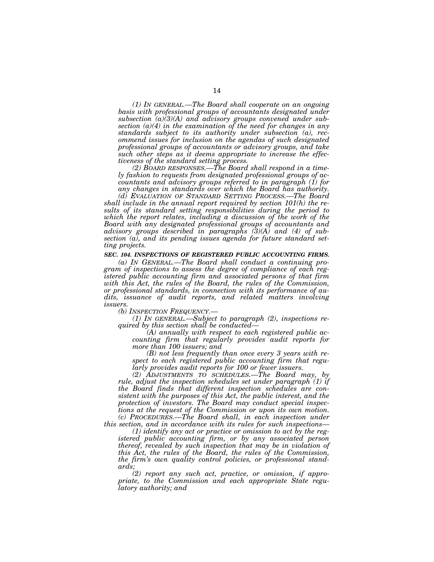*(1) IN GENERAL.—The Board shall cooperate on an ongoing basis with professional groups of accountants designated under subsection (a)(3)(A) and advisory groups convened under subsection (a)(4) in the examination of the need for changes in any standards subject to its authority under subsection (a), recommend issues for inclusion on the agendas of such designated professional groups of accountants or advisory groups, and take such other steps as it deems appropriate to increase the effectiveness of the standard setting process.* 

*(2) BOARD RESPONSES.—The Board shall respond in a timely fashion to requests from designated professional groups of accountants and advisory groups referred to in paragraph (1) for any changes in standards over which the Board has authority.* 

*(d) EVALUATION OF STANDARD SETTING PROCESS.—The Board shall include in the annual report required by section 101(h) the results of its standard setting responsibilities during the period to*  which the report relates, including a discussion of the work of the *Board with any designated professional groups of accountants and advisory groups described in paragraphs (3)(A) and (4) of subsection (a), and its pending issues agenda for future standard setting projects.* 

#### *SEC. 104. INSPECTIONS OF REGISTERED PUBLIC ACCOUNTING FIRMS.*

*(a) IN GENERAL.—The Board shall conduct a continuing program of inspections to assess the degree of compliance of each registered public accounting firm and associated persons of that firm with this Act, the rules of the Board, the rules of the Commission, or professional standards, in connection with its performance of audits, issuance of audit reports, and related matters involving issuers.*<br>(b) INSPECTION FREQUENCY.—

*(1) IN GENERAL.—Subject to paragraph (2), inspections required by this section shall be conducted—* 

*(A) annually with respect to each registered public accounting firm that regularly provides audit reports for more than 100 issuers; and* 

*(B) not less frequently than once every 3 years with respect to each registered public accounting firm that regularly provides audit reports for 100 or fewer issuers.* 

*(2) ADJUSTMENTS TO SCHEDULES.—The Board may, by rule, adjust the inspection schedules set under paragraph (1) if the Board finds that different inspection schedules are consistent with the purposes of this Act, the public interest, and the protection of investors. The Board may conduct special inspections at the request of the Commission or upon its own motion. (c) PROCEDURES.—The Board shall, in each inspection under* 

*this section, and in accordance with its rules for such inspections—*

*(1) identify any act or practice or omission to act by the registered public accounting firm, or by any associated person thereof, revealed by such inspection that may be in violation of this Act, the rules of the Board, the rules of the Commission, the firm's own quality control policies, or professional standards;* 

*(2) report any such act, practice, or omission, if appropriate, to the Commission and each appropriate State regulatory authority; and*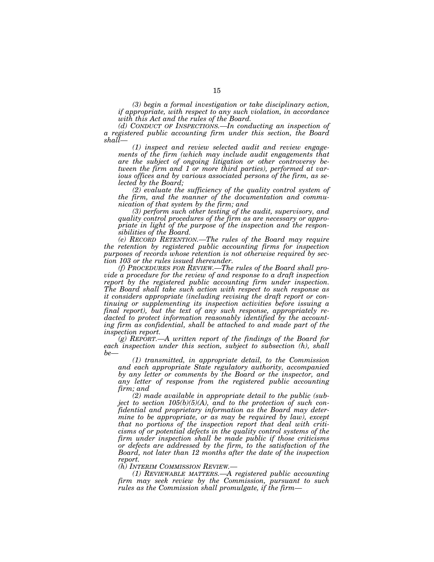*(3) begin a formal investigation or take disciplinary action, if appropriate, with respect to any such violation, in accordance with this Act and the rules of the Board.* 

*(d) CONDUCT OF INSPECTIONS.—In conducting an inspection of a registered public accounting firm under this section, the Board* 

*shall— (1) inspect and review selected audit and review engagements of the firm (which may include audit engagements that are the subject of ongoing litigation or other controversy between the firm and 1 or more third parties), performed at various offices and by various associated persons of the firm, as selected by the Board;* 

*(2) evaluate the sufficiency of the quality control system of the firm, and the manner of the documentation and communication of that system by the firm; and* 

*(3) perform such other testing of the audit, supervisory, and quality control procedures of the firm as are necessary or appropriate in light of the purpose of the inspection and the responsibilities of the Board.* 

*(e) RECORD RETENTION.—The rules of the Board may require the retention by registered public accounting firms for inspection purposes of records whose retention is not otherwise required by section 103 or the rules issued thereunder.* 

*(f) PROCEDURES FOR REVIEW.—The rules of the Board shall provide a procedure for the review of and response to a draft inspection report by the registered public accounting firm under inspection. The Board shall take such action with respect to such response as it considers appropriate (including revising the draft report or continuing or supplementing its inspection activities before issuing a final report), but the text of any such response, appropriately re*dacted to protect information reasonably identified by the accounting firm as confidential, shall be attached to and made part of the *inspection report.* 

*(g) REPORT.—A written report of the findings of the Board for each inspection under this section, subject to subsection (h), shall be—*

*(1) transmitted, in appropriate detail, to the Commission and each appropriate State regulatory authority, accompanied by any letter or comments by the Board or the inspector, and any letter of response from the registered public accounting firm; and* 

*(2) made available in appropriate detail to the public (subject to section 105(b)(5)(A), and to the protection of such confidential and proprietary information as the Board may determine to be appropriate, or as may be required by law), except that no portions of the inspection report that deal with criticisms of or potential defects in the quality control systems of the firm under inspection shall be made public if those criticisms or defects are addressed by the firm, to the satisfaction of the Board, not later than 12 months after the date of the inspection report.* 

*(h) INTERIM COMMISSION REVIEW.— (1) REVIEWABLE MATTERS.—A registered public accounting firm may seek review by the Commission, pursuant to such rules as the Commission shall promulgate, if the firm—*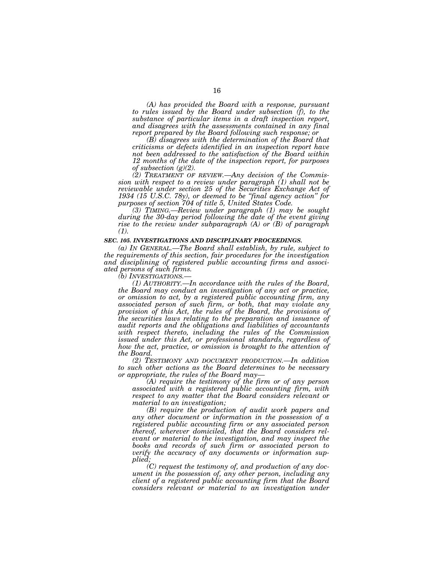*(A) has provided the Board with a response, pursuant to rules issued by the Board under subsection (f), to the substance of particular items in a draft inspection report, and disagrees with the assessments contained in any final report prepared by the Board following such response; or* 

*(B) disagrees with the determination of the Board that criticisms or defects identified in an inspection report have not been addressed to the satisfaction of the Board within 12 months of the date of the inspection report, for purposes of subsection (g)(2).* 

*(2) TREATMENT OF REVIEW.—Any decision of the Commission with respect to a review under paragraph (1) shall not be reviewable under section 25 of the Securities Exchange Act of 1934 (15 U.S.C. 78y), or deemed to be ''final agency action'' for purposes of section 704 of title 5, United States Code.* 

*(3) TIMING.—Review under paragraph (1) may be sought during the 30-day period following the date of the event giving rise to the review under subparagraph (A) or (B) of paragraph (1).* 

#### *SEC. 105. INVESTIGATIONS AND DISCIPLINARY PROCEEDINGS.*

*(a) IN GENERAL.—The Board shall establish, by rule, subject to the requirements of this section, fair procedures for the investigation and disciplining of registered public accounting firms and associated persons of such firms.* 

*(b) INVESTIGATIONS.— (1) AUTHORITY.—In accordance with the rules of the Board, the Board may conduct an investigation of any act or practice, or omission to act, by a registered public accounting firm, any associated person of such firm, or both, that may violate any provision of this Act, the rules of the Board, the provisions of the securities laws relating to the preparation and issuance of audit reports and the obligations and liabilities of accountants with respect thereto, including the rules of the Commission issued under this Act, or professional standards, regardless of how the act, practice, or omission is brought to the attention of the Board.* 

*(2) TESTIMONY AND DOCUMENT PRODUCTION.—In addition to such other actions as the Board determines to be necessary* 

 $\hat{P}(A)$  require the testimony of the firm or of any person *associated with a registered public accounting firm, with respect to any matter that the Board considers relevant or material to an investigation;* 

*(B) require the production of audit work papers and any other document or information in the possession of a registered public accounting firm or any associated person thereof, wherever domiciled, that the Board considers relevant or material to the investigation, and may inspect the books and records of such firm or associated person to verify the accuracy of any documents or information supplied;* 

*(C) request the testimony of, and production of any document in the possession of, any other person, including any client of a registered public accounting firm that the Board considers relevant or material to an investigation under*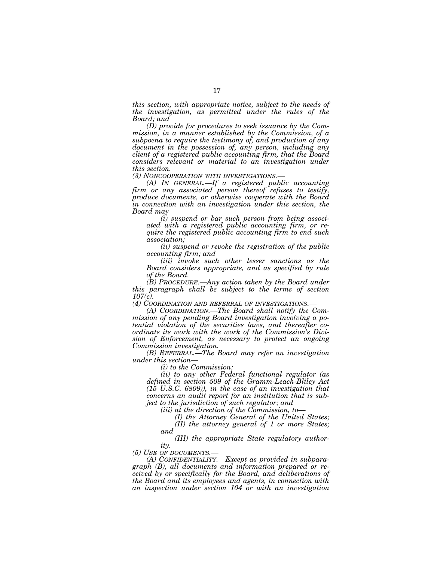*this section, with appropriate notice, subject to the needs of the investigation, as permitted under the rules of the Board; and* 

*(D) provide for procedures to seek issuance by the Commission, in a manner established by the Commission, of a subpoena to require the testimony of, and production of any document in the possession of, any person, including any client of a registered public accounting firm, that the Board considers relevant or material to an investigation under this section.* 

*(3) NONCOOPERATION WITH INVESTIGATIONS.— (A) IN GENERAL.—If a registered public accounting firm or any associated person thereof refuses to testify, produce documents, or otherwise cooperate with the Board in connection with an investigation under this section, the Board may—(i) suspend or bar such person from being associ-*

*ated with a registered public accounting firm, or require the registered public accounting firm to end such association;* 

*(ii) suspend or revoke the registration of the public accounting firm; and* 

*(iii) invoke such other lesser sanctions as the Board considers appropriate, and as specified by rule of the Board.* 

*(B) PROCEDURE.—Any action taken by the Board under this paragraph shall be subject to the terms of section 107(c).*

*(4) COORDINATION AND REFERRAL OF INVESTIGATIONS.— (A) COORDINATION.—The Board shall notify the Com-*

*mission of any pending Board investigation involving a potential violation of the securities laws, and thereafter coordinate its work with the work of the Commission's Division of Enforcement, as necessary to protect an ongoing Commission investigation.* 

*(B) REFERRAL.—The Board may refer an investigation* 

*under this section— (i) to the Commission;* 

*(ii) to any other Federal functional regulator (as defined in section 509 of the Gramm-Leach-Bliley Act (15 U.S.C. 6809)), in the case of an investigation that concerns an audit report for an institution that is subject to the jurisdiction of such regulator; and* 

*(iii) at the direction of the Commission, to— (I) the Attorney General of the United States; (II) the attorney general of 1 or more States; and* 

*(III) the appropriate State regulatory authority.* 

*(5) USE OF DOCUMENTS.— (A) CONFIDENTIALITY.—Except as provided in subparagraph (B), all documents and information prepared or received by or specifically for the Board, and deliberations of the Board and its employees and agents, in connection with an inspection under section 104 or with an investigation*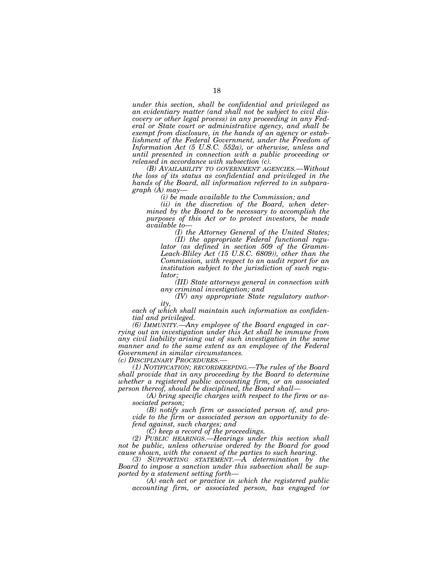*under this section, shall be confidential and privileged as an evidentiary matter (and shall not be subject to civil discovery or other legal process) in any proceeding in any Federal or State court or administrative agency, and shall be exempt from disclosure, in the hands of an agency or establishment of the Federal Government, under the Freedom of Information Act (5 U.S.C. 552a), or otherwise, unless and until presented in connection with a public proceeding or released in accordance with subsection (c).*

*(B) AVAILABILITY TO GOVERNMENT AGENCIES.—Without the loss of its status as confidential and privileged in the hands of the Board, all information referred to in subpara-*

*graph (A) may— (i) be made available to the Commission; and* 

*(ii) in the discretion of the Board, when determined by the Board to be necessary to accomplish the purposes of this Act or to protect investors, be made* 

*(I) the Attorney General of the United States; (II) the appropriate Federal functional regulator (as defined in section 509 of the Gramm-Leach-Bliley Act (15 U.S.C. 6809)), other than the Commission, with respect to an audit report for an institution subject to the jurisdiction of such regulator;* 

*(III) State attorneys general in connection with any criminal investigation; and* 

*(IV) any appropriate State regulatory authority,* 

*each of which shall maintain such information as confidential and privileged.* 

*(6) IMMUNITY.—Any employee of the Board engaged in carrying out an investigation under this Act shall be immune from any civil liability arising out of such investigation in the same manner and to the same extent as an employee of the Federal Government in similar circumstances.* 

*(1) NOTIFICATION; RECORDKEEPING.—The rules of the Board shall provide that in any proceeding by the Board to determine whether a registered public accounting firm, or an associated person thereof, should be disciplined, the Board shall— (A) bring specific charges with respect to the firm or as-*

*sociated person;* 

*(B) notify such firm or associated person of, and provide to the firm or associated person an opportunity to defend against, such charges; and* 

*(C) keep a record of the proceedings.* 

*(2) PUBLIC HEARINGS.—Hearings under this section shall not be public, unless otherwise ordered by the Board for good cause shown, with the consent of the parties to such hearing.* 

*(3) SUPPORTING STATEMENT.—A determination by the Board to impose a sanction under this subsection shall be supported by a statement setting forth—*

*(A) each act or practice in which the registered public accounting firm, or associated person, has engaged (or*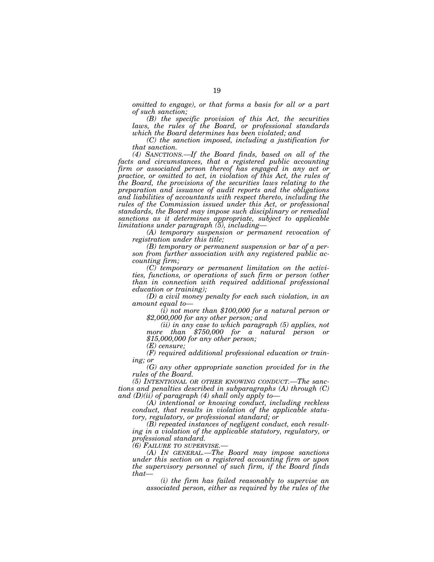*omitted to engage), or that forms a basis for all or a part of such sanction;* 

*(B) the specific provision of this Act, the securities laws, the rules of the Board, or professional standards which the Board determines has been violated; and* 

*(C) the sanction imposed, including a justification for that sanction.* 

*(4) SANCTIONS.—If the Board finds, based on all of the facts and circumstances, that a registered public accounting firm or associated person thereof has engaged in any act or practice, or omitted to act, in violation of this Act, the rules of the Board, the provisions of the securities laws relating to the preparation and issuance of audit reports and the obligations and liabilities of accountants with respect thereto, including the rules of the Commission issued under this Act, or professional standards, the Board may impose such disciplinary or remedial sanctions as it determines appropriate, subject to applicable* 

*limitations under paragraph (5), including— (A) temporary suspension or permanent revocation of registration under this title;* 

*(B) temporary or permanent suspension or bar of a person from further association with any registered public accounting firm;* 

*(C) temporary or permanent limitation on the activities, functions, or operations of such firm or person (other than in connection with required additional professional education or training);* 

*(D) a civil money penalty for each such violation, in an* 

*amount equal to— (i) not more than \$100,000 for a natural person or \$2,000,000 for any other person; and* 

*(ii) in any case to which paragraph (5) applies, not more than \$750,000 for a natural person or \$15,000,000 for any other person;* 

*(E) censure;* 

*(F) required additional professional education or training; or* 

*(G) any other appropriate sanction provided for in the rules of the Board.* 

*(5) INTENTIONAL OR OTHER KNOWING CONDUCT.—The sanctions and penalties described in subparagraphs (A) through (C) and (D)(ii) of paragraph (4) shall only apply to—*

*(A) intentional or knowing conduct, including reckless conduct, that results in violation of the applicable statutory, regulatory, or professional standard; or* 

*(B) repeated instances of negligent conduct, each resulting in a violation of the applicable statutory, regulatory, or professional standard.* 

*(6) FAILURE TO SUPERVISE.— (A) IN GENERAL.—The Board may impose sanctions under this section on a registered accounting firm or upon the supervisory personnel of such firm, if the Board finds that— (i) the firm has failed reasonably to supervise an* 

*associated person, either as required by the rules of the*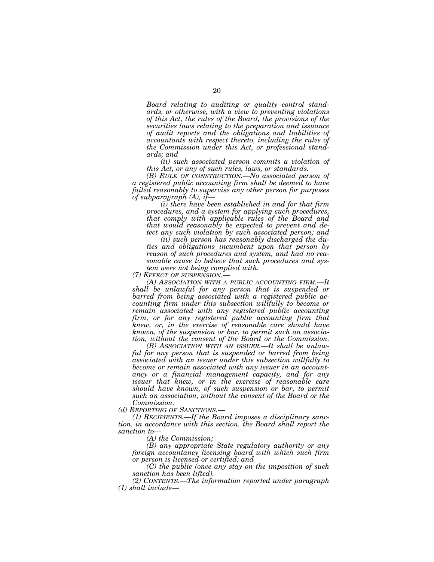*Board relating to auditing or quality control standards, or otherwise, with a view to preventing violations of this Act, the rules of the Board, the provisions of the securities laws relating to the preparation and issuance of audit reports and the obligations and liabilities of accountants with respect thereto, including the rules of the Commission under this Act, or professional standards; and* 

*(ii) such associated person commits a violation of this Act, or any of such rules, laws, or standards.* 

*(B) RULE OF CONSTRUCTION.—No associated person of a registered public accounting firm shall be deemed to have failed reasonably to supervise any other person for purposes* 

*(i)* there have been established in and for that firm *procedures, and a system for applying such procedures, that comply with applicable rules of the Board and that would reasonably be expected to prevent and detect any such violation by such associated person; and* 

*(ii) such person has reasonably discharged the duties and obligations incumbent upon that person by reason of such procedures and system, and had no reasonable cause to believe that such procedures and system were not being complied with.* 

*(7) EFFECT OF SUSPENSION.— (A) ASSOCIATION WITH A PUBLIC ACCOUNTING FIRM.—It shall be unlawful for any person that is suspended or barred from being associated with a registered public accounting firm under this subsection willfully to become or remain associated with any registered public accounting firm, or for any registered public accounting firm that knew, or, in the exercise of reasonable care should have known, of the suspension or bar, to permit such an association, without the consent of the Board or the Commission.* 

*(B) ASSOCIATION WITH AN ISSUER.—It shall be unlawful for any person that is suspended or barred from being associated with an issuer under this subsection willfully to become or remain associated with any issuer in an accountancy or a financial management capacity, and for any issuer that knew, or in the exercise of reasonable care should have known, of such suspension or bar, to permit such an association, without the consent of the Board or the Commission.* 

*(d) REPORTING OF SANCTIONS.—*

*(1) RECIPIENTS.—If the Board imposes a disciplinary sanction, in accordance with this section, the Board shall report the sanction to—*

*(A) the Commission;* 

*(B) any appropriate State regulatory authority or any foreign accountancy licensing board with which such firm or person is licensed or certified; and* 

*(C) the public (once any stay on the imposition of such sanction has been lifted).* 

*(2) CONTENTS.—The information reported under paragraph (1) shall include—*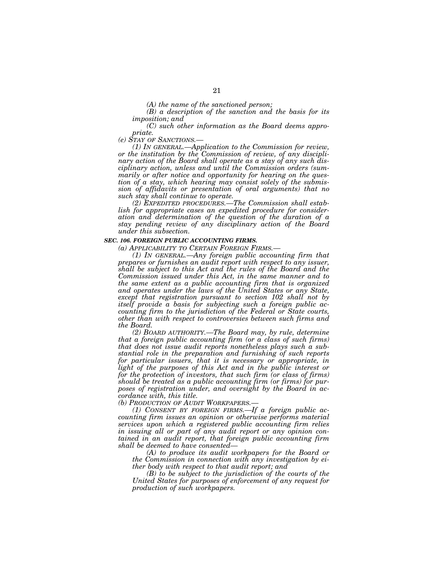*(A) the name of the sanctioned person;* 

*(B) a description of the sanction and the basis for its imposition; and* 

*(C) such other information as the Board deems appropriate.*<br>
(e) STAY OF SANCTIONS.

*(1) In GENERAL.—Application to the Commission for review, or the institution by the Commission of review, of any disciplinary action of the Board shall operate as a stay of any such disciplinary action, unless and until the Commission orders (summarily or after notice and opportunity for hearing on the question of a stay, which hearing may consist solely of the submission of affidavits or presentation of oral arguments) that no such stay shall continue to operate.* 

*(2) EXPEDITED PROCEDURES.—The Commission shall establish for appropriate cases an expedited procedure for consideration and determination of the question of the duration of a stay pending review of any disciplinary action of the Board under this subsection.* 

#### *SEC. 106. FOREIGN PUBLIC ACCOUNTING FIRMS.*

*(a) APPLICABILITY TO CERTAIN FOREIGN FIRMS.— (1) IN GENERAL.—Any foreign public accounting firm that prepares or furnishes an audit report with respect to any issuer, shall be subject to this Act and the rules of the Board and the Commission issued under this Act, in the same manner and to the same extent as a public accounting firm that is organized and operates under the laws of the United States or any State, except that registration pursuant to section 102 shall not by itself provide a basis for subjecting such a foreign public accounting firm to the jurisdiction of the Federal or State courts, other than with respect to controversies between such firms and the Board.* 

*(2) BOARD AUTHORITY.—The Board may, by rule, determine that a foreign public accounting firm (or a class of such firms) that does not issue audit reports nonetheless plays such a substantial role in the preparation and furnishing of such reports for particular issuers, that it is necessary or appropriate, in light of the purposes of this Act and in the public interest or for the protection of investors, that such firm (or class of firms) should be treated as a public accounting firm (or firms) for purposes of registration under, and oversight by the Board in accordance with, this title.* 

*(b) PRODUCTION OF AUDIT WORKPAPERS.—*

*(1) CONSENT BY FOREIGN FIRMS.—If a foreign public accounting firm issues an opinion or otherwise performs material services upon which a registered public accounting firm relies in issuing all or part of any audit report or any opinion contained in an audit report, that foreign public accounting firm shall be deemed to have consented—*

*(A) to produce its audit workpapers for the Board or the Commission in connection with any investigation by either body with respect to that audit report; and* 

*(B) to be subject to the jurisdiction of the courts of the United States for purposes of enforcement of any request for production of such workpapers.*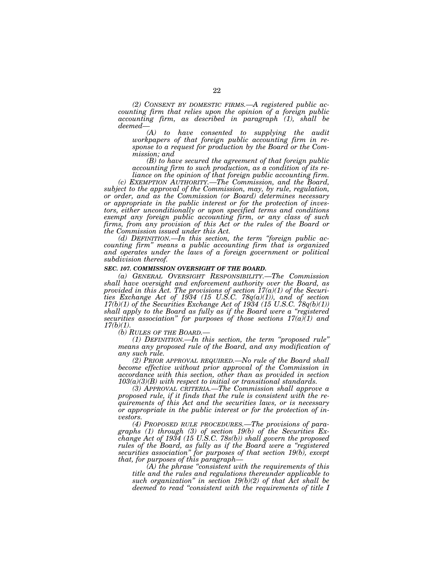*(2) CONSENT BY DOMESTIC FIRMS.—A registered public accounting firm that relies upon the opinion of a foreign public accounting firm, as described in paragraph (1), shall be deemed—*

*(A) to have consented to supplying the audit workpapers of that foreign public accounting firm in response to a request for production by the Board or the Commission; and* 

*(B) to have secured the agreement of that foreign public accounting firm to such production, as a condition of its reliance on the opinion of that foreign public accounting firm.* 

*(c) EXEMPTION AUTHORITY.—The Commission, and the Board, subject to the approval of the Commission, may, by rule, regulation, or order, and as the Commission (or Board) determines necessary or appropriate in the public interest or for the protection of investors, either unconditionally or upon specified terms and conditions exempt any foreign public accounting firm, or any class of such firms, from any provision of this Act or the rules of the Board or the Commission issued under this Act.* 

*(d) DEFINITION.—In this section, the term ''foreign public accounting firm'' means a public accounting firm that is organized and operates under the laws of a foreign government or political subdivision thereof.* 

#### *SEC. 107. COMMISSION OVERSIGHT OF THE BOARD.*

*(a) GENERAL OVERSIGHT RESPONSIBILITY.—The Commission shall have oversight and enforcement authority over the Board, as provided in this Act. The provisions of section 17(a)(1) of the Securities Exchange Act of 1934 (15 U.S.C. 78q(a)(1)), and of section 17(b)(1) of the Securities Exchange Act of 1934 (15 U.S.C. 78q(b)(1)) shall apply to the Board as fully as if the Board were a ''registered securities association'' for purposes of those sections 17(a)(1) and 17(b)(1).*<br>*(b) RULES OF THE BOARD.*-

*(b) RULES OF THE BOARD.— (1) DEFINITION.—In this section, the term ''proposed rule'' means any proposed rule of the Board, and any modification of any such rule.* 

*(2) PRIOR APPROVAL REQUIRED.—No rule of the Board shall become effective without prior approval of the Commission in accordance with this section, other than as provided in section 103(a)(3)(B) with respect to initial or transitional standards.* 

*(3) APPROVAL CRITERIA.—The Commission shall approve a proposed rule, if it finds that the rule is consistent with the requirements of this Act and the securities laws, or is necessary or appropriate in the public interest or for the protection of investors.* 

*(4) PROPOSED RULE PROCEDURES.—The provisions of paragraphs (1) through (3) of section 19(b) of the Securities Exchange Act of 1934 (15 U.S.C. 78s(b)) shall govern the proposed rules of the Board, as fully as if the Board were a ''registered securities association'' for purposes of that section 19(b), except that, for purposes of this paragraph—*

*(A) the phrase ''consistent with the requirements of this title and the rules and regulations thereunder applicable to such organization'' in section 19(b)(2) of that Act shall be deemed to read ''consistent with the requirements of title I*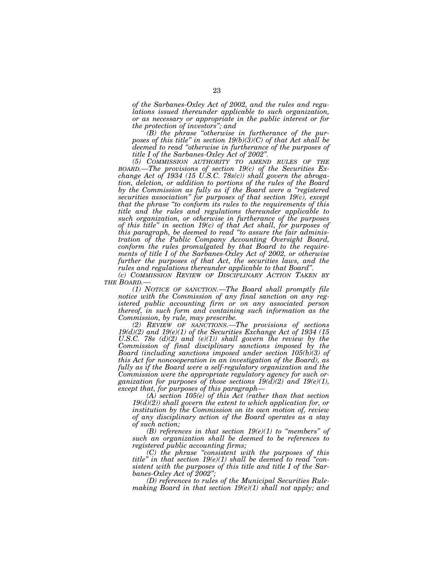*of the Sarbanes-Oxley Act of 2002, and the rules and regulations issued thereunder applicable to such organization, or as necessary or appropriate in the public interest or for the protection of investors''; and* 

*(B) the phrase ''otherwise in furtherance of the purposes of this title'' in section 19(b)(3)(C) of that Act shall be deemed to read ''otherwise in furtherance of the purposes of title I of the Sarbanes-Oxley Act of 2002''. (5) COMMISSION AUTHORITY TO AMEND RULES OF THE*

*BOARD.—The provisions of section 19(c) of the Securities Exchange Act of 1934 (15 U.S.C. 78s(c)) shall govern the abrogation, deletion, or addition to portions of the rules of the Board by the Commission as fully as if the Board were a ''registered securities association'' for purposes of that section 19(c), except that the phrase ''to conform its rules to the requirements of this title and the rules and regulations thereunder applicable to such organization, or otherwise in furtherance of the purposes of this title'' in section 19(c) of that Act shall, for purposes of this paragraph, be deemed to read ''to assure the fair administration of the Public Company Accounting Oversight Board, conform the rules promulgated by that Board to the requirements of title I of the Sarbanes-Oxley Act of 2002, or otherwise*  further the purposes of that Act, the securities laws, and the *rules and regulations thereunder applicable to that Board''. (c) COMMISSION REVIEW OF DISCIPLINARY ACTION TAKEN BY*

*THE BOARD.— (1) NOTICE OF SANCTION.—The Board shall promptly file notice with the Commission of any final sanction on any registered public accounting firm or on any associated person thereof, in such form and containing such information as the Commission, by rule, may prescribe.* 

*(2) REVIEW OF SANCTIONS.—The provisions of sections 19(d)(2) and 19(e)(1) of the Securities Exchange Act of 1934 (15*  U.S.C. 78s  $(d)(2)$  and  $(e)(1)$  shall govern the review by the *Commission of final disciplinary sanctions imposed by the Board (including sanctions imposed under section 105(b)(3) of this Act for noncooperation in an investigation of the Board), as fully as if the Board were a self-regulatory organization and the Commission were the appropriate regulatory agency for such organization for purposes of those sections 19(d)(2) and 19(e)(1), except that, for purposes of this paragraph— (A) section 105(e) of this Act (rather than that section* 

*19(d)(2)) shall govern the extent to which application for, or institution by the Commission on its own motion of, review of any disciplinary action of the Board operates as a stay of such action;* 

*(B) references in that section 19(e)(1) to ''members'' of such an organization shall be deemed to be references to registered public accounting firms;* 

*(C) the phrase ''consistent with the purposes of this title'' in that section 19(e)(1) shall be deemed to read ''consistent with the purposes of this title and title I of the Sarbanes-Oxley Act of 2002'';* 

*(D) references to rules of the Municipal Securities Rulemaking Board in that section 19(e)(1) shall not apply; and*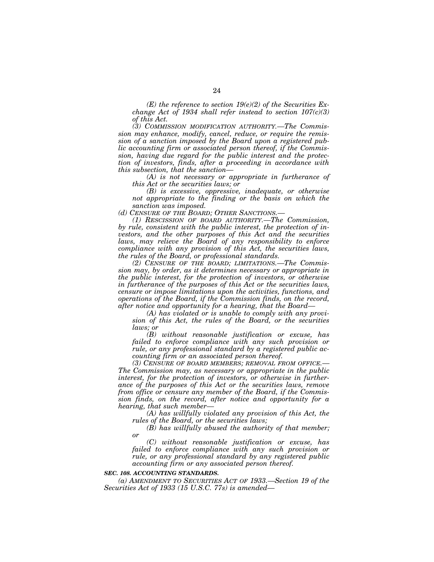*(E) the reference to section 19(e)(2) of the Securities Exchange Act of 1934 shall refer instead to section 107(c)(3) of this Act.* 

*(3) COMMISSION MODIFICATION AUTHORITY.—The Commission may enhance, modify, cancel, reduce, or require the remission of a sanction imposed by the Board upon a registered public accounting firm or associated person thereof, if the Commission, having due regard for the public interest and the protection of investors, finds, after a proceeding in accordance with this subsection, that the sanction—*

*(A) is not necessary or appropriate in furtherance of this Act or the securities laws; or* 

*(B) is excessive, oppressive, inadequate, or otherwise not appropriate to the finding or the basis on which the sanction was imposed.* 

*(d) CENSURE OF THE BOARD; OTHER SANCTIONS.—*

*(1) RESCISSION OF BOARD AUTHORITY.—The Commission, by rule, consistent with the public interest, the protection of investors, and the other purposes of this Act and the securities laws, may relieve the Board of any responsibility to enforce compliance with any provision of this Act, the securities laws, the rules of the Board, or professional standards.* 

*(2) CENSURE OF THE BOARD; LIMITATIONS.—The Commission may, by order, as it determines necessary or appropriate in the public interest, for the protection of investors, or otherwise in furtherance of the purposes of this Act or the securities laws, censure or impose limitations upon the activities, functions, and operations of the Board, if the Commission finds, on the record, after notice and opportunity for a hearing, that the Board—*

*(A) has violated or is unable to comply with any provision of this Act, the rules of the Board, or the securities laws; or* 

*(B) without reasonable justification or excuse, has*  failed to enforce compliance with any such provision or *rule, or any professional standard by a registered public accounting firm or an associated person thereof.* 

*(3) CENSURE OF BOARD MEMBERS; REMOVAL FROM OFFICE.— The Commission may, as necessary or appropriate in the public interest, for the protection of investors, or otherwise in furtherance of the purposes of this Act or the securities laws, remove from office or censure any member of the Board, if the Commission finds, on the record, after notice and opportunity for a hearing, that such member—*

*(A) has willfully violated any provision of this Act, the rules of the Board, or the securities laws;* 

*(B) has willfully abused the authority of that member; or* 

*(C) without reasonable justification or excuse, has*  failed to enforce compliance with any such provision or *rule, or any professional standard by any registered public accounting firm or any associated person thereof.* 

#### *SEC. 108. ACCOUNTING STANDARDS.*

*(a) AMENDMENT TO SECURITIES ACT OF 1933.—Section 19 of the Securities Act of 1933 (15 U.S.C. 77s) is amended—*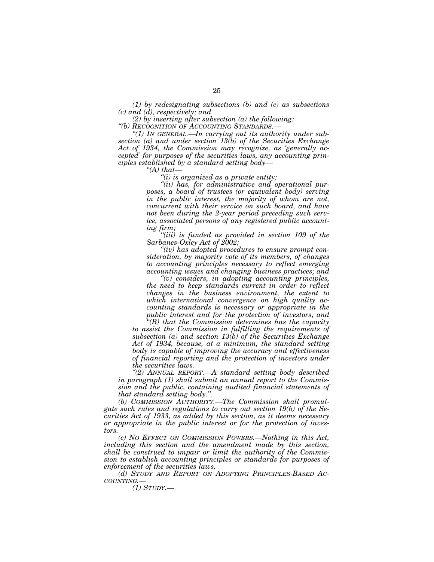*(1) by redesignating subsections (b) and (c) as subsections (c) and (d), respectively; and* 

*(2) by inserting after subsection (a) the following:* 

*''(b) RECOGNITION OF ACCOUNTING STANDARDS.—*

*''(1) IN GENERAL.—In carrying out its authority under subsection (a) and under section 13(b) of the Securities Exchange Act of 1934, the Commission may recognize, as 'generally accepted' for purposes of the securities laws, any accounting principles established by a standard setting body—*

*''(A) that—*

*''(i) is organized as a private entity;* 

*''(ii) has, for administrative and operational purposes, a board of trustees (or equivalent body) serving in the public interest, the majority of whom are not, concurrent with their service on such board, and have not been during the 2-year period preceding such service, associated persons of any registered public accounting firm;* 

*''(iii) is funded as provided in section 109 of the Sarbanes-Oxley Act of 2002;* 

*''(iv) has adopted procedures to ensure prompt consideration, by majority vote of its members, of changes to accounting principles necessary to reflect emerging accounting issues and changing business practices; and* 

*''(v) considers, in adopting accounting principles, the need to keep standards current in order to reflect changes in the business environment, the extent to which international convergence on high quality accounting standards is necessary or appropriate in the public interest and for the protection of investors; and* 

*''(B) that the Commission determines has the capacity to assist the Commission in fulfilling the requirements of subsection (a) and section 13(b) of the Securities Exchange Act of 1934, because, at a minimum, the standard setting body is capable of improving the accuracy and effectiveness of financial reporting and the protection of investors under the securities laws.* 

*''(2) ANNUAL REPORT.—A standard setting body described in paragraph (1) shall submit an annual report to the Commission and the public, containing audited financial statements of that standard setting body.''.* 

*(b) COMMISSION AUTHORITY.—The Commission shall promulgate such rules and regulations to carry out section 19(b) of the Securities Act of 1933, as added by this section, as it deems necessary or appropriate in the public interest or for the protection of investors.* 

*(c) NO EFFECT ON COMMISSION POWERS.—Nothing in this Act, including this section and the amendment made by this section, shall be construed to impair or limit the authority of the Commission to establish accounting principles or standards for purposes of enforcement of the securities laws.* 

*(d) STUDY AND REPORT ON ADOPTING PRINCIPLES-BASED AC-COUNTING.—*

*(1) STUDY.—*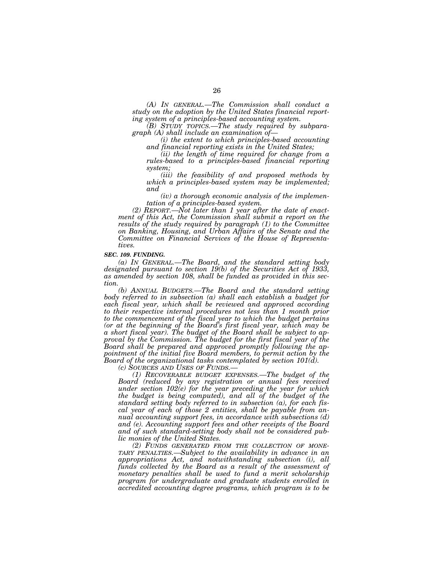*(A) IN GENERAL.—The Commission shall conduct a study on the adoption by the United States financial reporting system of a principles-based accounting system.* 

*(B)* STUDY TOPICS.—The study required by subparagraph (A) shall include an examination of—

*(i) the extent to which principles-based accounting and financial reporting exists in the United States;* 

*(ii) the length of time required for change from a rules-based to a principles-based financial reporting system;* 

*(iii) the feasibility of and proposed methods by which a principles-based system may be implemented; and* 

*(iv) a thorough economic analysis of the implementation of a principles-based system.* 

*(2) REPORT.—Not later than 1 year after the date of enactment of this Act, the Commission shall submit a report on the results of the study required by paragraph (1) to the Committee on Banking, Housing, and Urban Affairs of the Senate and the Committee on Financial Services of the House of Representatives.* 

#### *SEC. 109. FUNDING.*

*(a) IN GENERAL.—The Board, and the standard setting body designated pursuant to section 19(b) of the Securities Act of 1933, as amended by section 108, shall be funded as provided in this section.* 

*(b) ANNUAL BUDGETS.—The Board and the standard setting body referred to in subsection (a) shall each establish a budget for each fiscal year, which shall be reviewed and approved according to their respective internal procedures not less than 1 month prior to the commencement of the fiscal year to which the budget pertains (or at the beginning of the Board's first fiscal year, which may be a short fiscal year). The budget of the Board shall be subject to approval by the Commission. The budget for the first fiscal year of the Board shall be prepared and approved promptly following the appointment of the initial five Board members, to permit action by the Board of the organizational tasks contemplated by section 101(d).* (*c*) *SOURCES AND USES OF FUNDS.*—

*(1) RECOVERABLE BUDGET EXPENSES.*—The budget of the *Board (reduced by any registration or annual fees received under section 102(e) for the year preceding the year for which the budget is being computed), and all of the budget of the standard setting body referred to in subsection (a), for each fiscal year of each of those 2 entities, shall be payable from annual accounting support fees, in accordance with subsections (d) and (e). Accounting support fees and other receipts of the Board and of such standard-setting body shall not be considered public monies of the United States.* 

*(2) FUNDS GENERATED FROM THE COLLECTION OF MONE-TARY PENALTIES.—Subject to the availability in advance in an appropriations Act, and notwithstanding subsection (i), all*  funds collected by the Board as a result of the assessment of *monetary penalties shall be used to fund a merit scholarship program for undergraduate and graduate students enrolled in accredited accounting degree programs, which program is to be*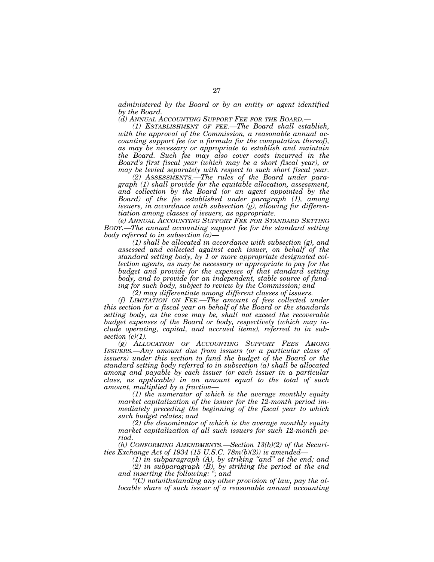*administered by the Board or by an entity or agent identified by the Board.* 

*(d) ANNUAL ACCOUNTING SUPPORT FEE FOR THE BOARD.—*

*(1) ESTABLISHMENT OF FEE.—The Board shall establish, with the approval of the Commission, a reasonable annual accounting support fee (or a formula for the computation thereof), as may be necessary or appropriate to establish and maintain the Board. Such fee may also cover costs incurred in the Board's first fiscal year (which may be a short fiscal year), or may be levied separately with respect to such short fiscal year.* 

*(2) ASSESSMENTS.—The rules of the Board under paragraph (1) shall provide for the equitable allocation, assessment, and collection by the Board (or an agent appointed by the Board) of the fee established under paragraph (1), among issuers, in accordance with subsection (g), allowing for differentiation among classes of issuers, as appropriate.* 

*(e) ANNUAL ACCOUNTING SUPPORT FEE FOR STANDARD SETTING BODY.—The annual accounting support fee for the standard setting body referred to in subsection (a)—*

*(1) shall be allocated in accordance with subsection (g), and assessed and collected against each issuer, on behalf of the standard setting body, by 1 or more appropriate designated collection agents, as may be necessary or appropriate to pay for the budget and provide for the expenses of that standard setting body, and to provide for an independent, stable source of funding for such body, subject to review by the Commission; and* 

*(2) may differentiate among different classes of issuers.* 

*(f) LIMITATION ON FEE.—The amount of fees collected under this section for a fiscal year on behalf of the Board or the standards setting body, as the case may be, shall not exceed the recoverable budget expenses of the Board or body, respectively (which may include operating, capital, and accrued items), referred to in subsection (c)(1).* 

*(g) ALLOCATION OF ACCOUNTING SUPPORT FEES AMONG ISSUERS.—Any amount due from issuers (or a particular class of*  issuers) under this section to fund the budget of the Board or the *standard setting body referred to in subsection (a) shall be allocated*  among and payable by each issuer (or each issuer in a particular *class, as applicable) in an amount equal to the total of such amount, multiplied by a fraction—*

*(1) the numerator of which is the average monthly equity market capitalization of the issuer for the 12-month period immediately preceding the beginning of the fiscal year to which such budget relates; and* 

*(2) the denominator of which is the average monthly equity market capitalization of all such issuers for such 12-month period.* 

*(h) CONFORMING AMENDMENTS.—Section 13(b)(2) of the Securities Exchange Act of 1934 (15 U.S.C. 78m(b)(2)) is amended—*

*(1) in subparagraph (A), by striking ''and'' at the end; and (2) in subparagraph (B), by striking the period at the end and inserting the following: ''; and* 

*''(C) notwithstanding any other provision of law, pay the allocable share of such issuer of a reasonable annual accounting*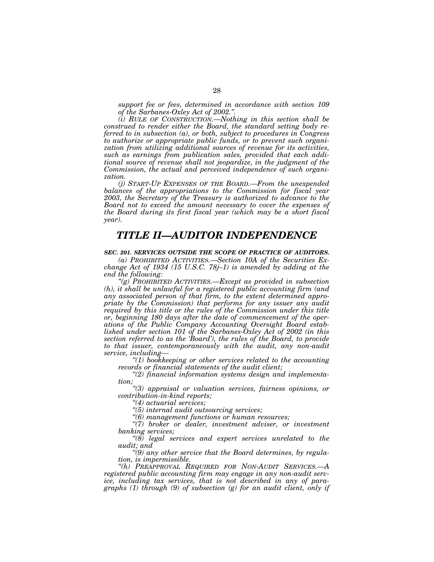*support fee or fees, determined in accordance with section 109 of the Sarbanes-Oxley Act of 2002.''.* 

*(i) RULE OF CONSTRUCTION.—Nothing in this section shall be construed to render either the Board, the standard setting body referred to in subsection (a), or both, subject to procedures in Congress to authorize or appropriate public funds, or to prevent such organization from utilizing additional sources of revenue for its activities, such as earnings from publication sales, provided that each additional source of revenue shall not jeopardize, in the judgment of the Commission, the actual and perceived independence of such organization.*

*(j) START-UP EXPENSES OF THE BOARD.—From the unexpended balances of the appropriations to the Commission for fiscal year 2003, the Secretary of the Treasury is authorized to advance to the Board not to exceed the amount necessary to cover the expenses of the Board during its first fiscal year (which may be a short fiscal year).* 

## *TITLE II—AUDITOR INDEPENDENCE*

#### *SEC. 201. SERVICES OUTSIDE THE SCOPE OF PRACTICE OF AUDITORS.*

*(a) PROHIBITED ACTIVITIES.—Section 10A of the Securities Exchange Act of 1934 (15 U.S.C. 78j–1) is amended by adding at the end the following:* 

*''(g) PROHIBITED ACTIVITIES.—Except as provided in subsection (h), it shall be unlawful for a registered public accounting firm (and any associated person of that firm, to the extent determined appropriate by the Commission) that performs for any issuer any audit required by this title or the rules of the Commission under this title or, beginning 180 days after the date of commencement of the operations of the Public Company Accounting Oversight Board established under section 101 of the Sarbanes-Oxley Act of 2002 (in this section referred to as the 'Board'), the rules of the Board, to provide to that issuer, contemporaneously with the audit, any non-audit* 

*service, including— ''(1) bookkeeping or other services related to the accounting* 

*records or financial statements of the audit client; ''(2) financial information systems design and implementation;* 

*''(3) appraisal or valuation services, fairness opinions, or contribution-in-kind reports; ''(4) actuarial services;* 

*''(5) internal audit outsourcing services;* 

*''(6) management functions or human resources;* 

*''(7) broker or dealer, investment adviser, or investment banking services;* 

*''(8) legal services and expert services unrelated to the audit; and* 

*''(9) any other service that the Board determines, by regulation, is impermissible.* 

*''(h) PREAPPROVAL REQUIRED FOR NON-AUDIT SERVICES.—A registered public accounting firm may engage in any non-audit service, including tax services, that is not described in any of paragraphs (1) through (9) of subsection (g) for an audit client, only if*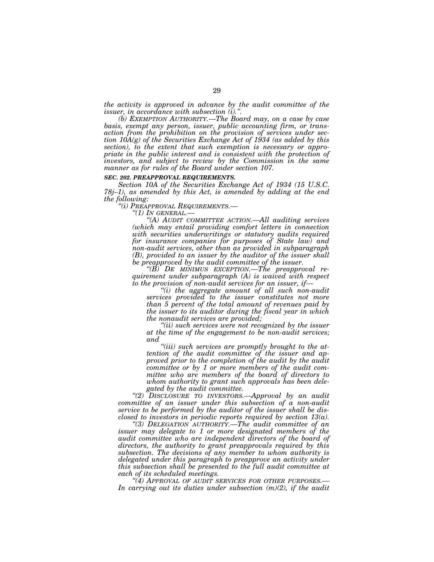*the activity is approved in advance by the audit committee of the* 

*ib)* EXEMPTION AUTHORITY.—The Board may, on a case by case *basis, exempt any person, issuer, public accounting firm, or transaction from the prohibition on the provision of services under section 10A(g) of the Securities Exchange Act of 1934 (as added by this section), to the extent that such exemption is necessary or appropriate in the public interest and is consistent with the protection of investors, and subject to review by the Commission in the same manner as for rules of the Board under section 107.* 

#### *SEC. 202. PREAPPROVAL REQUIREMENTS.*

*Section 10A of the Securities Exchange Act of 1934 (15 U.S.C. 78j–1), as amended by this Act, is amended by adding at the end* 

*the following: ''(i) PREAPPROVAL REQUIREMENTS.— ''(1) IN GENERAL.— ''(A) AUDIT COMMITTEE ACTION.—All auditing services (which may entail providing comfort letters in connection with securities underwritings or statutory audits required for insurance companies for purposes of State law) and non-audit services, other than as provided in subparagraph (B), provided to an issuer by the auditor of the issuer shall* 

*be preapproved by the audit committee of the issuer. ''(B) DE MINIMUS EXCEPTION.—The preapproval requirement under subparagraph (A) is waived with respect to the provision of non-audit services for an issuer, if— ''(i) the aggregate amount of all such non-audit* 

*services provided to the issuer constitutes not more than 5 percent of the total amount of revenues paid by the issuer to its auditor during the fiscal year in which* 

*the finonaudity such services were not recognized by the issuer*  $\frac{d}{dt}$ *at the time of the engagement to be non-audit services; and ''(iii) such services are promptly brought to the at-*

*tention of the audit committee of the issuer and approved prior to the completion of the audit by the audit committee or by 1 or more members of the audit committee who are members of the board of directors to whom authority to grant such approvals has been delegated by the audit committee.* 

*''(2) DISCLOSURE TO INVESTORS.—Approval by an audit committee of an issuer under this subsection of a non-audit service to be performed by the auditor of the issuer shall be disclosed to investors in periodic reports required by section 13(a).* 

*''(3) DELEGATION AUTHORITY.—The audit committee of an issuer may delegate to 1 or more designated members of the audit committee who are independent directors of the board of directors, the authority to grant preapprovals required by this subsection. The decisions of any member to whom authority is delegated under this paragraph to preapprove an activity under this subsection shall be presented to the full audit committee at each of its scheduled meetings.* 

*''(4) APPROVAL OF AUDIT SERVICES FOR OTHER PURPOSES.— In carrying out its duties under subsection (m)(2), if the audit*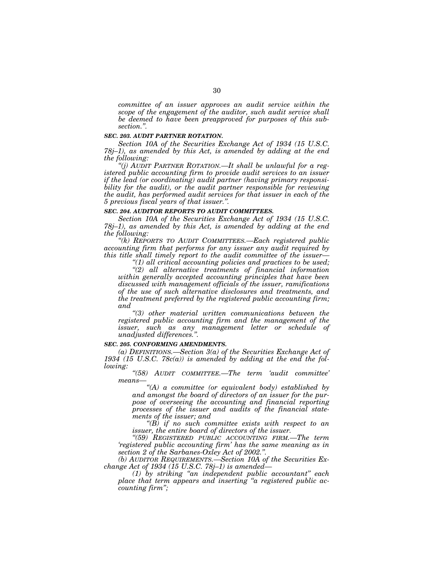*committee of an issuer approves an audit service within the scope of the engagement of the auditor, such audit service shall be deemed to have been preapproved for purposes of this subsection.''.* 

#### *SEC. 203. AUDIT PARTNER ROTATION.*

*Section 10A of the Securities Exchange Act of 1934 (15 U.S.C. 78j–1), as amended by this Act, is amended by adding at the end the following:* 

*''(j) AUDIT PARTNER ROTATION.—It shall be unlawful for a registered public accounting firm to provide audit services to an issuer if the lead (or coordinating) audit partner (having primary responsibility for the audit), or the audit partner responsible for reviewing the audit, has performed audit services for that issuer in each of the 5 previous fiscal years of that issuer.''.* 

#### *SEC. 204. AUDITOR REPORTS TO AUDIT COMMITTEES.*

*Section 10A of the Securities Exchange Act of 1934 (15 U.S.C. 78j–1), as amended by this Act, is amended by adding at the end the following:* 

*''(k) REPORTS TO AUDIT COMMITTEES.—Each registered public accounting firm that performs for any issuer any audit required by this title shall timely report to the audit committee of the issuer—*

*''(1) all critical accounting policies and practices to be used;* 

*''(2) all alternative treatments of financial information within generally accepted accounting principles that have been discussed with management officials of the issuer, ramifications of the use of such alternative disclosures and treatments, and the treatment preferred by the registered public accounting firm; and* 

*''(3) other material written communications between the registered public accounting firm and the management of the issuer, such as any management letter or schedule of unadjusted differences.''.* 

#### *SEC. 205. CONFORMING AMENDMENTS.*

*(a) DEFINITIONS.—Section 3(a) of the Securities Exchange Act of 1934 (15 U.S.C. 78c(a)) is amended by adding at the end the following:* 

*''(58) AUDIT COMMITTEE.—The term 'audit committee' means—*

*''(A) a committee (or equivalent body) established by and amongst the board of directors of an issuer for the purpose of overseeing the accounting and financial reporting processes of the issuer and audits of the financial statements of the issuer; and* 

*''(B) if no such committee exists with respect to an issuer, the entire board of directors of the issuer.* 

*''(59) REGISTERED PUBLIC ACCOUNTING FIRM.—The term 'registered public accounting firm' has the same meaning as in section 2 of the Sarbanes-Oxley Act of 2002.''.* 

*(b) AUDITOR REQUIREMENTS.—Section 10A of the Securities Exchange Act of 1934 (15 U.S.C. 78j–1) is amended—*

*(1) by striking ''an independent public accountant'' each place that term appears and inserting ''a registered public accounting firm'';*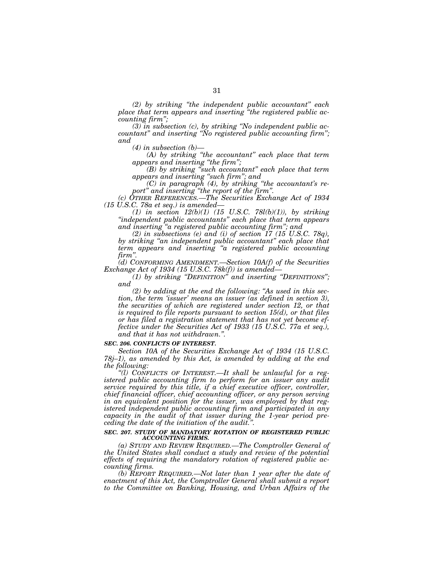*(2) by striking ''the independent public accountant'' each place that term appears and inserting ''the registered public accounting firm'';* 

*(3) in subsection (c), by striking ''No independent public accountant'' and inserting ''No registered public accounting firm''; and* 

*(4) in subsection (b)—*

*(A) by striking ''the accountant'' each place that term appears and inserting ''the firm'';* 

*(B) by striking ''such accountant'' each place that term appears and inserting ''such firm''; and* 

*(C) in paragraph (4), by striking ''the accountant's report'' and inserting ''the report of the firm''.* 

*(c) OTHER REFERENCES.—The Securities Exchange Act of 1934 (15 U.S.C. 78a et seq.) is amended—*

*(1) in section 12(b)(1) (15 U.S.C. 78l(b)(1)), by striking ''independent public accountants'' each place that term appears and inserting ''a registered public accounting firm''; and* 

*(2) in subsections (e) and (i) of section 17 (15 U.S.C. 78q), by striking ''an independent public accountant'' each place that term appears and inserting ''a registered public accounting firm''.* 

*(d) CONFORMING AMENDMENT.—Section 10A(f) of the Securities Exchange Act of 1934 (15 U.S.C. 78k(f)) is amended—*

*(1) by striking ''DEFINITION'' and inserting ''DEFINITIONS''; and* 

*(2) by adding at the end the following: ''As used in this section, the term 'issuer' means an issuer (as defined in section 3), the securities of which are registered under section 12, or that is required to file reports pursuant to section 15(d), or that files or has filed a registration statement that has not yet become effective under the Securities Act of 1933 (15 U.S.C. 77a et seq.), and that it has not withdrawn.''.* 

#### *SEC. 206. CONFLICTS OF INTEREST.*

*Section 10A of the Securities Exchange Act of 1934 (15 U.S.C. 78j–1), as amended by this Act, is amended by adding at the end the following:* 

*''(l) CONFLICTS OF INTEREST.—It shall be unlawful for a registered public accounting firm to perform for an issuer any audit service required by this title, if a chief executive officer, controller, chief financial officer, chief accounting officer, or any person serving in an equivalent position for the issuer, was employed by that registered independent public accounting firm and participated in any capacity in the audit of that issuer during the 1-year period preceding the date of the initiation of the audit.''.*

#### *SEC. 207. STUDY OF MANDATORY ROTATION OF REGISTERED PUBLIC ACCOUNTING FIRMS.*

*(a) STUDY AND REVIEW REQUIRED.—The Comptroller General of the United States shall conduct a study and review of the potential effects of requiring the mandatory rotation of registered public accounting firms.* 

*(b) REPORT REQUIRED.—Not later than 1 year after the date of enactment of this Act, the Comptroller General shall submit a report to the Committee on Banking, Housing, and Urban Affairs of the*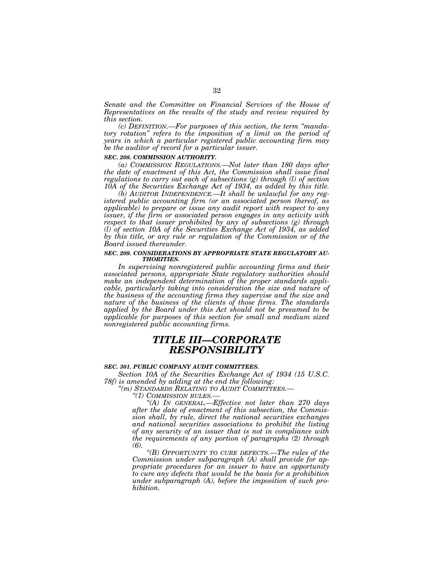Senate and the Committee on Financial Services of the House of *Representatives on the results of the study and review required by this section.* 

*(c) DEFINITION.—For purposes of this section, the term ''mandatory rotation'' refers to the imposition of a limit on the period of years in which a particular registered public accounting firm may be the auditor of record for a particular issuer.* 

#### *SEC. 208. COMMISSION AUTHORITY.*

*(a) COMMISSION REGULATIONS.—Not later than 180 days after the date of enactment of this Act, the Commission shall issue final regulations to carry out each of subsections (g) through (l) of section 10A of the Securities Exchange Act of 1934, as added by this title.* 

*(b) AUDITOR INDEPENDENCE.—It shall be unlawful for any registered public accounting firm (or an associated person thereof, as applicable) to prepare or issue any audit report with respect to any issuer, if the firm or associated person engages in any activity with respect to that issuer prohibited by any of subsections (g) through (l) of section 10A of the Securities Exchange Act of 1934, as added by this title, or any rule or regulation of the Commission or of the Board issued thereunder.* 

### *SEC. 209. CONSIDERATIONS BY APPROPRIATE STATE REGULATORY AU-THORITIES.*

*In supervising nonregistered public accounting firms and their associated persons, appropriate State regulatory authorities should make an independent determination of the proper standards applicable, particularly taking into consideration the size and nature of the business of the accounting firms they supervise and the size and nature of the business of the clients of those firms. The standards applied by the Board under this Act should not be presumed to be applicable for purposes of this section for small and medium sized nonregistered public accounting firms.* 

## *TITLE III—CORPORATE RESPONSIBILITY*

## *SEC. 301. PUBLIC COMPANY AUDIT COMMITTEES.*

*Section 10A of the Securities Exchange Act of 1934 (15 U.S.C. 78f) is amended by adding at the end the following:* 

*''(m) STANDARDS RELATING TO AUDIT COMMITTEES.— ''(1) COMMISSION RULES.— ''(A) IN GENERAL.—Effective not later than 270 days after the date of enactment of this subsection, the Commission shall, by rule, direct the national securities exchanges and national securities associations to prohibit the listing of any security of an issuer that is not in compliance with the requirements of any portion of paragraphs (2) through (6).* 

*''(B) OPPORTUNITY TO CURE DEFECTS.—The rules of the Commission under subparagraph (A) shall provide for appropriate procedures for an issuer to have an opportunity to cure any defects that would be the basis for a prohibition under subparagraph (A), before the imposition of such prohibition.*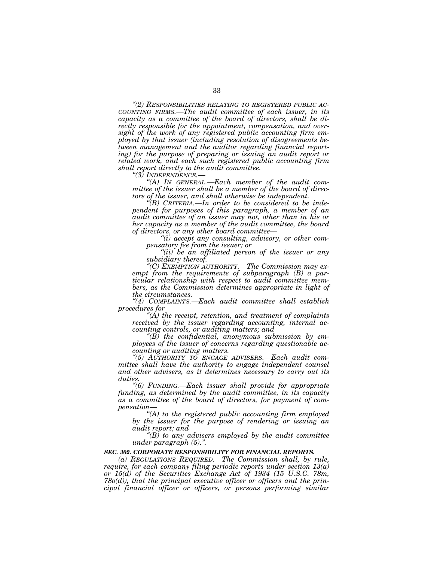*''(2) RESPONSIBILITIES RELATING TO REGISTERED PUBLIC AC- COUNTING FIRMS.—The audit committee of each issuer, in its capacity as a committee of the board of directors, shall be directly responsible for the appointment, compensation, and oversight of the work of any registered public accounting firm employed by that issuer (including resolution of disagreements between management and the auditor regarding financial reporting)* for the purpose of preparing or issuing an audit report or *related work, and each such registered public accounting firm shall report directly to the audit committee. ''(3) INDEPENDENCE.— ''(A) IN GENERAL.—Each member of the audit com-*

*mittee of the issuer shall be a member of the board of direc-*

*the inde- the inde-In order to be considered to be independent for purposes of this paragraph, a member of an audit committee of an issuer may not, other than in his or her capacity as a member of the audit committee, the board* 

*of directors, or any other board committee—*<br> *''(i) accept any consulting, advisory, or other com-*<br> *pensatory fee from the issuer; or* 

*perfiliated person of the issuer or any*  $\frac{d}{dx}$  *iii) be an affiliated person of the issuer or any subsidiary thereof.* 

*''(C) EXEMPTION AUTHORITY.—The Commission may exempt from the requirements of subparagraph (B) a particular relationship with respect to audit committee members, as the Commission determines appropriate in light of the circumstances.* 

*''(4) COMPLAINTS.—Each audit committee shall establish procedures for— ''(A) the receipt, retention, and treatment of complaints* 

*received by the issuer regarding accounting, internal ac-*

*counting controls, or auditing matters; and ''(B) the confidential, anonymous submission by employees of the issuer of concerns regarding questionable accounting or auditing matters.* 

*''(5) AUTHORITY TO ENGAGE ADVISERS.—Each audit committee shall have the authority to engage independent counsel and other advisers, as it determines necessary to carry out its* 

*duties. ''(6) FUNDING.—Each issuer shall provide for appropriate funding, as determined by the audit committee, in its capacity as a committee of the board of directors, for payment of compensation—*

*''(A) to the registered public accounting firm employed by the issuer for the purpose of rendering or issuing an audit report; and* 

*''(B) to any advisers employed by the audit committee under paragraph (5).''.* 

## *SEC. 302. CORPORATE RESPONSIBILITY FOR FINANCIAL REPORTS.*

*(a) REGULATIONS REQUIRED.—The Commission shall, by rule, require, for each company filing periodic reports under section 13(a) or 15(d) of the Securities Exchange Act of 1934 (15 U.S.C. 78m, 78o(d)), that the principal executive officer or officers and the principal financial officer or officers, or persons performing similar*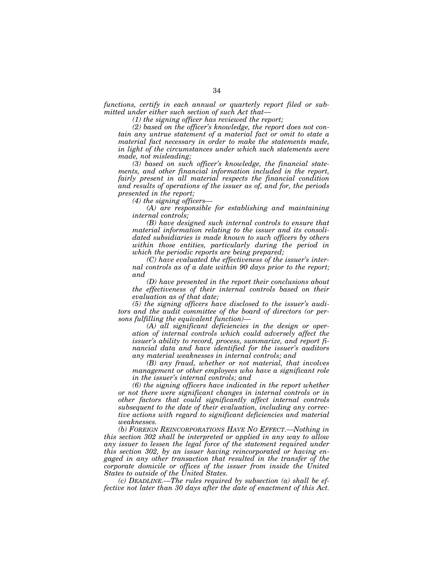*functions, certify in each annual or quarterly report filed or submitted under either such section of such Act that—*

*(1) the signing officer has reviewed the report;* 

*(2) based on the officer's knowledge, the report does not contain any untrue statement of a material fact or omit to state a material fact necessary in order to make the statements made, in light of the circumstances under which such statements were made, not misleading;* 

*(3) based on such officer's knowledge, the financial statements, and other financial information included in the report, fairly present in all material respects the financial condition and results of operations of the issuer as of, and for, the periods presented in the report;* 

*(4) the signing officers—*

*(A) are responsible for establishing and maintaining internal controls;* 

*(B) have designed such internal controls to ensure that material information relating to the issuer and its consolidated subsidiaries is made known to such officers by others within those entities, particularly during the period in which the periodic reports are being prepared;* 

*(C) have evaluated the effectiveness of the issuer's internal controls as of a date within 90 days prior to the report; and* 

*(D) have presented in the report their conclusions about the effectiveness of their internal controls based on their evaluation as of that date;*

*(5) the signing officers have disclosed to the issuer's auditors and the audit committee of the board of directors (or persons fulfilling the equivalent function)—*

*(A) all significant deficiencies in the design or operation of internal controls which could adversely affect the issuer's ability to record, process, summarize, and report financial data and have identified for the issuer's auditors any material weaknesses in internal controls; and* 

*(B) any fraud, whether or not material, that involves management or other employees who have a significant role in the issuer's internal controls; and* 

*(6) the signing officers have indicated in the report whether or not there were significant changes in internal controls or in other factors that could significantly affect internal controls subsequent to the date of their evaluation, including any corrective actions with regard to significant deficiencies and material weaknesses.* 

*(b) FOREIGN REINCORPORATIONS HAVE NO EFFECT.—Nothing in this section 302 shall be interpreted or applied in any way to allow*  any issuer to lessen the legal force of the statement required under *this section 302, by an issuer having reincorporated or having engaged in any other transaction that resulted in the transfer of the corporate domicile or offices of the issuer from inside the United States to outside of the United States.* 

*(c) DEADLINE.—The rules required by subsection (a) shall be effective not later than 30 days after the date of enactment of this Act.*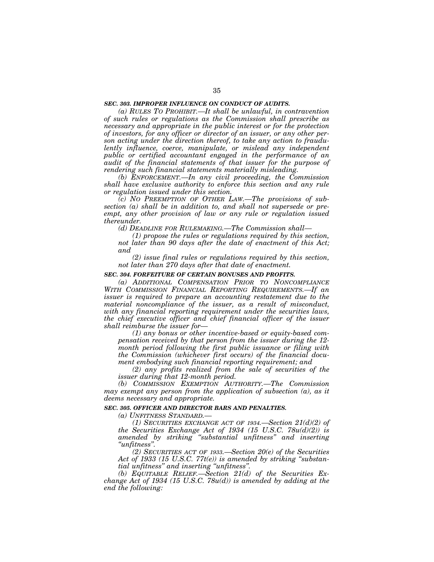## *SEC. 303. IMPROPER INFLUENCE ON CONDUCT OF AUDITS.*

*(a) RULES TO PROHIBIT.—It shall be unlawful, in contravention of such rules or regulations as the Commission shall prescribe as necessary and appropriate in the public interest or for the protection of investors, for any officer or director of an issuer, or any other person acting under the direction thereof, to take any action to fraudulently influence, coerce, manipulate, or mislead any independent public or certified accountant engaged in the performance of an audit of the financial statements of that issuer for the purpose of rendering such financial statements materially misleading.* 

*(b) ENFORCEMENT.—In any civil proceeding, the Commission shall have exclusive authority to enforce this section and any rule or regulation issued under this section.* 

*(c) NO PREEMPTION OF OTHER LAW.—The provisions of subsection (a) shall be in addition to, and shall not supersede or preempt, any other provision of law or any rule or regulation issued thereunder.* 

*(d) DEADLINE FOR RULEMAKING.—The Commission shall—*

*(1) propose the rules or regulations required by this section, not later than 90 days after the date of enactment of this Act; and* 

*(2) issue final rules or regulations required by this section, not later than 270 days after that date of enactment.* 

#### *SEC. 304. FORFEITURE OF CERTAIN BONUSES AND PROFITS.*

*(a) ADDITIONAL COMPENSATION PRIOR TO NONCOMPLIANCE WITH COMMISSION FINANCIAL REPORTING REQUIREMENTS.—If an issuer is required to prepare an accounting restatement due to the material noncompliance of the issuer, as a result of misconduct, with any financial reporting requirement under the securities laws, the chief executive officer and chief financial officer of the issuer shall reimburse the issuer for—*

*(1) any bonus or other incentive-based or equity-based compensation received by that person from the issuer during the 12 month period following the first public issuance or filing with the Commission (whichever first occurs) of the financial document embodying such financial reporting requirement; and* 

*(2) any profits realized from the sale of securities of the issuer during that 12-month period.* 

*(b) COMMISSION EXEMPTION AUTHORITY.—The Commission may exempt any person from the application of subsection (a), as it deems necessary and appropriate.* 

## *SEC. 305. OFFICER AND DIRECTOR BARS AND PENALTIES.*

*(a) UNFITNESS STANDARD.—*

*(1) SECURITIES EXCHANGE ACT OF 1934.—Section 21(d)(2) of the Securities Exchange Act of 1934 (15 U.S.C. 78u(d)(2)) is amended by striking ''substantial unfitness'' and inserting ''unfitness''.* 

*(2) SECURITIES ACT OF 1933.—Section 20(e) of the Securities Act of 1933 (15 U.S.C. 77t(e)) is amended by striking ''substantial unfitness'' and inserting ''unfitness''.* 

*(b) EQUITABLE RELIEF.—Section 21(d) of the Securities Exchange Act of 1934 (15 U.S.C. 78u(d)) is amended by adding at the end the following:*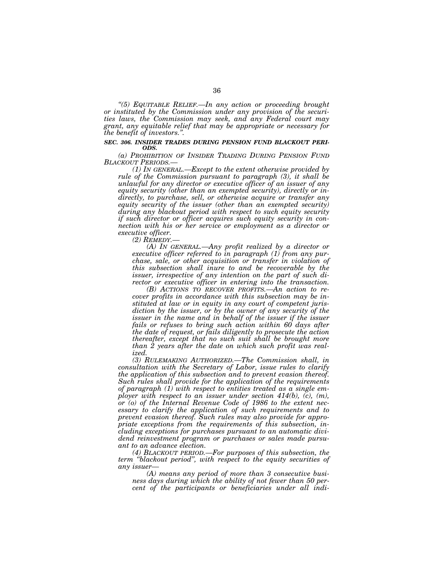*''(5) EQUITABLE RELIEF.—In any action or proceeding brought or instituted by the Commission under any provision of the securities laws, the Commission may seek, and any Federal court may grant, any equitable relief that may be appropriate or necessary for the benefit of investors.''.*

#### *SEC. 306. INSIDER TRADES DURING PENSION FUND BLACKOUT PERI-ODS.*

*(a) PROHIBITION OF INSIDER TRADING DURING PENSION FUND*

*(1)* In GENERAL.—Except to the extent otherwise provided by *rule of the Commission pursuant to paragraph (3), it shall be unlawful for any director or executive officer of an issuer of any equity security (other than an exempted security), directly or indirectly, to purchase, sell, or otherwise acquire or transfer any equity security of the issuer (other than an exempted security) during any blackout period with respect to such equity security if such director or officer acquires such equity security in connection with his or her service or employment as a director or executive officer.* 

*(2) REMEDY.— (A) IN GENERAL.—Any profit realized by a director or executive officer referred to in paragraph (1) from any purchase, sale, or other acquisition or transfer in violation of this subsection shall inure to and be recoverable by the issuer, irrespective of any intention on the part of such director or executive officer in entering into the transaction.* 

*(B) ACTIONS TO RECOVER PROFITS.—An action to recover profits in accordance with this subsection may be instituted at law or in equity in any court of competent jurisdiction by the issuer, or by the owner of any security of the issuer in the name and in behalf of the issuer if the issuer fails or refuses to bring such action within 60 days after the date of request, or fails diligently to prosecute the action thereafter, except that no such suit shall be brought more than 2 years after the date on which such profit was realized.* 

*(3) RULEMAKING AUTHORIZED.—The Commission shall, in consultation with the Secretary of Labor, issue rules to clarify the application of this subsection and to prevent evasion thereof. Such rules shall provide for the application of the requirements of paragraph (1) with respect to entities treated as a single employer with respect to an issuer under section 414(b), (c), (m), or (o) of the Internal Revenue Code of 1986 to the extent necessary to clarify the application of such requirements and to prevent evasion thereof. Such rules may also provide for appropriate exceptions from the requirements of this subsection, including exceptions for purchases pursuant to an automatic dividend reinvestment program or purchases or sales made pursuant to an advance election.*

*(4) BLACKOUT PERIOD.—For purposes of this subsection, the term ''blackout period'', with respect to the equity securities of any issuer—*

*(A) means any period of more than 3 consecutive business days during which the ability of not fewer than 50 percent of the participants or beneficiaries under all indi-*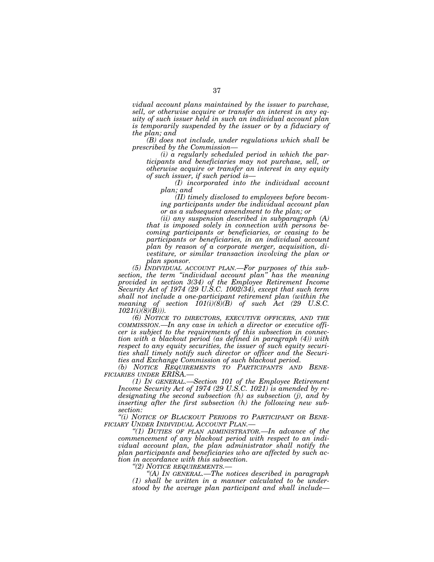*vidual account plans maintained by the issuer to purchase, sell, or otherwise acquire or transfer an interest in any equity of such issuer held in such an individual account plan is temporarily suspended by the issuer or by a fiduciary of the plan; and* 

*(B) does not include, under regulations which shall be prescribed by the Commission— (i) a regularly scheduled period in which the par-*

*ticipants and beneficiaries may not purchase, sell, or otherwise acquire or transfer an interest in any equity* 

*of such issuer, if such period is— (I) incorporated into the individual account plan; and* 

*(II) timely disclosed to employees before becoming participants under the individual account plan or as a subsequent amendment to the plan; or* 

*(ii) any suspension described in subparagraph (A) that is imposed solely in connection with persons becoming participants or beneficiaries, or ceasing to be participants or beneficiaries, in an individual account plan by reason of a corporate merger, acquisition, divestiture, or similar transaction involving the plan or plan sponsor.* 

*(5) INDIVIDUAL ACCOUNT PLAN.—For purposes of this subsection, the term ''individual account plan'' has the meaning provided in section 3(34) of the Employee Retirement Income Security Act of 1974 (29 U.S.C. 1002(34), except that such term shall not include a one-participant retirement plan (within the meaning of section 101(i)(8)(B) of such Act (29 U.S.C. 1021(i)(8)(B))).* 

*(6) NOTICE TO DIRECTORS, EXECUTIVE OFFICERS, AND THE COMMISSION.—In any case in which a director or executive officer is subject to the requirements of this subsection in connection with a blackout period (as defined in paragraph (4)) with respect to any equity securities, the issuer of such equity securities shall timely notify such director or officer and the Securities and Exchange Commission of such blackout period.* 

*(b) NOTICE REQUIREMENTS TO PARTICIPANTS AND BENE-*

*(1)* IN GENERAL.—Section 101 of the Employee Retirement *Income Security Act of 1974 (29 U.S.C. 1021) is amended by redesignating the second subsection (h) as subsection (j), and by inserting after the first subsection (h) the following new subsection:* 

*''(i) NOTICE OF BLACKOUT PERIODS TO PARTICIPANT OR BENE-FICIARY UNDER INDIVIDUAL ACCOUNT PLAN.—*

*''(1) DUTIES OF PLAN ADMINISTRATOR.—In advance of the commencement of any blackout period with respect to an individual account plan, the plan administrator shall notify the plan participants and beneficiaries who are affected by such action in accordance with this subsection. ''(2) NOTICE REQUIREMENTS.— ''(A) IN GENERAL.—The notices described in paragraph* 

*(1) shall be written in a manner calculated to be understood by the average plan participant and shall include—*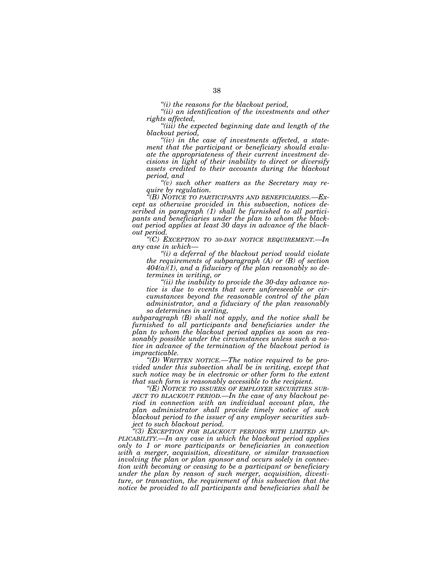*''(i) the reasons for the blackout period,* 

*''(ii) an identification of the investments and other* 

<sup>*rightarright affected beginning date and length of the blackout period,*</sup>

"(iv) in the case of investments affected, a state*ment that the participant or beneficiary should evaluate the appropriateness of their current investment decisions in light of their inability to direct or diversify assets credited to their accounts during the blackout* 

"(v) such other matters as the Secretary may re*quire by regulation.* 

*''(B) NOTICE TO PARTICIPANTS AND BENEFICIARIES.—Except as otherwise provided in this subsection, notices described in paragraph (1) shall be furnished to all participants and beneficiaries under the plan to whom the blackout period applies at least 30 days in advance of the blackout period. ''(C) EXCEPTION TO 30-DAY NOTICE REQUIREMENT.—In* 

*any case in which— ''(i) a deferral of the blackout period would violate* 

*the requirements of subparagraph (A) or (B) of section 404(a)(1), and a fiduciary of the plan reasonably so determines in writing, or ''(ii) the inability to provide the 30-day advance no-*

*tice is due to events that were unforeseeable or circumstances beyond the reasonable control of the plan administrator, and a fiduciary of the plan reasonably so determines in writing,* 

*subparagraph (B) shall not apply, and the notice shall be furnished to all participants and beneficiaries under the plan to whom the blackout period applies as soon as reasonably possible under the circumstances unless such a notice in advance of the termination of the blackout period is impracticable.* 

*''(D) WRITTEN NOTICE.—The notice required to be provided under this subsection shall be in writing, except that such notice may be in electronic or other form to the extent that such form is reasonably accessible to the recipient. ''(E) NOTICE TO ISSUERS OF EMPLOYER SECURITIES SUB-*

*JECT TO BLACKOUT PERIOD.—In the case of any blackout pe*riod in connection with an individual account plan, the *plan administrator shall provide timely notice of such blackout period to the issuer of any employer securities subject to such blackout period.* 

*PLICABILITY.—In any case in which the blackout period applies only to 1 or more participants or beneficiaries in connection with a merger, acquisition, divestiture, or similar transaction involving the plan or plan sponsor and occurs solely in connection with becoming or ceasing to be a participant or beneficiary under the plan by reason of such merger, acquisition, divestiture, or transaction, the requirement of this subsection that the notice be provided to all participants and beneficiaries shall be*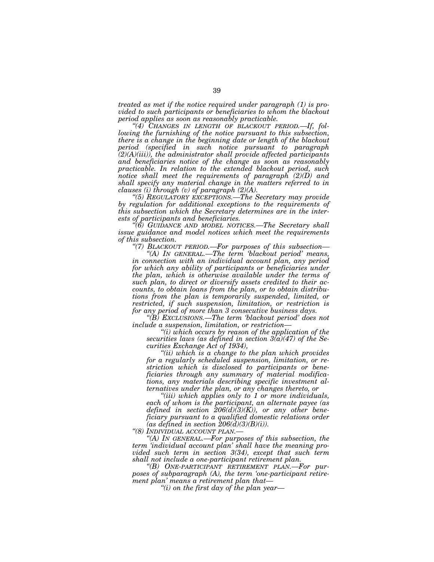*treated as met if the notice required under paragraph (1) is provided to such participants or beneficiaries to whom the blackout period applies as soon as reasonably practicable. ''(4) CHANGES IN LENGTH OF BLACKOUT PERIOD.—If, fol-*

*lowing the furnishing of the notice pursuant to this subsection, there is a change in the beginning date or length of the blackout period (specified in such notice pursuant to paragraph (2)(A)(iii)), the administrator shall provide affected participants and beneficiaries notice of the change as soon as reasonably practicable. In relation to the extended blackout period, such notice shall meet the requirements of paragraph (2)(D) and shall specify any material change in the matters referred to in clauses (i) through (v) of paragraph (2)(A).* 

*clauses (i) through (v) of paragraph (2)(A). ''(5) REGULATORY EXCEPTIONS.—The Secretary may provide by regulation for additional exceptions to the requirements of this subsection which the Secretary determines are in the interests of participants and beneficiaries. ''(6) GUIDANCE AND MODEL NOTICES.—The Secretary shall* 

*issue guidance and model notices which meet the requirements of this subsection. ''(7) BLACKOUT PERIOD.—For purposes of this subsection— ''(A) IN GENERAL.—The term 'blackout period' means,* 

*in connection with an individual account plan, any period for which any ability of participants or beneficiaries under the plan, which is otherwise available under the terms of such plan, to direct or diversify assets credited to their accounts, to obtain loans from the plan, or to obtain distributions from the plan is temporarily suspended, limited, or restricted, if such suspension, limitation, or restriction is for any period of more than 3 consecutive business days. ''(B) EXCLUSIONS.—The term 'blackout period' does not* 

*include a suspension, limitation, or restriction— ''(i) which occurs by reason of the application of the* 

*securities laws (as defined in section 3(a)(47) of the Securities Exchange Act of 1934),* 

*''(ii) which is a change to the plan which provides for a regularly scheduled suspension, limitation, or restriction which is disclosed to participants or beneficiaries through any summary of material modifications, any materials describing specific investment alternatives under the plan, or any changes thereto, or* 

*''(iii) which applies only to 1 or more individuals, each of whom is the participant, an alternate payee (as defined in section 206(d)(3)(K)), or any other beneficiary pursuant to a qualified domestic relations order*  (as defined in section  $206(d)(3)(B(i))$ .

*''(8) INDIVIDUAL ACCOUNT PLAN.—*

*''(A) IN GENERAL.—For purposes of this subsection, the term 'individual account plan' shall have the meaning provided such term in section 3(34), except that such term shall not include a one-participant retirement plan.* 

*''(B) ONE-PARTICIPANT RETIREMENT PLAN.—For purposes of subparagraph (A), the term 'one-participant retirement plan' means a retirement plan that— ''(i) on the first day of the plan year—*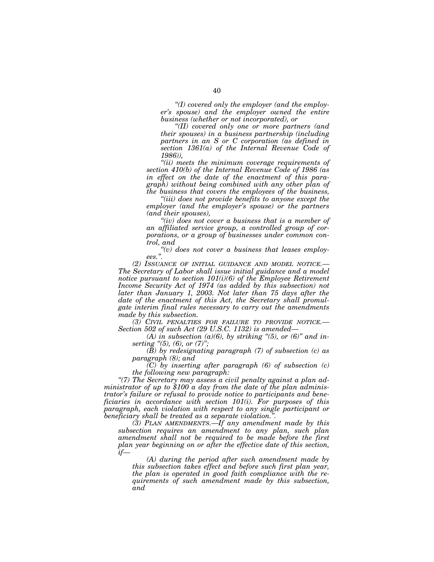*''(I) covered only the employer (and the employer's spouse) and the employer owned the entire business (whether or not incorporated), or* 

*''(II) covered only one or more partners (and their spouses) in a business partnership (including partners in an S or C corporation (as defined in section 1361(a) of the Internal Revenue Code of 1986)),* 

*''(ii) meets the minimum coverage requirements of section 410(b) of the Internal Revenue Code of 1986 (as in effect on the date of the enactment of this paragraph) without being combined with any other plan of the business that covers the employees of the business,* 

*''(iii) does not provide benefits to anyone except the employer (and the employer's spouse) or the partners (and their spouses),* 

*''(iv) does not cover a business that is a member of an affiliated service group, a controlled group of corporations, or a group of businesses under common control, and* 

*''(v) does not cover a business that leases employees.''.* 

*(2) ISSUANCE OF INITIAL GUIDANCE AND MODEL NOTICE.— The Secretary of Labor shall issue initial guidance and a model notice pursuant to section 101(i)(6) of the Employee Retirement Income Security Act of 1974 (as added by this subsection) not later than January 1, 2003. Not later than 75 days after the date of the enactment of this Act, the Secretary shall promulgate interim final rules necessary to carry out the amendments made by this subsection.* 

*(3) CIVIL PENALTIES FOR FAILURE TO PROVIDE NOTICE.— Section 502 of such Act (29 U.S.C. 1132) is amended—*

*(A) in subsection (a)(6), by striking ''(5), or (6)'' and inserting ''(5), (6), or (7)'';* 

*(B) by redesignating paragraph (7) of subsection (c) as paragraph (8); and* 

*(C) by inserting after paragraph (6) of subsection (c) the following new paragraph:* 

*''(7) The Secretary may assess a civil penalty against a plan administrator of up to \$100 a day from the date of the plan administrator's failure or refusal to provide notice to participants and beneficiaries in accordance with section 101(i). For purposes of this paragraph, each violation with respect to any single participant or beneficiary shall be treated as a separate violation.''.* 

*(3) PLAN AMENDMENTS.—If any amendment made by this subsection requires an amendment to any plan, such plan amendment shall not be required to be made before the first plan year beginning on or after the effective date of this section, if—*

*(A) during the period after such amendment made by this subsection takes effect and before such first plan year, the plan is operated in good faith compliance with the requirements of such amendment made by this subsection, and*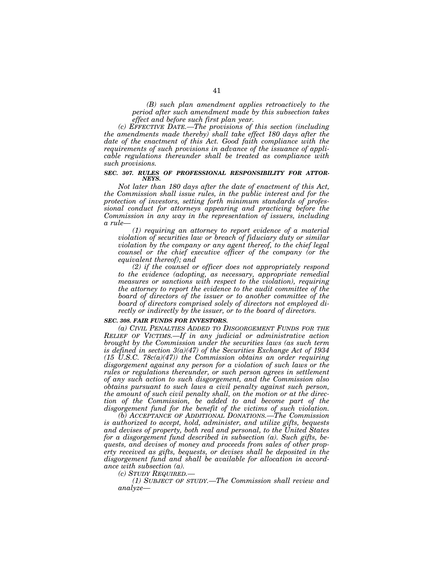*(B) such plan amendment applies retroactively to the period after such amendment made by this subsection takes effect and before such first plan year.* 

*(c) EFFECTIVE DATE.—The provisions of this section (including the amendments made thereby) shall take effect 180 days after the*  date of the enactment of this Act. Good faith compliance with the *requirements of such provisions in advance of the issuance of applicable regulations thereunder shall be treated as compliance with such provisions.* 

#### *SEC. 307. RULES OF PROFESSIONAL RESPONSIBILITY FOR ATTOR-NEYS.*

*Not later than 180 days after the date of enactment of this Act, the Commission shall issue rules, in the public interest and for the protection of investors, setting forth minimum standards of professional conduct for attorneys appearing and practicing before the Commission in any way in the representation of issuers, including a rule—*

*(1) requiring an attorney to report evidence of a material violation of securities law or breach of fiduciary duty or similar violation by the company or any agent thereof, to the chief legal counsel or the chief executive officer of the company (or the equivalent thereof); and* 

*(2) if the counsel or officer does not appropriately respond to the evidence (adopting, as necessary, appropriate remedial measures or sanctions with respect to the violation), requiring the attorney to report the evidence to the audit committee of the board of directors of the issuer or to another committee of the board of directors comprised solely of directors not employed directly or indirectly by the issuer, or to the board of directors.*

### *SEC. 308. FAIR FUNDS FOR INVESTORS.*

*(a) CIVIL PENALTIES ADDED TO DISGORGEMENT FUNDS FOR THE RELIEF OF VICTIMS.—If in any judicial or administrative action brought by the Commission under the securities laws (as such term is defined in section 3(a)(47) of the Securities Exchange Act of 1934 (15 U.S.C. 78c(a)(47)) the Commission obtains an order requiring disgorgement against any person for a violation of such laws or the rules or regulations thereunder, or such person agrees in settlement of any such action to such disgorgement, and the Commission also obtains pursuant to such laws a civil penalty against such person, the amount of such civil penalty shall, on the motion or at the direction of the Commission, be added to and become part of the disgorgement fund for the benefit of the victims of such violation.* 

*(b) ACCEPTANCE OF ADDITIONAL DONATIONS.—The Commission is authorized to accept, hold, administer, and utilize gifts, bequests and devises of property, both real and personal, to the United States for a disgorgement fund described in subsection (a). Such gifts, bequests, and devises of money and proceeds from sales of other property received as gifts, bequests, or devises shall be deposited in the disgorgement fund and shall be available for allocation in accordance with subsection (a).* 

*(c) STUDY REQUIRED.—*

*(1) SUBJECT OF STUDY.—The Commission shall review and analyze—*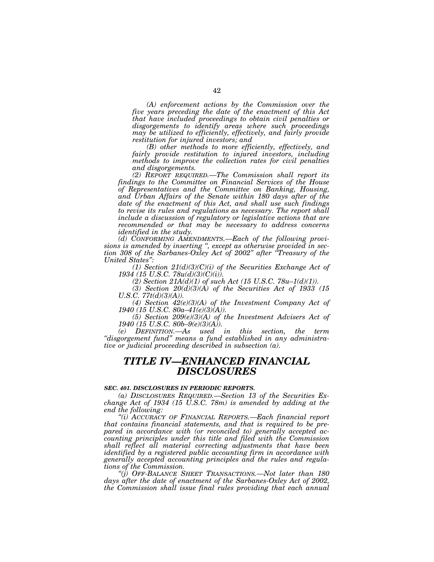*(A) enforcement actions by the Commission over the five years preceding the date of the enactment of this Act that have included proceedings to obtain civil penalties or disgorgements to identify areas where such proceedings may be utilized to efficiently, effectively, and fairly provide restitution for injured investors; and* 

*(B) other methods to more efficiently, effectively, and fairly provide restitution to injured investors, including methods to improve the collection rates for civil penalties and disgorgements.* 

*(2) REPORT REQUIRED.—The Commission shall report its findings to the Committee on Financial Services of the House of Representatives and the Committee on Banking, Housing, and Urban Affairs of the Senate within 180 days after of the date of the enactment of this Act, and shall use such findings to revise its rules and regulations as necessary. The report shall include a discussion of regulatory or legislative actions that are recommended or that may be necessary to address concerns identified in the study.* 

*(d) CONFORMING AMENDMENTS.—Each of the following provisions is amended by inserting '', except as otherwise provided in section 308 of the Sarbanes-Oxley Act of 2002'' after ''Treasury of the United States'':* 

*(1) Section 21(d)(3)(C)(i) of the Securities Exchange Act of 1934 (15 U.S.C. 78u(d)(3)(C)(i)).* 

*(2) Section 21A(d)(1) of such Act (15 U.S.C. 78u–1(d)(1)).* 

*(3) Section 20(d)(3)(A) of the Securities Act of 1933 (15 U.S.C. 77t(d)(3)(A)).* 

(4) Section  $42(e)(3)(A)$  of the Investment Company Act of *1940 (15 U.S.C. 80a–41(e)(3)(A)).* 

 $(5)$  Section  $209(e)(3)(A)$  of the Investment Advisers Act of *1940 (15 U.S.C. 80b–9(e)(3)(A)).* 

*(e) DEFINITION.—As used in this section, the term ''disgorgement fund'' means a fund established in any administrative or judicial proceeding described in subsection (a).* 

## *TITLE IV—ENHANCED FINANCIAL DISCLOSURES*

## *SEC. 401. DISCLOSURES IN PERIODIC REPORTS.*

*(a) DISCLOSURES REQUIRED.—Section 13 of the Securities Exchange Act of 1934 (15 U.S.C. 78m) is amended by adding at the end the following:* 

*''(i) ACCURACY OF FINANCIAL REPORTS.—Each financial report that contains financial statements, and that is required to be prepared in accordance with (or reconciled to) generally accepted accounting principles under this title and filed with the Commission shall reflect all material correcting adjustments that have been identified by a registered public accounting firm in accordance with generally accepted accounting principles and the rules and regulations of the Commission.* 

*''(j) OFF-BALANCE SHEET TRANSACTIONS.—Not later than 180 days after the date of enactment of the Sarbanes-Oxley Act of 2002, the Commission shall issue final rules providing that each annual*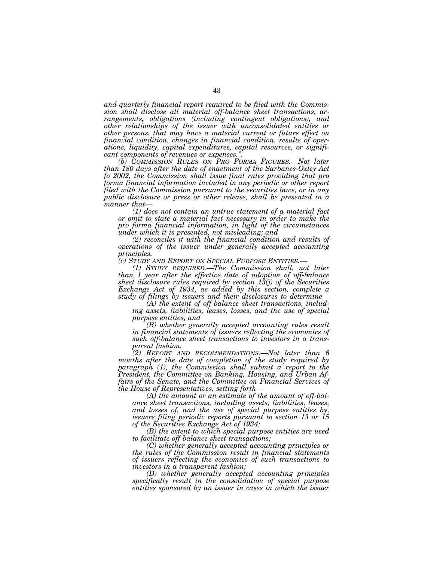*and quarterly financial report required to be filed with the Commission shall disclose all material off-balance sheet transactions, arrangements, obligations (including contingent obligations), and other relationships of the issuer with unconsolidated entities or other persons, that may have a material current or future effect on financial condition, changes in financial condition, results of operations, liquidity, capital expenditures, capital resources, or significant components of revenues or expenses.''. (b) COMMISSION RULES ON PRO FORMA FIGURES.—Not later* 

*than 180 days after the date of enactment of the Sarbanes-Oxley Act fo 2002, the Commission shall issue final rules providing that pro forma financial information included in any periodic or other report filed with the Commission pursuant to the securities laws, or in any public disclosure or press or other release, shall be presented in a manner that— (1) does not contain an untrue statement of a material fact* 

*or omit to state a material fact necessary in order to make the pro forma financial information, in light of the circumstances under which it is presented, not misleading; and* 

*(2) reconciles it with the financial condition and results of operations of the issuer under generally accepted accounting* 

*principles.*<br> *(c) STUDY AND REPORT ON SPECIAL PURPOSE ENTITIES.*—

*(1) STUDY REQUIRED.—The Commission shall, not later than 1 year after the effective date of adoption of off-balance sheet disclosure rules required by section 13(j) of the Securities Exchange Act of 1934, as added by this section, complete a study of filings by issuers and their disclosures to determine— (A) the extent of off-balance sheet transactions, includ-*

*ing assets, liabilities, leases, losses, and the use of special purpose entities; and* 

*(B) whether generally accepted accounting rules result in financial statements of issuers reflecting the economics of such off-balance sheet transactions to investors in a transparent fashion.* 

*(2) REPORT AND RECOMMENDATIONS.—Not later than 6 months after the date of completion of the study required by paragraph (1), the Commission shall submit a report to the President, the Committee on Banking, Housing, and Urban Affairs of the Senate, and the Committee on Financial Services of the House of Representatives, setting forth— (A) the amount or an estimate of the amount of off-bal-*

*ance sheet transactions, including assets, liabilities, leases, and losses of, and the use of special purpose entities by, issuers filing periodic reports pursuant to section 13 or 15 of the Securities Exchange Act of 1934;* 

*(B) the extent to which special purpose entities are used to facilitate off-balance sheet transactions;* 

*(C) whether generally accepted accounting principles or the rules of the Commission result in financial statements of issuers reflecting the economics of such transactions to investors in a transparent fashion;* 

*(D) whether generally accepted accounting principles specifically result in the consolidation of special purpose entities sponsored by an issuer in cases in which the issuer*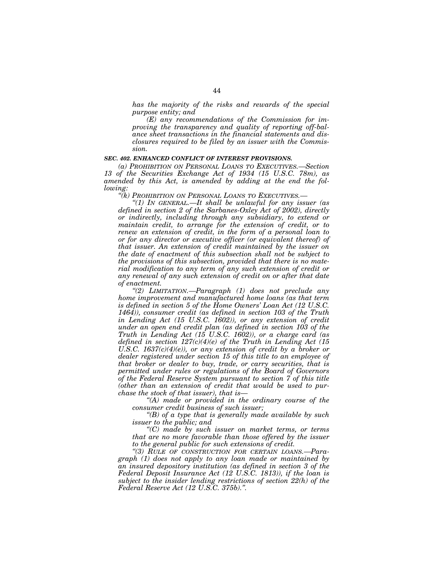*has the majority of the risks and rewards of the special purpose entity; and* 

*(E) any recommendations of the Commission for improving the transparency and quality of reporting off-balance sheet transactions in the financial statements and disclosures required to be filed by an issuer with the Commission.* 

#### *SEC. 402. ENHANCED CONFLICT OF INTEREST PROVISIONS.*

*(a) PROHIBITION ON PERSONAL LOANS TO EXECUTIVES.—Section 13 of the Securities Exchange Act of 1934 (15 U.S.C. 78m), as amended by this Act, is amended by adding at the end the following:* 

*''(k) PROHIBITION ON PERSONAL LOANS TO EXECUTIVES.—*

*''(1) IN GENERAL.—It shall be unlawful for any issuer (as defined in section 2 of the Sarbanes-Oxley Act of 2002), directly or indirectly, including through any subsidiary, to extend or maintain credit, to arrange for the extension of credit, or to renew an extension of credit, in the form of a personal loan to or for any director or executive officer (or equivalent thereof) of that issuer. An extension of credit maintained by the issuer on the date of enactment of this subsection shall not be subject to the provisions of this subsection, provided that there is no material modification to any term of any such extension of credit or any renewal of any such extension of credit on or after that date of enactment.* 

*''(2) LIMITATION.—Paragraph (1) does not preclude any home improvement and manufactured home loans (as that term is defined in section 5 of the Home Owners' Loan Act (12 U.S.C. 1464)), consumer credit (as defined in section 103 of the Truth in Lending Act (15 U.S.C. 1602)), or any extension of credit under an open end credit plan (as defined in section 103 of the Truth in Lending Act (15 U.S.C. 1602)), or a charge card (as defined in section 127(c)(4)(e) of the Truth in Lending Act (15 U.S.C. 1637(c)(4)(e)), or any extension of credit by a broker or dealer registered under section 15 of this title to an employee of that broker or dealer to buy, trade, or carry securities, that is permitted under rules or regulations of the Board of Governors of the Federal Reserve System pursuant to section 7 of this title (other than an extension of credit that would be used to purchase the stock of that issuer), that is—*

*''(A) made or provided in the ordinary course of the consumer credit business of such issuer;* 

*''(B) of a type that is generally made available by such issuer to the public; and* 

*''(C) made by such issuer on market terms, or terms that are no more favorable than those offered by the issuer to the general public for such extensions of credit.* 

*''(3) RULE OF CONSTRUCTION FOR CERTAIN LOANS.—Paragraph (1) does not apply to any loan made or maintained by an insured depository institution (as defined in section 3 of the Federal Deposit Insurance Act (12 U.S.C. 1813)), if the loan is subject to the insider lending restrictions of section 22(h) of the Federal Reserve Act (12 U.S.C. 375b).''.*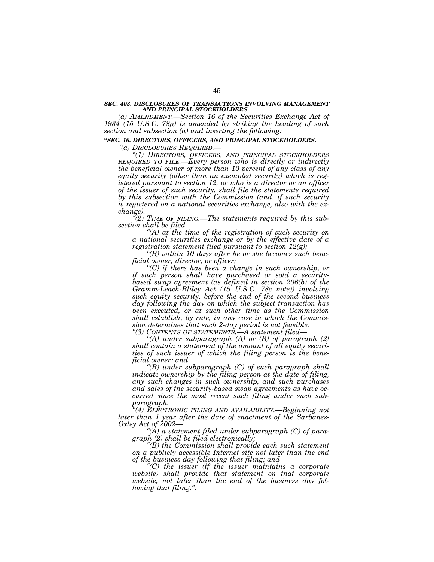# *SEC. 403. DISCLOSURES OF TRANSACTIONS INVOLVING MANAGEMENT AND PRINCIPAL STOCKHOLDERS.*

*(a) AMENDMENT.—Section 16 of the Securities Exchange Act of 1934 (15 U.S.C. 78p) is amended by striking the heading of such section and subsection (a) and inserting the following:* 

## *''SEC. 16. DIRECTORS, OFFICERS, AND PRINCIPAL STOCKHOLDERS.*

*''(a) DISCLOSURES REQUIRED.— ''(1) DIRECTORS, OFFICERS, AND PRINCIPAL STOCKHOLDERS REQUIRED TO FILE.—Every person who is directly or indirectly the beneficial owner of more than 10 percent of any class of any equity security (other than an exempted security) which is registered pursuant to section 12, or who is a director or an officer of the issuer of such security, shall file the statements required by this subsection with the Commission (and, if such security is registered on a national securities exchange, also with the ex-*

*change).*<br>
"(2) TIME OF FILING.—The statements required by this subsection shall be filed—

*sall at the time of the registration of such security on a national securities exchange or by the effective date of a* 

*registration statement filed pursuant to section 12(g); ''(B) within 10 days after he or she becomes such bene-*

*ficial owner, director, or officer; ''(C) if there has been a change in such ownership, or if such person shall have purchased or sold a securitybased swap agreement (as defined in section 206(b) of the Gramm-Leach-Bliley Act (15 U.S.C. 78c note)) involving such equity security, before the end of the second business day following the day on which the subject transaction has been executed, or at such other time as the Commission shall establish, by rule, in any case in which the Commission determines that such 2-day period is not feasible.* 

*''(3) CONTENTS OF STATEMENTS.—A statement filed—*

*''(A) under subparagraph (A) or (B) of paragraph (2) shall contain a statement of the amount of all equity securities of such issuer of which the filing person is the beneficial owner; and* 

*''(B) under subparagraph (C) of such paragraph shall indicate ownership by the filing person at the date of filing, any such changes in such ownership, and such purchases and sales of the security-based swap agreements as have occurred since the most recent such filing under such subparagraph.* 

*''(4) ELECTRONIC FILING AND AVAILABILITY.—Beginning not later than 1 year after the date of enactment of the Sarbanes-Oxley Act of 2002—*

*''(A) a statement filed under subparagraph (C) of paragraph (2) shall be filed electronically;* 

*''(B) the Commission shall provide each such statement on a publicly accessible Internet site not later than the end of the business day following that filing; and* 

*''(C) the issuer (if the issuer maintains a corporate website) shall provide that statement on that corporate website, not later than the end of the business day following that filing.''.*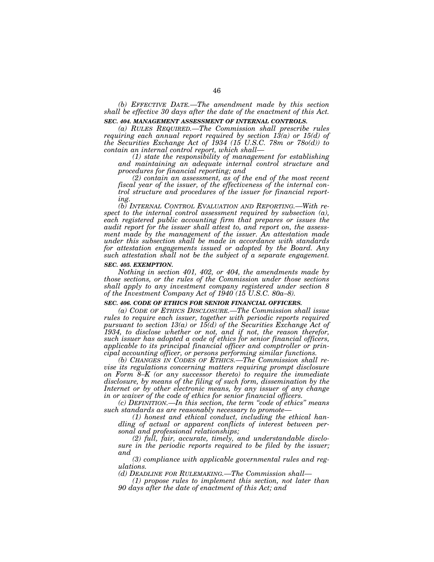*(b) EFFECTIVE DATE.—The amendment made by this section shall be effective 30 days after the date of the enactment of this Act. SEC. 404. MANAGEMENT ASSESSMENT OF INTERNAL CONTROLS.* 

*(a) RULES REQUIRED.—The Commission shall prescribe rules requiring each annual report required by section 13(a) or 15(d) of the Securities Exchange Act of 1934 (15 U.S.C. 78m or 78o(d)) to* 

*(1) state the responsibility of management for establishing and maintaining an adequate internal control structure and procedures for financial reporting; and* 

*(2) contain an assessment, as of the end of the most recent fiscal year of the issuer, of the effectiveness of the internal control structure and procedures of the issuer for financial reporting.* 

*(b) INTERNAL CONTROL EVALUATION AND REPORTING.—With respect to the internal control assessment required by subsection (a), each registered public accounting firm that prepares or issues the audit report for the issuer shall attest to, and report on, the assessment made by the management of the issuer. An attestation made under this subsection shall be made in accordance with standards for attestation engagements issued or adopted by the Board. Any such attestation shall not be the subject of a separate engagement.* 

#### *SEC. 405. EXEMPTION.*

*Nothing in section 401, 402, or 404, the amendments made by those sections, or the rules of the Commission under those sections shall apply to any investment company registered under section 8 of the Investment Company Act of 1940 (15 U.S.C. 80a–8).* 

#### *SEC. 406. CODE OF ETHICS FOR SENIOR FINANCIAL OFFICERS.*

*(a) CODE OF ETHICS DISCLOSURE.—The Commission shall issue rules to require each issuer, together with periodic reports required pursuant to section 13(a) or 15(d) of the Securities Exchange Act of 1934, to disclose whether or not, and if not, the reason therefor, such issuer has adopted a code of ethics for senior financial officers, applicable to its principal financial officer and comptroller or principal accounting officer, or persons performing similar functions.* 

*(b) CHANGES IN CODES OF ETHICS.—The Commission shall revise its regulations concerning matters requiring prompt disclosure on Form 8–K (or any successor thereto) to require the immediate disclosure, by means of the filing of such form, dissemination by the Internet or by other electronic means, by any issuer of any change in or waiver of the code of ethics for senior financial officers.* 

*(c) DEFINITION.—In this section, the term "code of ethics" means such standards as are reasonably necessary to promote—* 

*such standards as are reasonably necessary to promote— (1) honest and ethical conduct, including the ethical handling of actual or apparent conflicts of interest between personal and professional relationships;* 

*(2) full, fair, accurate, timely, and understandable disclosure in the periodic reports required to be filed by the issuer; and*

*(3) compliance with applicable governmental rules and regulations.* 

*(d) DEADLINE FOR RULEMAKING.—The Commission shall—*

*(1) propose rules to implement this section, not later than 90 days after the date of enactment of this Act; and*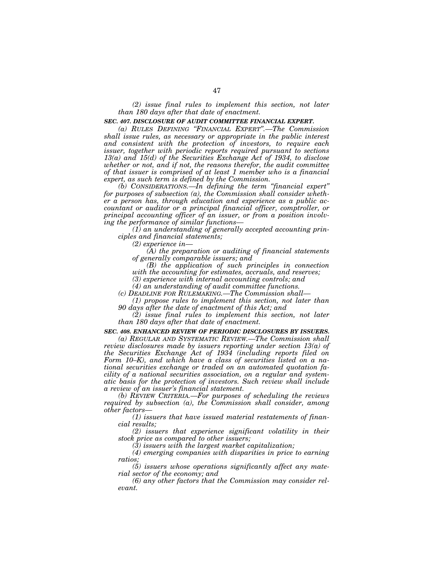*(2) issue final rules to implement this section, not later than 180 days after that date of enactment.* 

#### *SEC. 407. DISCLOSURE OF AUDIT COMMITTEE FINANCIAL EXPERT.*

*(a) RULES DEFINING ''FINANCIAL EXPERT''.—The Commission shall issue rules, as necessary or appropriate in the public interest and consistent with the protection of investors, to require each issuer, together with periodic reports required pursuant to sections 13(a) and 15(d) of the Securities Exchange Act of 1934, to disclose whether or not, and if not, the reasons therefor, the audit committee of that issuer is comprised of at least 1 member who is a financial expert, as such term is defined by the Commission.* 

*(b) CONSIDERATIONS.—In defining the term ''financial expert'' for purposes of subsection (a), the Commission shall consider whether a person has, through education and experience as a public accountant or auditor or a principal financial officer, comptroller, or principal accounting officer of an issuer, or from a position involving the performance of similar functions—*

*(1) an understanding of generally accepted accounting principles and financial statements;* 

*(2) experience in—*

*(A) the preparation or auditing of financial statements of generally comparable issuers; and* 

*(B) the application of such principles in connection with the accounting for estimates, accruals, and reserves; (3) experience with internal accounting controls; and* 

*(4) an understanding of audit committee functions.* 

*(c) DEADLINE FOR RULEMAKING.—The Commission shall—*

*(1) propose rules to implement this section, not later than 90 days after the date of enactment of this Act; and* 

*(2) issue final rules to implement this section, not later than 180 days after that date of enactment.*

## *SEC. 408. ENHANCED REVIEW OF PERIODIC DISCLOSURES BY ISSUERS.*

*(a) REGULAR AND SYSTEMATIC REVIEW.—The Commission shall review disclosures made by issuers reporting under section 13(a) of the Securities Exchange Act of 1934 (including reports filed on Form 10–K), and which have a class of securities listed on a national securities exchange or traded on an automated quotation facility of a national securities association, on a regular and systematic basis for the protection of investors. Such review shall include a review of an issuer's financial statement.* 

*(b) REVIEW CRITERIA.—For purposes of scheduling the reviews required by subsection (a), the Commission shall consider, among other factors—*

*(1) issuers that have issued material restatements of financial results;* 

*(2) issuers that experience significant volatility in their stock price as compared to other issuers;* 

*(3) issuers with the largest market capitalization;* 

*(4) emerging companies with disparities in price to earning ratios;* 

*(5) issuers whose operations significantly affect any material sector of the economy; and* 

*(6) any other factors that the Commission may consider relevant.*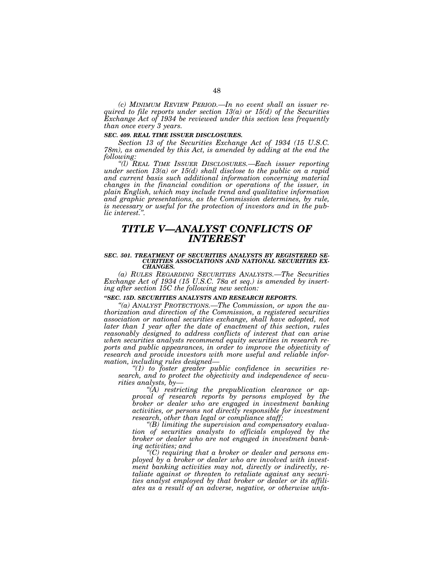*(c) MINIMUM REVIEW PERIOD.—In no event shall an issuer required to file reports under section 13(a) or 15(d) of the Securities Exchange Act of 1934 be reviewed under this section less frequently than once every 3 years.* 

#### *SEC. 409. REAL TIME ISSUER DISCLOSURES.*

*Section 13 of the Securities Exchange Act of 1934 (15 U.S.C. 78m), as amended by this Act, is amended by adding at the end the* 

*following: ''(l) REAL TIME ISSUER DISCLOSURES.—Each issuer reporting under section 13(a) or 15(d) shall disclose to the public on a rapid and current basis such additional information concerning material changes in the financial condition or operations of the issuer, in plain English, which may include trend and qualitative information*  and graphic presentations, as the Commission determines, by rule, *is necessary or useful for the protection of investors and in the pub-*<br>lie interest." *lic interest.''.* 

## *TITLE V—ANALYST CONFLICTS OF INTEREST*

#### *SEC. 501. TREATMENT OF SECURITIES ANALYSTS BY REGISTERED SE-CURITIES ASSOCIATIONS AND NATIONAL SECURITIES EX-CHANGES.*

*(a) RULES REGARDING SECURITIES ANALYSTS.—The Securities Exchange Act of 1934 (15 U.S.C. 78a et seq.) is amended by inserting after section 15C the following new section:* 

## *''SEC. 15D. SECURITIES ANALYSTS AND RESEARCH REPORTS.*

*''(a) ANALYST PROTECTIONS.—The Commission, or upon the authorization and direction of the Commission, a registered securities association or national securities exchange, shall have adopted, not later than 1 year after the date of enactment of this section, rules reasonably designed to address conflicts of interest that can arise when securities analysts recommend equity securities in research reports and public appearances, in order to improve the objectivity of research and provide investors with more useful and reliable infor-*

*mation, including rules designed— ''(1) to foster greater public confidence in securities research, and to protect the objectivity and independence of secu-*

"(A) restricting the prepublication clearance or ap*proval of research reports by persons employed by the broker or dealer who are engaged in investment banking activities, or persons not directly responsible for investment* 

*raal limiting the supervision and compensatory evaluation of securities analysts to officials employed by the broker or dealer who are not engaged in investment banking activities; and ''(C) requiring that a broker or dealer and persons em-*

*ployed by a broker or dealer who are involved with investment banking activities may not, directly or indirectly, retaliate against or threaten to retaliate against any securities analyst employed by that broker or dealer or its affiliates as a result of an adverse, negative, or otherwise unfa-*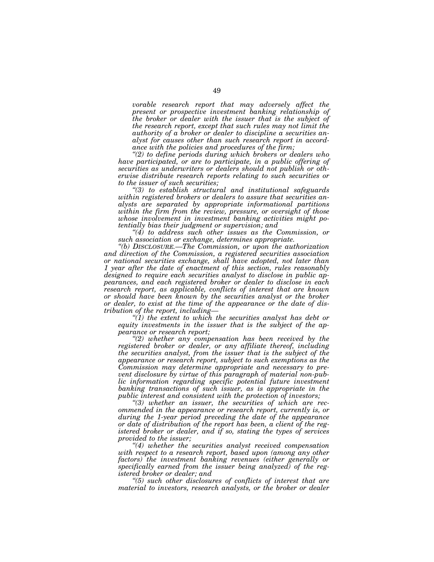*vorable research report that may adversely affect the present or prospective investment banking relationship of the broker or dealer with the issuer that is the subject of the research report, except that such rules may not limit the authority of a broker or dealer to discipline a securities analyst for causes other than such research report in accordance with the policies and procedures of the firm;* 

*''(2) to define periods during which brokers or dealers who have participated, or are to participate, in a public offering of securities as underwriters or dealers should not publish or otherwise distribute research reports relating to such securities or* 

*to the issuer of such securities; ''(3) to establish structural and institutional safeguards within registered brokers or dealers to assure that securities analysts are separated by appropriate informational partitions within the firm from the review, pressure, or oversight of those whose involvement in investment banking activities might po-*

*their their issues as the Commission, or*  $\frac{d}{dt}$  *to address such other issues as the Commission, or such association or exchange, determines appropriate.* 

*''(b) DISCLOSURE.—The Commission, or upon the authorization and direction of the Commission, a registered securities association or national securities exchange, shall have adopted, not later than 1 year after the date of enactment of this section, rules reasonably designed to require each securities analyst to disclose in public appearances, and each registered broker or dealer to disclose in each research report, as applicable, conflicts of interest that are known or should have been known by the securities analyst or the broker or dealer, to exist at the time of the appearance or the date of distribution of the report, including— ''(1) the extent to which the securities analyst has debt or* 

*equity investments in the issuer that is the subject of the ap-*

*parance or reportance or research research research by the*  $f(z)$  whether any compensation has been received by the *registered broker or dealer, or any affiliate thereof, including the securities analyst, from the issuer that is the subject of the appearance or research report, subject to such exemptions as the Commission may determine appropriate and necessary to prevent disclosure by virtue of this paragraph of material non-public information regarding specific potential future investment banking transactions of such issuer, as is appropriate in the public interest and consistent with the protection of investors;* 

*''(3) whether an issuer, the securities of which are recommended in the appearance or research report, currently is, or during the 1-year period preceding the date of the appearance or date of distribution of the report has been, a client of the registered broker or dealer, and if so, stating the types of services provided to the issuer;* 

*''(4) whether the securities analyst received compensation with respect to a research report, based upon (among any other factors) the investment banking revenues (either generally or specifically earned from the issuer being analyzed) of the registered broker or dealer; and* 

*''(5) such other disclosures of conflicts of interest that are material to investors, research analysts, or the broker or dealer*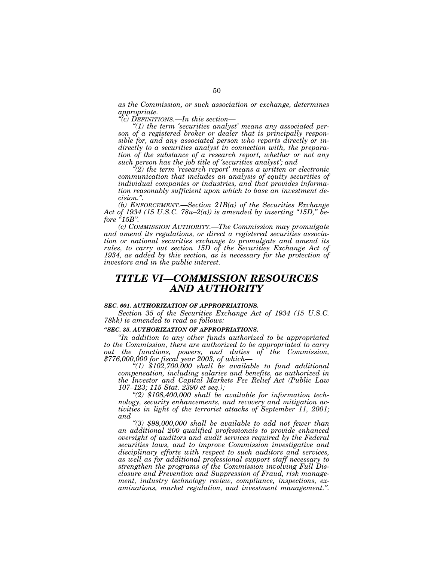*as the Commission, or such association or exchange, determines appropriate.* 

*''(c) DEFINITIONS.—In this section—*

*''(1) the term 'securities analyst' means any associated person of a registered broker or dealer that is principally responsible for, and any associated person who reports directly or indirectly to a securities analyst in connection with, the preparation of the substance of a research report, whether or not any such person has the job title of 'securities analyst'; and* 

*''(2) the term 'research report' means a written or electronic communication that includes an analysis of equity securities of individual companies or industries, and that provides information reasonably sufficient upon which to base an investment decision.''.* 

*(b) ENFORCEMENT.—Section 21B(a) of the Securities Exchange Act of 1934 (15 U.S.C. 78u–2(a)) is amended by inserting ''15D,'' before ''15B''.* 

*(c) COMMISSION AUTHORITY.—The Commission may promulgate and amend its regulations, or direct a registered securities association or national securities exchange to promulgate and amend its*  rules, to carry out section 15D of the Securities Exchange Act of 1934, as added by this section, as is necessary for the protection of *investors and in the public interest.* 

## *TITLE VI—COMMISSION RESOURCES AND AUTHORITY*

#### *SEC. 601. AUTHORIZATION OF APPROPRIATIONS.*

*Section 35 of the Securities Exchange Act of 1934 (15 U.S.C. 78kk) is amended to read as follows:* 

#### *''SEC. 35. AUTHORIZATION OF APPROPRIATIONS.*

*''In addition to any other funds authorized to be appropriated to the Commission, there are authorized to be appropriated to carry out the functions, powers, and duties of the Commission, \$776,000,000 for fiscal year 2003, of which—*

*''(1) \$102,700,000 shall be available to fund additional compensation, including salaries and benefits, as authorized in the Investor and Capital Markets Fee Relief Act (Public Law 107–123; 115 Stat. 2390 et seq.);* 

*''(2) \$108,400,000 shall be available for information technology, security enhancements, and recovery and mitigation activities in light of the terrorist attacks of September 11, 2001; and* 

*''(3) \$98,000,000 shall be available to add not fewer than an additional 200 qualified professionals to provide enhanced oversight of auditors and audit services required by the Federal securities laws, and to improve Commission investigative and disciplinary efforts with respect to such auditors and services, as well as for additional professional support staff necessary to strengthen the programs of the Commission involving Full Disclosure and Prevention and Suppression of Fraud, risk management, industry technology review, compliance, inspections, examinations, market regulation, and investment management.''.*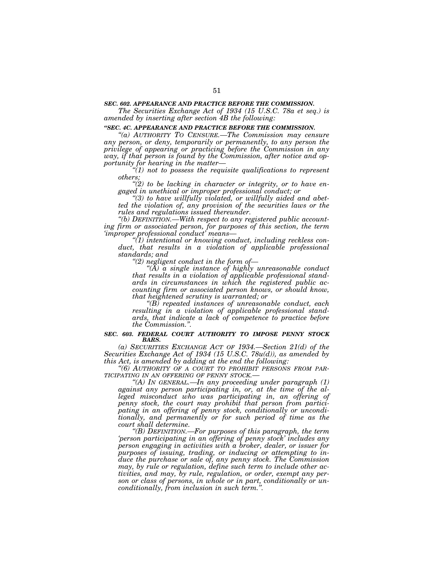## *SEC. 602. APPEARANCE AND PRACTICE BEFORE THE COMMISSION.*

*The Securities Exchange Act of 1934 (15 U.S.C. 78a et seq.) is amended by inserting after section 4B the following:* 

## *''SEC. 4C. APPEARANCE AND PRACTICE BEFORE THE COMMISSION.*

*''(a) AUTHORITY TO CENSURE.—The Commission may censure any person, or deny, temporarily or permanently, to any person the privilege of appearing or practicing before the Commission in any way, if that person is found by the Commission, after notice and op-*

*portunity for hearing in the matter—*<br>
"(1) not to possess the requisite qualifications to represent others:

*oute the lacking in character or integrity, or to have engaged in unethical or improper professional conduct; or gaged in unethical or improper professional conduct; or ''(3) to have willfully violated, or willfully aided and abet-*

*ted the violation of, any provision of the securities laws or the rules and regulations issued thereunder.* 

*''(b) DEFINITION.—With respect to any registered public accounting firm or associated person, for purposes of this section, the term* 

*'improper professional conduct' means— ''(1) intentional or knowing conduct, including reckless conduct, that results in a violation of applicable professional standards; and ''(2) negligent conduct in the form of— ''(A) a single instance of highly unreasonable conduct* 

*that results in a violation of applicable professional standards in circumstances in which the registered public accounting firm or associated person knows, or should know,* 

*that heightened scrutiny is warranted; or ''(B) repeated instances of unreasonable conduct, each resulting in a violation of applicable professional standards, that indicate a lack of competence to practice before the Commission.''.* 

#### *SEC. 603. FEDERAL COURT AUTHORITY TO IMPOSE PENNY STOCK BARS.*

*(a) SECURITIES EXCHANGE ACT OF 1934.—Section 21(d) of the Securities Exchange Act of 1934 (15 U.S.C. 78u(d)), as amended by* 

this Act, is amended by adding at the end the following:<br>"(6) AUTHORITY OF A COURT TO PROHIBIT PERSONS FROM PAR-<br>TICIPATING IN AN OFFERING OF PENNY STOCK.—<br>"(A) IN GENERAL.—In any proceeding under paragraph (1)

*against any person participating in, or, at the time of the al*leged misconduct who was participating in, an offering of *penny stock, the court may prohibit that person from participating in an offering of penny stock, conditionally or unconditionally, and permanently or for such period of time as the* 

*court shall determine. ''(B) DEFINITION.—For purposes of this paragraph, the term 'person participating in an offering of penny stock' includes any person engaging in activities with a broker, dealer, or issuer for purposes of issuing, trading, or inducing or attempting to induce the purchase or sale of, any penny stock. The Commission may, by rule or regulation, define such term to include other activities, and may, by rule, regulation, or order, exempt any person or class of persons, in whole or in part, conditionally or unconditionally, from inclusion in such term.''.*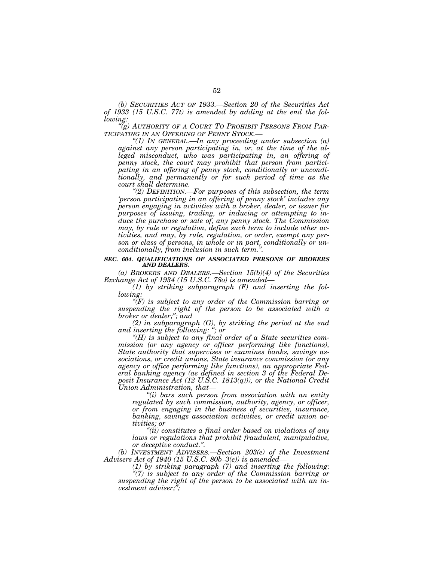*(b) SECURITIES ACT OF 1933.—Section 20 of the Securities Act of 1933 (15 U.S.C. 77t) is amended by adding at the end the following:* 

*''(g) AUTHORITY OF A COURT TO PROHIBIT PERSONS FROM PAR-TICIPATING IN AN OFFERING OF PENNY STOCK.—*

*''(1) IN GENERAL.—In any proceeding under subsection (a) against any person participating in, or, at the time of the alleged misconduct, who was participating in, an offering of penny stock, the court may prohibit that person from participating in an offering of penny stock, conditionally or unconditionally, and permanently or for such period of time as the court shall determine.* 

*''(2) DEFINITION.—For purposes of this subsection, the term 'person participating in an offering of penny stock' includes any person engaging in activities with a broker, dealer, or issuer for purposes of issuing, trading, or inducing or attempting to induce the purchase or sale of, any penny stock. The Commission may, by rule or regulation, define such term to include other activities, and may, by rule, regulation, or order, exempt any person or class of persons, in whole or in part, conditionally or unconditionally, from inclusion in such term.''.* 

## *SEC. 604. QUALIFICATIONS OF ASSOCIATED PERSONS OF BROKERS AND DEALERS.*

*(a) BROKERS AND DEALERS.—Section 15(b)(4) of the Securities Exchange Act of 1934 (15 U.S.C. 78o) is amended—*

*(1) by striking subparagraph (F) and inserting the following:*

*''(F) is subject to any order of the Commission barring or suspending the right of the person to be associated with a broker or dealer;''; and* 

*(2) in subparagraph (G), by striking the period at the end and inserting the following: ''; or* 

*''(H) is subject to any final order of a State securities commission (or any agency or officer performing like functions), State authority that supervises or examines banks, savings associations, or credit unions, State insurance commission (or any agency or office performing like functions), an appropriate Federal banking agency (as defined in section 3 of the Federal De*posit Insurance Act (12 U.S.C. 1813(q))), or the National Credit *Union Administration, that—*

*''(i) bars such person from association with an entity regulated by such commission, authority, agency, or officer, or from engaging in the business of securities, insurance, banking, savings association activities, or credit union activities; or* 

*''(ii) constitutes a final order based on violations of any laws or regulations that prohibit fraudulent, manipulative, or deceptive conduct.''.*

*(b) INVESTMENT ADVISERS.—Section 203(e) of the Investment Advisers Act of 1940 (15 U.S.C. 80b–3(e)) is amended—*

*(1) by striking paragraph (7) and inserting the following:* 

*''(7) is subject to any order of the Commission barring or suspending the right of the person to be associated with an investment adviser;'';*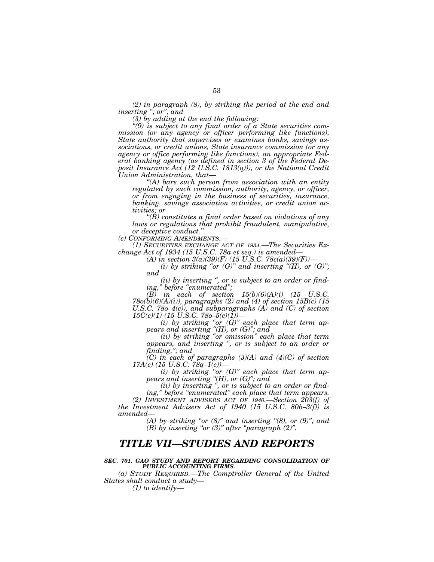*(2) in paragraph (8), by striking the period at the end and inserting ''; or''; and* 

*(3) by adding at the end the following:* 

*''(9) is subject to any final order of a State securities commission (or any agency or officer performing like functions), State authority that supervises or examines banks, savings associations, or credit unions, State insurance commission (or any agency or office performing like functions), an appropriate Federal banking agency (as defined in section 3 of the Federal De*posit Insurance Act (12 U.S.C. 1813(q))), or the National Credit *Union Administration, that— ''(A) bars such person from association with an entity* 

*regulated by such commission, authority, agency, or officer, or from engaging in the business of securities, insurance, banking, savings association activities, or credit union ac-*

*tivities; or ''(B) constitutes a final order based on violations of any laws or regulations that prohibit fraudulent, manipulative,* 

*(c) CONFORMING AMENDMENTS.—*<br>(1) SECURITIES EXCHANGE ACT OF 1934.—The Securities Ex*change Act of 1934 (15 U.S.C. 78a et seq.) is amended— (A) in section 3(a)(39)(F) (15 U.S.C. 78c(a)(39)(F))— (i) by striking ''or (G)'' and inserting ''(H), or (G)'';* 

*and* 

*(ii) by inserting '', or is subject to an order or finding,'' before ''enumerated'';* 

*(B) in each of section 15(b)(6)(A)(i) (15 U.S.C. 78o(b)(6)(A)(i)), paragraphs (2) and (4) of section 15B(c) (15 U.S.C. 78o–4(c)), and subparagraphs (A) and (C) of section*  $15C(c)(1)$  (15 U.S.C. 78o–5(c)(1))— *15C(c)(1) (15 U.S.C. 78o–5(c)(1))— (i) by striking ''or (G)'' each place that term ap-*

*pears and inserting ''(H), or (G)''; and* 

*(ii) by striking ''or omission'' each place that term appears, and inserting '', or is subject to an order or finding,''; and* 

*(C) in each of paragraphs (3)(A) and (4)(C) of section 17A(c) (15 U.S.C. 78q-1(c)) 17A(c) (15 U.S.C. 78q–1(c))— (i) by striking ''or (G)'' each place that term ap-*

*pears and inserting ''(H), or (G)''; and* 

*(ii) by inserting '', or is subject to an order or finding,'' before ''enumerated'' each place that term appears.* 

*(2) INVESTMENT ADVISERS ACT OF 1940.—Section 203(f) of the Investment Advisers Act of 1940 (15 U.S.C. 80b–3(f)) is amended—*

*(A) by striking ''or (8)'' and inserting ''(8), or (9)''; and (B) by inserting ''or (3)'' after ''paragraph (2)''.* 

## *TITLE VII—STUDIES AND REPORTS*

# *SEC. 701. GAO STUDY AND REPORT REGARDING CONSOLIDATION OF PUBLIC ACCOUNTING FIRMS.*

*(a) STUDY REQUIRED.—The Comptroller General of the United States shall conduct a study—*

*(1) to identify—*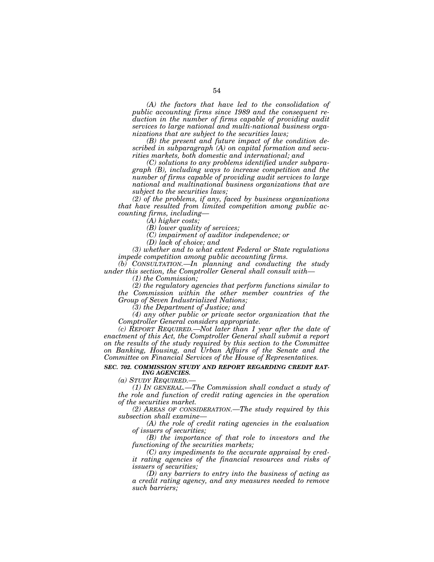*(A) the factors that have led to the consolidation of public accounting firms since 1989 and the consequent reduction in the number of firms capable of providing audit services to large national and multi-national business organizations that are subject to the securities laws;* 

*(B) the present and future impact of the condition described in subparagraph (A) on capital formation and securities markets, both domestic and international; and* 

*(C) solutions to any problems identified under subparagraph (B), including ways to increase competition and the number of firms capable of providing audit services to large national and multinational business organizations that are subject to the securities laws;* 

*(2) of the problems, if any, faced by business organizations that have resulted from limited competition among public accounting firms, including—*

*(A) higher costs;* 

*(B) lower quality of services;* 

*(C) impairment of auditor independence; or* 

*(D) lack of choice; and* 

*(3) whether and to what extent Federal or State regulations impede competition among public accounting firms.* 

*(b) CONSULTATION.—In planning and conducting the study under this section, the Comptroller General shall consult with—*

*(1) the Commission;* 

*(2) the regulatory agencies that perform functions similar to the Commission within the other member countries of the Group of Seven Industrialized Nations;* 

*(3) the Department of Justice; and* 

*(4) any other public or private sector organization that the Comptroller General considers appropriate.* 

*(c) REPORT REQUIRED.—Not later than 1 year after the date of enactment of this Act, the Comptroller General shall submit a report on the results of the study required by this section to the Committee on Banking, Housing, and Urban Affairs of the Senate and the Committee on Financial Services of the House of Representatives.* 

## *SEC. 702. COMMISSION STUDY AND REPORT REGARDING CREDIT RAT-ING AGENCIES.*

*(a) STUDY REQUIRED.—*

*(1) IN GENERAL.—The Commission shall conduct a study of the role and function of credit rating agencies in the operation of the securities market.* 

*(2) AREAS OF CONSIDERATION.—The study required by this subsection shall examine—*

*(A) the role of credit rating agencies in the evaluation of issuers of securities;* 

*(B) the importance of that role to investors and the functioning of the securities markets;* 

*(C) any impediments to the accurate appraisal by credit rating agencies of the financial resources and risks of issuers of securities;* 

*(D) any barriers to entry into the business of acting as a credit rating agency, and any measures needed to remove such barriers;*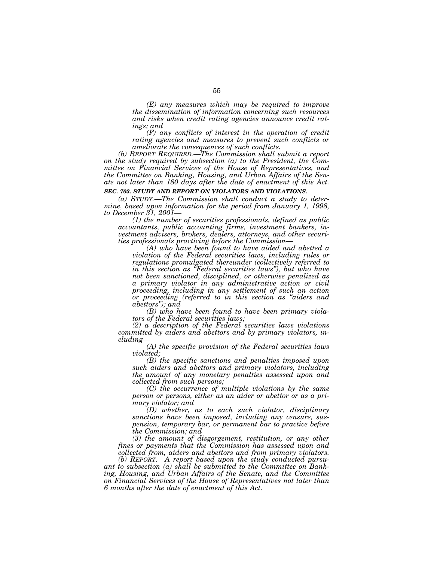*(E) any measures which may be required to improve the dissemination of information concerning such resources and risks when credit rating agencies announce credit ratings; and* 

*(F) any conflicts of interest in the operation of credit rating agencies and measures to prevent such conflicts or ameliorate the consequences of such conflicts.* 

*(b) REPORT REQUIRED.—The Commission shall submit a report on the study required by subsection (a) to the President, the Committee on Financial Services of the House of Representatives, and the Committee on Banking, Housing, and Urban Affairs of the Senate not later than 180 days after the date of enactment of this Act.*

## *SEC. 703. STUDY AND REPORT ON VIOLATORS AND VIOLATIONS.*

*(a) STUDY.—The Commission shall conduct a study to determine, based upon information for the period from January 1, 1998, to December 31, 2001— (1) the number of securities professionals, defined as public* 

*accountants, public accounting firms, investment bankers, investment advisers, brokers, dealers, attorneys, and other securi-*

*ties professionals practicing before the Commission— (A) who have been found to have aided and abetted a violation of the Federal securities laws, including rules or regulations promulgated thereunder (collectively referred to in this section as ''Federal securities laws''), but who have not been sanctioned, disciplined, or otherwise penalized as a primary violator in any administrative action or civil proceeding, including in any settlement of such an action or proceeding (referred to in this section as ''aiders and abettors''); and* 

*(B) who have been found to have been primary violators of the Federal securities laws;* 

*(2) a description of the Federal securities laws violations committed by aiders and abettors and by primary violators, including—*

*(A) the specific provision of the Federal securities laws violated;* 

*(B) the specific sanctions and penalties imposed upon such aiders and abettors and primary violators, including the amount of any monetary penalties assessed upon and collected from such persons;* 

*(C) the occurrence of multiple violations by the same person or persons, either as an aider or abettor or as a primary violator; and* 

*(D) whether, as to each such violator, disciplinary sanctions have been imposed, including any censure, suspension, temporary bar, or permanent bar to practice before the Commission; and* 

*(3) the amount of disgorgement, restitution, or any other fines or payments that the Commission has assessed upon and collected from, aiders and abettors and from primary violators.* 

*(b) REPORT.—A report based upon the study conducted pursuant to subsection (a) shall be submitted to the Committee on Banking, Housing, and Urban Affairs of the Senate, and the Committee on Financial Services of the House of Representatives not later than 6 months after the date of enactment of this Act.*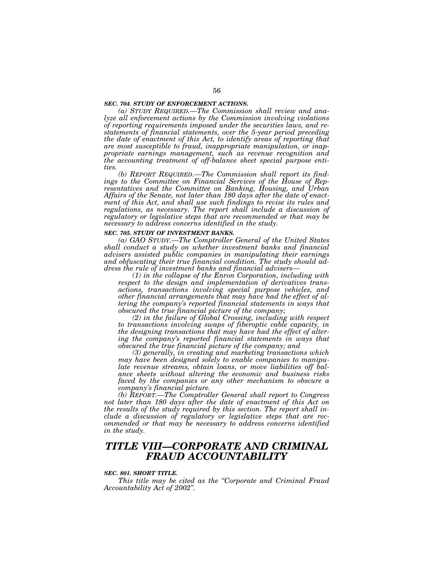## *SEC. 704. STUDY OF ENFORCEMENT ACTIONS.*

*(a) STUDY REQUIRED.—The Commission shall review and analyze all enforcement actions by the Commission involving violations of reporting requirements imposed under the securities laws, and restatements of financial statements, over the 5-year period preceding the date of enactment of this Act, to identify areas of reporting that are most susceptible to fraud, inappropriate manipulation, or inappropriate earnings management, such as revenue recognition and the accounting treatment of off-balance sheet special purpose entities.* 

*(b) REPORT REQUIRED.—The Commission shall report its findings to the Committee on Financial Services of the House of Representatives and the Committee on Banking, Housing, and Urban Affairs of the Senate, not later than 180 days after the date of enactment of this Act, and shall use such findings to revise its rules and regulations, as necessary. The report shall include a discussion of regulatory or legislative steps that are recommended or that may be necessary to address concerns identified in the study.* 

## *SEC. 705. STUDY OF INVESTMENT BANKS.*

*(a) GAO STUDY.—The Comptroller General of the United States shall conduct a study on whether investment banks and financial advisers assisted public companies in manipulating their earnings and obfuscating their true financial condition. The study should ad-*

*(1) in the collapse of the Enron Corporation, including with respect to the design and implementation of derivatives transactions, transactions involving special purpose vehicles, and other financial arrangements that may have had the effect of altering the company's reported financial statements in ways that obscured the true financial picture of the company;* 

*(2) in the failure of Global Crossing, including with respect to transactions involving swaps of fiberoptic cable capacity, in the designing transactions that may have had the effect of altering the company's reported financial statements in ways that obscured the true financial picture of the company; and* 

*(3) generally, in creating and marketing transactions which may have been designed solely to enable companies to manipulate revenue streams, obtain loans, or move liabilities off balance sheets without altering the economic and business risks faced by the companies or any other mechanism to obscure a company's financial picture.* 

*(b) REPORT.—The Comptroller General shall report to Congress not later than 180 days after the date of enactment of this Act on the results of the study required by this section. The report shall include a discussion of regulatory or legislative steps that are recommended or that may be necessary to address concerns identified in the study.*

## *TITLE VIII—CORPORATE AND CRIMINAL FRAUD ACCOUNTABILITY*

#### *SEC. 801. SHORT TITLE.*

*This title may be cited as the ''Corporate and Criminal Fraud Accountability Act of 2002''.*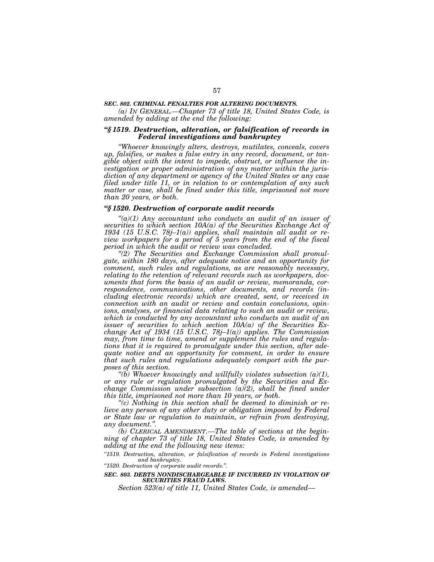#### *SEC. 802. CRIMINAL PENALTIES FOR ALTERING DOCUMENTS.*

*(a) IN GENERAL.—Chapter 73 of title 18, United States Code, is amended by adding at the end the following:* 

## *''§ 1519. Destruction, alteration, or falsification of records in Federal investigations and bankruptcy*

*''Whoever knowingly alters, destroys, mutilates, conceals, covers up, falsifies, or makes a false entry in any record, document, or tangible object with the intent to impede, obstruct, or influence the investigation or proper administration of any matter within the jurisdiction of any department or agency of the United States or any case filed under title 11, or in relation to or contemplation of any such matter or case, shall be fined under this title, imprisoned not more than 20 years, or both.* 

### *''§ 1520. Destruction of corporate audit records*

*''(a)(1) Any accountant who conducts an audit of an issuer of securities to which section 10A(a) of the Securities Exchange Act of 1934 (15 U.S.C. 78j–1(a)) applies, shall maintain all audit or review workpapers for a period of 5 years from the end of the fiscal period in which the audit or review was concluded.* 

*''(2) The Securities and Exchange Commission shall promulgate, within 180 days, after adequate notice and an opportunity for comment, such rules and regulations, as are reasonably necessary, relating to the retention of relevant records such as workpapers, documents that form the basis of an audit or review, memoranda, correspondence, communications, other documents, and records (including electronic records) which are created, sent, or received in connection with an audit or review and contain conclusions, opinions, analyses, or financial data relating to such an audit or review, which is conducted by any accountant who conducts an audit of an issuer of securities to which section 10A(a) of the Securities Exchange Act of 1934 (15 U.S.C. 78j–1(a)) applies. The Commission may, from time to time, amend or supplement the rules and regulations that it is required to promulgate under this section, after adequate notice and an opportunity for comment, in order to ensure that such rules and regulations adequately comport with the pur-*

"(b) Whoever knowingly and willfully violates subsection  $(a)(1)$ , *or any rule or regulation promulgated by the Securities and Exchange Commission under subsection (a)(2), shall be fined under* 

*this title, imprisoned not more than 10 years, or both. ''(c) Nothing in this section shall be deemed to diminish or relieve any person of any other duty or obligation imposed by Federal or State law or regulation to maintain, or refrain from destroying, any document.''. (b) CLERICAL AMENDMENT.—The table of sections at the begin-*

*ning of chapter 73 of title 18, United States Code, is amended by adding at the end the following new items:*

*''1519. Destruction, alteration, or falsification of records in Federal investigations and bankruptcy. ''1520. Destruction of corporate audit records.''.*

*SEC. 803. DEBTS NONDISCHARGEABLE IF INCURRED IN VIOLATION OF SECURITIES FRAUD LAWS.* 

*Section 523(a) of title 11, United States Code, is amended—*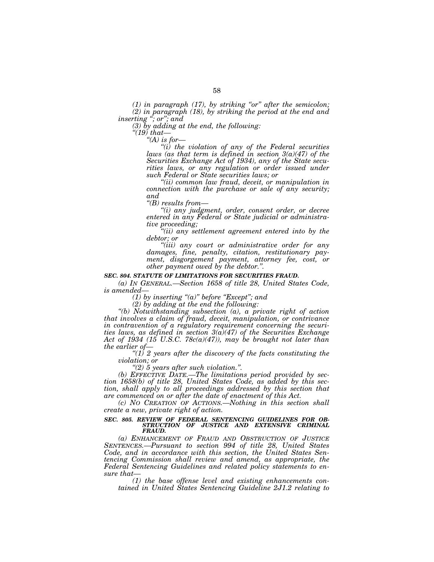*(1) in paragraph (17), by striking ''or'' after the semicolon; (2) in paragraph (18), by striking the period at the end and inserting ''; or''; and* 

*(3) by adding at the end, the following:* 

*''(19) that— ''(A) is for— ''(i) the violation of any of the Federal securities laws (as that term is defined in section 3(a)(47) of the Securities Exchange Act of 1934), any of the State securities laws, or any regulation or order issued under* 

*such Federal or State securities laws; or ''(ii) common law fraud, deceit, or manipulation in connection with the purchase or sale of any security;*  and<br>"(B) results from—

*''(B) results from— ''(i) any judgment, order, consent order, or decree entered in any Federal or State judicial or administrative proceeding; ''(ii) any settlement agreement entered into by the* 

*debtor; or ''(iii) any court or administrative order for any* 

*damages, fine, penalty, citation, restitutionary payment, disgorgement payment, attorney fee, cost, or other payment owed by the debtor.''.* 

#### *SEC. 804. STATUTE OF LIMITATIONS FOR SECURITIES FRAUD.*

*(a) IN GENERAL.—Section 1658 of title 28, United States Code,* 

*(1) by inserting "(a)" before "Except"; and (2) by adding at the end the following:* 

*(2) by adding at the end the following: ''(b) Notwithstanding subsection (a), a private right of action that involves a claim of fraud, deceit, manipulation, or contrivance in contravention of a regulatory requirement concerning the securities laws, as defined in section 3(a)(47) of the Securities Exchange Act of 1934 (15 U.S.C. 78c(a)(47)), may be brought not later than* 

<sup>"(1)</sup> 2 years after the discovery of the facts constituting the

*violation; or ''(2) 5 years after such violation.''. (b) EFFECTIVE DATE.—The limitations period provided by section 1658(b) of title 28, United States Code, as added by this section, shall apply to all proceedings addressed by this section that are commenced on or after the date of enactment of this Act.* 

*(c) NO CREATION OF ACTIONS.—Nothing in this section shall create a new, private right of action.* 

#### *SEC. 805. REVIEW OF FEDERAL SENTENCING GUIDELINES FOR OB-STRUCTION OF JUSTICE AND EXTENSIVE CRIMINAL FRAUD.*

*(a) ENHANCEMENT OF FRAUD AND OBSTRUCTION OF JUSTICE SENTENCES.—Pursuant to section 994 of title 28, United States Code, and in accordance with this section, the United States Sentencing Commission shall review and amend, as appropriate, the Federal Sentencing Guidelines and related policy statements to ensure that—*

*(1) the base offense level and existing enhancements contained in United States Sentencing Guideline 2J1.2 relating to*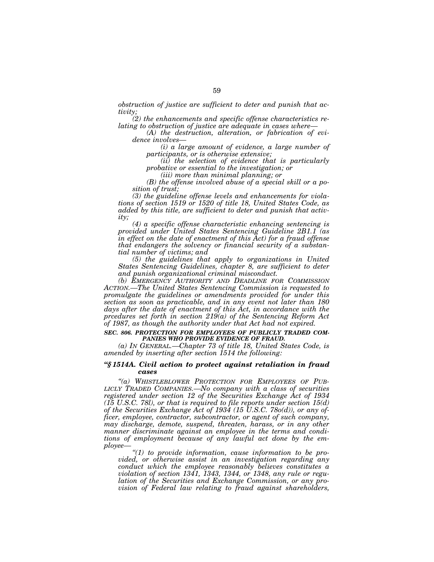*obstruction of justice are sufficient to deter and punish that activity;* 

*(2) the enhancements and specific offense characteristics re-*

*lating to obstruction of justice are adequate in cases where— (A) the destruction, alteration, or fabrication of evi-*

*dence involves— (i) a large amount of evidence, a large number of participants, or is otherwise extensive;* 

*(ii) the selection of evidence that is particularly probative or essential to the investigation; or* 

*(iii) more than minimal planning; or* 

*(B) the offense involved abuse of a special skill or a position of trust;* 

*(3) the guideline offense levels and enhancements for violations of section 1519 or 1520 of title 18, United States Code, as added by this title, are sufficient to deter and punish that activity;* 

*(4) a specific offense characteristic enhancing sentencing is provided under United States Sentencing Guideline 2B1.1 (as in effect on the date of enactment of this Act) for a fraud offense that endangers the solvency or financial security of a substantial number of victims; and* 

*(5) the guidelines that apply to organizations in United States Sentencing Guidelines, chapter 8, are sufficient to deter and punish organizational criminal misconduct.* 

*(b) EMERGENCY AUTHORITY AND DEADLINE FOR COMMISSION ACTION.—The United States Sentencing Commission is requested to promulgate the guidelines or amendments provided for under this section as soon as practicable, and in any event not later than 180*  days after the date of enactment of this Act, in accordance with the *prcedures set forth in section 219(a) of the Sentencing Reform Act of 1987, as though the authority under that Act had not expired.* 

#### *SEC. 806. PROTECTION FOR EMPLOYEES OF PUBLICLY TRADED COM-PANIES WHO PROVIDE EVIDENCE OF FRAUD.*

*(a) IN GENERAL.—Chapter 73 of title 18, United States Code, is amended by inserting after section 1514 the following:* 

## *''§ 1514A. Civil action to protect against retaliation in fraud cases*

*''(a) WHISTLEBLOWER PROTECTION FOR EMPLOYEES OF PUB-LICLY TRADED COMPANIES.—No company with a class of securities registered under section 12 of the Securities Exchange Act of 1934 (15 U.S.C. 78l), or that is required to file reports under section 15(d) of the Securities Exchange Act of 1934 (15 U.S.C. 78o(d)), or any officer, employee, contractor, subcontractor, or agent of such company, may discharge, demote, suspend, threaten, harass, or in any other manner discriminate against an employee in the terms and conditions of employment because of any lawful act done by the employee—*

*''(1) to provide information, cause information to be provided, or otherwise assist in an investigation regarding any conduct which the employee reasonably believes constitutes a violation of section 1341, 1343, 1344, or 1348, any rule or regulation of the Securities and Exchange Commission, or any provision of Federal law relating to fraud against shareholders,*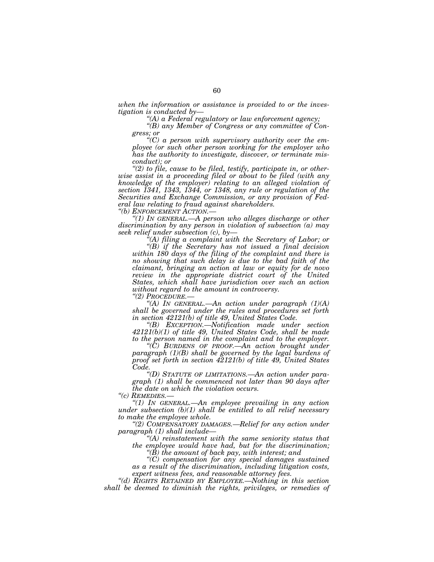*when the information or assistance is provided to or the inves-*

*tigation is conducted by— ''(A) a Federal regulatory or law enforcement agency;*

*''(B) any Member of Congress or any committee of Con-*

*gress; or ''(C) a person with supervisory authority over the employee (or such other person working for the employer who has the authority to investigate, discover, or terminate misconduct); or* 

*''(2) to file, cause to be filed, testify, participate in, or otherwise assist in a proceeding filed or about to be filed (with any knowledge of the employer) relating to an alleged violation of section 1341, 1343, 1344, or 1348, any rule or regulation of the Securities and Exchange Commission, or any provision of Federal law relating to fraud against shareholders.* 

*''(1) IN GENERAL.—A person who alleges discharge or other discrimination by any person in violation of subsection (a) may* 

*f(A) filing a complaint with the Secretary of Labor; or ''(B) if the Secretary has not issued a final decision within 180 days of the filing of the complaint and there is no showing that such delay is due to the bad faith of the claimant, bringing an action at law or equity for de novo review in the appropriate district court of the United States, which shall have jurisdiction over such an action without regard to the amount in controversy.* 

*''(2) PROCEDURE.— ''(A) IN GENERAL.—An action under paragraph (1)(A) shall be governed under the rules and procedures set forth* 

*in section 42121(b) of title 49, United States Code. ''(B) EXCEPTION.—Notification made under section*   $42121(b)(1)$  of title 49, United States Code, shall be made to the person named in the complaint and to the employer.

*to the person name in the person---An action brought under paragraph (1)(B) shall be governed by the legal burdens of proof set forth in section 42121(b) of title 49, United States* 

*Code. ''(D) STATUTE OF LIMITATIONS.—An action under paragraph (1) shall be commenced not later than 90 days after the date on which the violation occurs. ''(c) REMEDIES.—*

*''(1) IN GENERAL.—An employee prevailing in any action under subsection (b)(1) shall be entitled to all relief necessary to make the employee whole.* 

*''(2) COMPENSATORY DAMAGES.—Relief for any action under paragraph (1) shall include—*

*''(A) reinstatement with the same seniority status that the employee would have had, but for the discrimination; ''(B) the amount of back pay, with interest; and* 

*''(C) compensation for any special damages sustained as a result of the discrimination, including litigation costs,* 

*expert witness fees, and reasonable attorney fees. ''(d) RIGHTS RETAINED BY EMPLOYEE.—Nothing in this section shall be deemed to diminish the rights, privileges, or remedies of*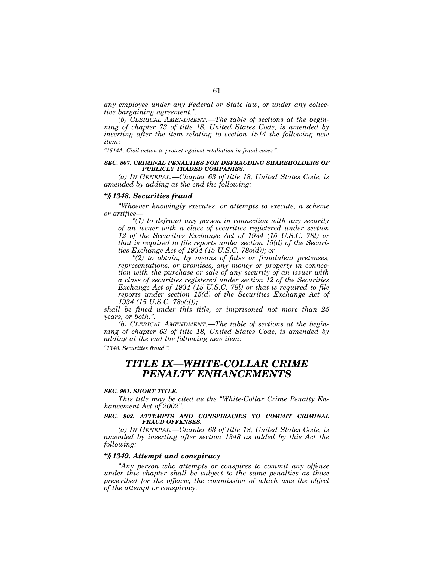*any employee under any Federal or State law, or under any collective bargaining agreement.''.* 

*(b) CLERICAL AMENDMENT.—The table of sections at the beginning of chapter 73 of title 18, United States Code, is amended by inserting after the item relating to section 1514 the following new item:*

*''1514A. Civil action to protect against retaliation in fraud cases.''.*

#### *SEC. 807. CRIMINAL PENALTIES FOR DEFRAUDING SHAREHOLDERS OF PUBLICLY TRADED COMPANIES.*

*(a) IN GENERAL.—Chapter 63 of title 18, United States Code, is amended by adding at the end the following:* 

### *''§ 1348. Securities fraud*

*''Whoever knowingly executes, or attempts to execute, a scheme or artifice—*

*''(1) to defraud any person in connection with any security of an issuer with a class of securities registered under section 12 of the Securities Exchange Act of 1934 (15 U.S.C. 78l) or that is required to file reports under section 15(d) of the Securities Exchange Act of 1934 (15 U.S.C. 78o(d)); or* 

*''(2) to obtain, by means of false or fraudulent pretenses, representations, or promises, any money or property in connection with the purchase or sale of any security of an issuer with a class of securities registered under section 12 of the Securities Exchange Act of 1934 (15 U.S.C. 78l) or that is required to file reports under section 15(d) of the Securities Exchange Act of 1934 (15 U.S.C. 78o(d));* 

*shall be fined under this title, or imprisoned not more than 25 years, or both.''.* 

*(b) CLERICAL AMENDMENT.—The table of sections at the beginning of chapter 63 of title 18, United States Code, is amended by adding at the end the following new item:*

*''1348. Securities fraud.''.*

## *TITLE IX—WHITE-COLLAR CRIME PENALTY ENHANCEMENTS*

#### *SEC. 901. SHORT TITLE.*

*This title may be cited as the ''White-Collar Crime Penalty Enhancement Act of 2002''.* 

### *SEC. 902. ATTEMPTS AND CONSPIRACIES TO COMMIT CRIMINAL FRAUD OFFENSES.*

*(a) IN GENERAL.—Chapter 63 of title 18, United States Code, is amended by inserting after section 1348 as added by this Act the following:* 

## *''§ 1349. Attempt and conspiracy*

*''Any person who attempts or conspires to commit any offense under this chapter shall be subject to the same penalties as those prescribed for the offense, the commission of which was the object of the attempt or conspiracy.*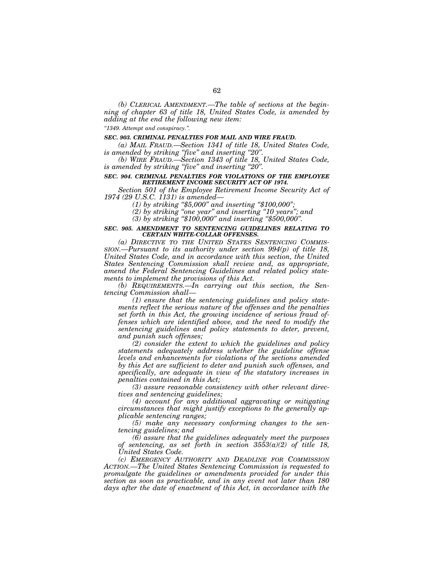*(b) CLERICAL AMENDMENT.—The table of sections at the beginning of chapter 63 of title 18, United States Code, is amended by adding at the end the following new item:*

*''1349. Attempt and conspiracy.''.*

## *SEC. 903. CRIMINAL PENALTIES FOR MAIL AND WIRE FRAUD.*

*(a) MAIL FRAUD.—Section 1341 of title 18, United States Code, is amended by striking ''five'' and inserting ''20''.* 

*(b) WIRE FRAUD.—Section 1343 of title 18, United States Code, is amended by striking ''five'' and inserting ''20''.* 

#### *SEC. 904. CRIMINAL PENALTIES FOR VIOLATIONS OF THE EMPLOYEE RETIREMENT INCOME SECURITY ACT OF 1974.*

*Section 501 of the Employee Retirement Income Security Act of 1974 (29 U.S.C. 1131) is amended—*

*(1) by striking ''\$5,000'' and inserting ''\$100,000'';* 

*(2) by striking ''one year'' and inserting ''10 years''; and* 

*(3) by striking ''\$100,000'' and inserting ''\$500,000''.* 

### *SEC. 905. AMENDMENT TO SENTENCING GUIDELINES RELATING TO CERTAIN WHITE-COLLAR OFFENSES.*

*(a) DIRECTIVE TO THE UNITED STATES SENTENCING COMMIS-SION.—Pursuant to its authority under section 994(p) of title 18, United States Code, and in accordance with this section, the United States Sentencing Commission shall review and, as appropriate, amend the Federal Sentencing Guidelines and related policy statements to implement the provisions of this Act.* 

*(b) REQUIREMENTS.—In carrying out this section, the Sentencing Commission shall—*

*(1) ensure that the sentencing guidelines and policy statements reflect the serious nature of the offenses and the penalties set forth in this Act, the growing incidence of serious fraud offenses which are identified above, and the need to modify the sentencing guidelines and policy statements to deter, prevent, and punish such offenses;* 

*(2) consider the extent to which the guidelines and policy statements adequately address whether the guideline offense levels and enhancements for violations of the sections amended by this Act are sufficient to deter and punish such offenses, and specifically, are adequate in view of the statutory increases in penalties contained in this Act;* 

*(3) assure reasonable consistency with other relevant directives and sentencing guidelines;* 

*(4) account for any additional aggravating or mitigating circumstances that might justify exceptions to the generally applicable sentencing ranges;* 

*(5) make any necessary conforming changes to the sentencing guidelines; and* 

*(6) assure that the guidelines adequately meet the purposes of sentencing, as set forth in section 3553(a)(2) of title 18, United States Code.* 

*(c) EMERGENCY AUTHORITY AND DEADLINE FOR COMMISSION ACTION.—The United States Sentencing Commission is requested to promulgate the guidelines or amendments provided for under this section as soon as practicable, and in any event not later than 180 days after the date of enactment of this Act, in accordance with the*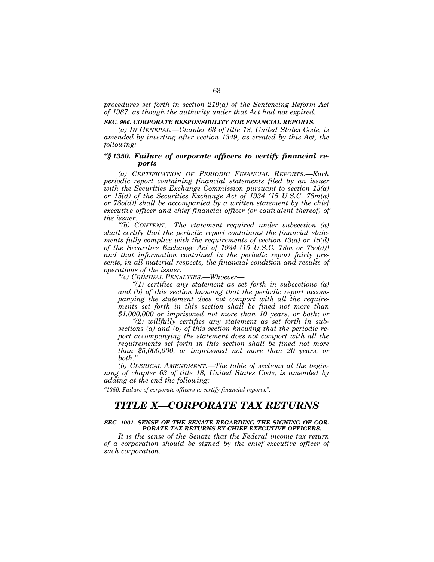*procedures set forth in section 219(a) of the Sentencing Reform Act of 1987, as though the authority under that Act had not expired.* 

## *SEC. 906. CORPORATE RESPONSIBILITY FOR FINANCIAL REPORTS.*

*(a) IN GENERAL.—Chapter 63 of title 18, United States Code, is amended by inserting after section 1349, as created by this Act, the following:* 

## *''§ 1350. Failure of corporate officers to certify financial reports*

*(a) CERTIFICATION OF PERIODIC FINANCIAL REPORTS.—Each periodic report containing financial statements filed by an issuer with the Securities Exchange Commission pursuant to section 13(a) or 15(d) of the Securities Exchange Act of 1934 (15 U.S.C. 78m(a) or 78o(d)) shall be accompanied by a written statement by the chief executive officer and chief financial officer (or equivalent thereof) of the issuer.* 

*''(b) CONTENT.—The statement required under subsection (a) shall certify that the periodic report containing the financial statements fully complies with the requirements of section 13(a) or 15(d) of the Securities Exchange Act of 1934 (15 U.S.C. 78m or 78o(d)) and that information contained in the periodic report fairly presents, in all material respects, the financial condition and results of operations of the issuer.* 

*''(c) CRIMINAL PENALTIES.—Whoever—*

*''(1) certifies any statement as set forth in subsections (a) and (b) of this section knowing that the periodic report accompanying the statement does not comport with all the requirements set forth in this section shall be fined not more than \$1,000,000 or imprisoned not more than 10 years, or both; or* 

*''(2) willfully certifies any statement as set forth in subsections (a) and (b) of this section knowing that the periodic report accompanying the statement does not comport with all the requirements set forth in this section shall be fined not more than \$5,000,000, or imprisoned not more than 20 years, or both.''.* 

*(b) CLERICAL AMENDMENT.—The table of sections at the beginning of chapter 63 of title 18, United States Code, is amended by adding at the end the following:*

*''1350. Failure of corporate officers to certify financial reports.''.*

## *TITLE X—CORPORATE TAX RETURNS*

#### *SEC. 1001. SENSE OF THE SENATE REGARDING THE SIGNING OF COR-PORATE TAX RETURNS BY CHIEF EXECUTIVE OFFICERS.*

*It is the sense of the Senate that the Federal income tax return of a corporation should be signed by the chief executive officer of such corporation.*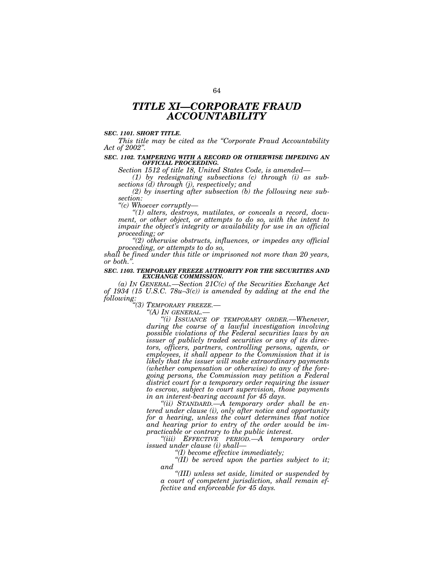## *TITLE XI—CORPORATE FRAUD ACCOUNTABILITY*

## *SEC. 1101. SHORT TITLE.*

*This title may be cited as the ''Corporate Fraud Accountability Act of 2002''.* 

#### *SEC. 1102. TAMPERING WITH A RECORD OR OTHERWISE IMPEDING AN OFFICIAL PROCEEDING.*

*Section 1512 of title 18, United States Code, is amended— (1) by redesignating subsections (c) through (i) as subsections (d) through (j), respectively; and* 

*(2) by inserting after subsection (b) the following new subsection:* 

*''(c) Whoever corruptly— ''(1) alters, destroys, mutilates, or conceals a record, document, or other object, or attempts to do so, with the intent to impair the object's integrity or availability for use in an official proceeding; or ''(2) otherwise obstructs, influences, or impedes any official* 

*proceeding, or attempts to do so,* 

*shall be fined under this title or imprisoned not more than 20 years, or both.''.* 

#### **SEC. 1103. TEMPORARY FREEZE AUTHORITY FOR THE SECURITIES AND** *EXCHANGE COMMISSION.*

*(a) IN GENERAL.—Section 21C(c) of the Securities Exchange Act of 1934 (15 U.S.C. 78u–3(c)) is amended by adding at the end the following: ''(3) TEMPORARY FREEZE.— ''(A) IN GENERAL.— ''(i) ISSUANCE OF TEMPORARY ORDER.—Whenever,* 

*during the course of a lawful investigation involving possible violations of the Federal securities laws by an issuer of publicly traded securities or any of its directors, officers, partners, controlling persons, agents, or employees, it shall appear to the Commission that it is likely that the issuer will make extraordinary payments (whether compensation or otherwise) to any of the foregoing persons, the Commission may petition a Federal district court for a temporary order requiring the issuer to escrow, subject to court supervision, those payments* 

*in STANDARD.—A temporary order shall be entered under clause (i), only after notice and opportunity for a hearing, unless the court determines that notice and hearing prior to entry of the order would be im-*

*practicable or contrary EFFECTIVE PERIOD.—A temporary order issued under clause (i) shall—* 

*if (I) become effective immediately;* 

*''(II) be served upon the parties subject to it;* 

*and ''(III) unless set aside, limited or suspended by a court of competent jurisdiction, shall remain effective and enforceable for 45 days.*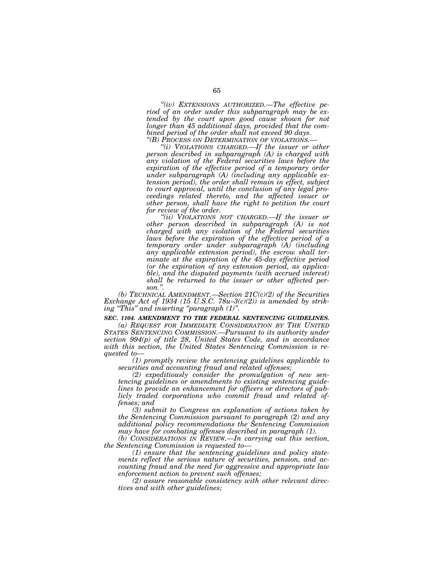*''(iv) EXTENSIONS AUTHORIZED.—The effective period of an order under this subparagraph may be extended by the court upon good cause shown for not longer than 45 additional days, provided that the combined period of the order shall not exceed 90 days.* 

*''(B) PROCESS ON DETERMINATION OF VIOLATIONS.— ''(i) VIOLATIONS CHARGED.—If the issuer or other person described in subparagraph (A) is charged with any violation of the Federal securities laws before the expiration of the effective period of a temporary order under subparagraph (A) (including any applicable extension period), the order shall remain in effect, subject to court approval, until the conclusion of any legal proceedings related thereto, and the affected issuer or other person, shall have the right to petition the court* 

*for <i>fiii)* VIOLATIONS NOT CHARGED.—If the issuer or *other person described in subparagraph (A) is not charged with any violation of the Federal securities laws before the expiration of the effective period of a temporary order under subparagraph (A) (including any applicable extension period), the escrow shall terminate at the expiration of the 45-day effective period (or the expiration of any extension period, as applicable), and the disputed payments (with accrued interest) shall be returned to the issuer or other affected per-*

*(b) TECHNICAL AMENDMENT.—Section 21C(c)(2) of the Securities Exchange Act of 1934 (15 U.S.C. 78u–3(c)(2)) is amended by striking ''This'' and inserting ''paragraph (1)''.* 

#### *SEC. 1104. AMENDMENT TO THE FEDERAL SENTENCING GUIDELINES.*

*(a) REQUEST FOR IMMEDIATE CONSIDERATION BY THE UNITED STATES SENTENCING COMMISSION.—Pursuant to its authority under section 994(p) of title 28, United States Code, and in accordance with this section, the United States Sentencing Commission is requested to—*

*(1) promptly review the sentencing guidelines applicable to securities and accounting fraud and related offenses;* 

*(2) expeditiously consider the promulgation of new sentencing guidelines or amendments to existing sentencing guidelines to provide an enhancement for officers or directors of publicly traded corporations who commit fraud and related offenses; and* 

*(3) submit to Congress an explanation of actions taken by the Sentencing Commission pursuant to paragraph (2) and any additional policy recommendations the Sentencing Commission may have for combating offenses described in paragraph (1).* 

*(b) CONSIDERATIONS IN REVIEW.—In carrying out this section, the Sentencing Commission is requested to—*

*(1) ensure that the sentencing guidelines and policy statements reflect the serious nature of securities, pension, and accounting fraud and the need for aggressive and appropriate law enforcement action to prevent such offenses;* 

*(2) assure reasonable consistency with other relevant directives and with other guidelines;*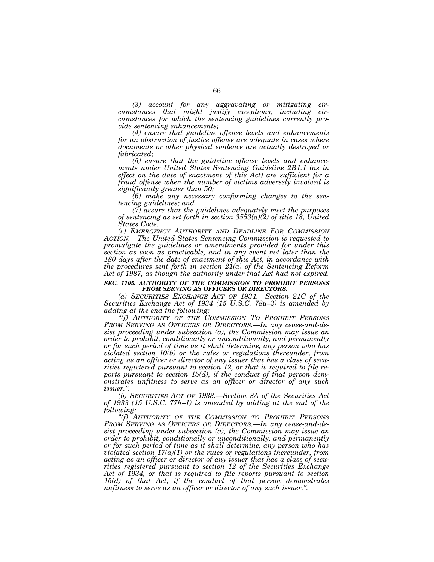*(3) account for any aggravating or mitigating circumstances that might justify exceptions, including circumstances for which the sentencing guidelines currently provide sentencing enhancements;* 

*(4) ensure that guideline offense levels and enhancements for an obstruction of justice offense are adequate in cases where*  documents or other physical evidence are actually destroyed or *fabricated;* 

*(5) ensure that the guideline offense levels and enhancements under United States Sentencing Guideline 2B1.1 (as in effect on the date of enactment of this Act) are sufficient for a fraud offense when the number of victims adversely involved is significantly greater than 50;* 

*(6) make any necessary conforming changes to the sentencing guidelines; and* 

*(7) assure that the guidelines adequately meet the purposes of sentencing as set forth in section 3553(a)(2) of title 18, United States Code.* 

*(c) EMERGENCY AUTHORITY AND DEADLINE FOR COMMISSION ACTION.—The United States Sentencing Commission is requested to promulgate the guidelines or amendments provided for under this section as soon as practicable, and in any event not later than the 180 days after the date of enactment of this Act, in accordance with the procedures sent forth in section 21(a) of the Sentencing Reform Act of 1987, as though the authority under that Act had not expired.* 

#### *SEC. 1105. AUTHORITY OF THE COMMISSION TO PROHIBIT PERSONS FROM SERVING AS OFFICERS OR DIRECTORS.*

*(a) SECURITIES EXCHANGE ACT OF 1934.—Section 21C of the Securities Exchange Act of 1934 (15 U.S.C. 78u–3) is amended by* 

*adding at the end the following: ''(f) AUTHORITY OF THE COMMISSION TO PROHIBIT PERSONS FROM SERVING AS OFFICERS OR DIRECTORS.—In any cease-and-desist proceeding under subsection (a), the Commission may issue an order to prohibit, conditionally or unconditionally, and permanently or for such period of time as it shall determine, any person who has violated section 10(b) or the rules or regulations thereunder, from acting as an officer or director of any issuer that has a class of securities registered pursuant to section 12, or that is required to file reports pursuant to section 15(d), if the conduct of that person demonstrates unfitness to serve as an officer or director of any such issuer.''.* 

*(b) SECURITIES ACT OF 1933.—Section 8A of the Securities Act of 1933 (15 U.S.C. 77h–1) is amended by adding at the end of the following:* 

*''(f) AUTHORITY OF THE COMMISSION TO PROHIBIT PERSONS FROM SERVING AS OFFICERS OR DIRECTORS.—In any cease-and-desist proceeding under subsection (a), the Commission may issue an order to prohibit, conditionally or unconditionally, and permanently or for such period of time as it shall determine, any person who has violated section 17(a)(1) or the rules or regulations thereunder, from acting as an officer or director of any issuer that has a class of securities registered pursuant to section 12 of the Securities Exchange Act of 1934, or that is required to file reports pursuant to section 15(d) of that Act, if the conduct of that person demonstrates unfitness to serve as an officer or director of any such issuer.''.*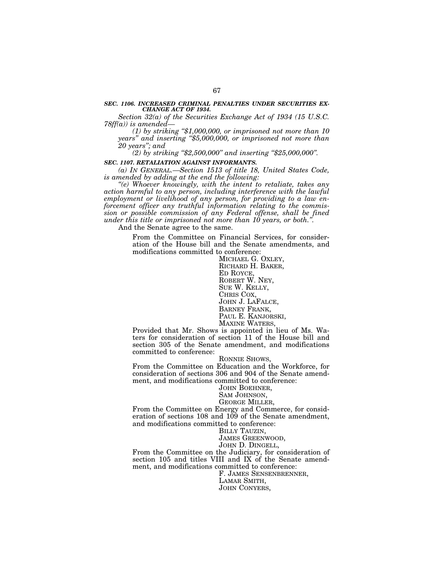#### *SEC. 1106. INCREASED CRIMINAL PENALTIES UNDER SECURITIES EX-CHANGE ACT OF 1934.*

*Section 32(a) of the Securities Exchange Act of 1934 (15 U.S.C. 78ff(a)) is amended—*

*(1) by striking ''\$1,000,000, or imprisoned not more than 10 years'' and inserting ''\$5,000,000, or imprisoned not more than 20 years''; and* 

*(2) by striking ''\$2,500,000'' and inserting ''\$25,000,000''.* 

## *SEC. 1107. RETALIATION AGAINST INFORMANTS.*

*(a) IN GENERAL.—Section 1513 of title 18, United States Code, is amended by adding at the end the following:* 

*''(e) Whoever knowingly, with the intent to retaliate, takes any action harmful to any person, including interference with the lawful employment or livelihood of any person, for providing to a law enforcement officer any truthful information relating to the commission or possible commission of any Federal offense, shall be fined under this title or imprisoned not more than 10 years, or both.*'

And the Senate agree to the same.

From the Committee on Financial Services, for consideration of the House bill and the Senate amendments, and modifications committed to conference:

> MICHAEL G. OXLEY, RICHARD H. BAKER, ED ROYCE, ROBERT W. NEY, SUE W. KELLY, CHRIS COX, JOHN J. LAFALCE, BARNEY FRANK, PAUL E. KANJORSKI, MAXINE WATERS,

Provided that Mr. Shows is appointed in lieu of Ms. Waters for consideration of section 11 of the House bill and section 305 of the Senate amendment, and modifications committed to conference:

RONNIE SHOWS,

From the Committee on Education and the Workforce, for consideration of sections 306 and 904 of the Senate amendment, and modifications committed to conference:

JOHN BOEHNER,

## SAM JOHNSON,

GEORGE MILLER,

From the Committee on Energy and Commerce, for consideration of sections 108 and 109 of the Senate amendment, and modifications committed to conference:

BILLY TAUZIN,

JAMES GREENWOOD,

JOHN D. DINGELL,

From the Committee on the Judiciary, for consideration of section 105 and titles VIII and IX of the Senate amendment, and modifications committed to conference:

F. JAMES SENSENBRENNER, LAMAR SMITH,

JOHN CONYERS,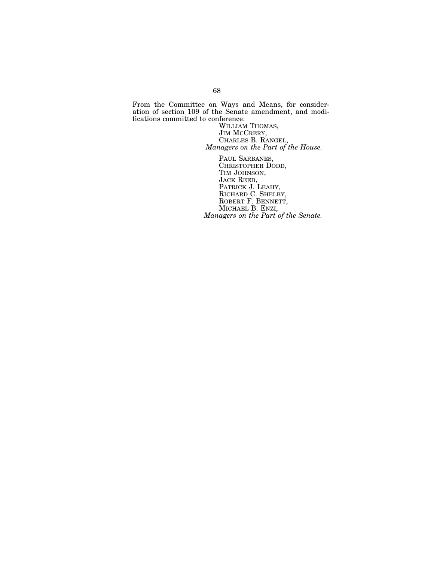From the Committee on Ways and Means, for consideration of section 109 of the Senate amendment, and modifications committed to conference:<br>WILLIAM THOMAS,

WILLIAM THOMAS,<br>JIM MCCRERY,<br>CHARLES B. RANGEL,<br>*Managers on the Part of the House*.

PAUL SARBANES, CHRISTOPHER DODD, TIM JOHNSON, JACK REED, PATRICK J. LEAHY, RICHARD C. SHELBY, ROBERT F. BENNETT, MICHAEL B. ENZI, *Managers on the Part of the Senate.*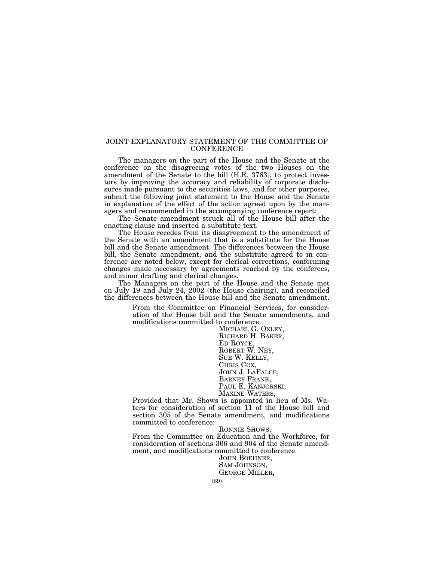## JOINT EXPLANATORY STATEMENT OF THE COMMITTEE OF **CONFERENCE**

The managers on the part of the House and the Senate at the conference on the disagreeing votes of the two Houses on the amendment of the Senate to the bill (H.R. 3763), to protect investors by improving the accuracy and reliability of corporate disclosures made pursuant to the securities laws, and for other purposes, submit the following joint statement to the House and the Senate in explanation of the effect of the action agreed upon by the managers and recommended in the accompanying conference report:

The Senate amendment struck all of the House bill after the enacting clause and inserted a substitute text.

The House recedes from its disagreement to the amendment of the Senate with an amendment that is a substitute for the House bill and the Senate amendment. The differences between the House bill, the Senate amendment, and the substitute agreed to in conference are noted below, except for clerical corrections, conforming changes made necessary by agreements reached by the conferees, and minor drafting and clerical changes.

The Managers on the part of the House and the Senate met on July 19 and July 24, 2002 (the House chairing), and reconciled the differences between the House bill and the Senate amendment.

> From the Committee on Financial Services, for consideration of the House bill and the Senate amendments, and modifications committed to conference:

> > MICHAEL G. OXLEY, RICHARD H. BAKER, ED ROYCE, ROBERT W. NEY, SUE W. KELLY, CHRIS COX, JOHN J. LAFALCE, BARNEY FRANK, PAUL E. KANJORSKI, MAXINE WATERS,

Provided that Mr. Shows is appointed in lieu of Ms. Waters for consideration of section 11 of the House bill and section 305 of the Senate amendment, and modifications committed to conference:

RONNIE SHOWS,

From the Committee on Education and the Workforce, for consideration of sections 306 and 904 of the Senate amendment, and modifications committed to conference:

JOHN BOEHNER, SAM JOHNSON, GEORGE MILLER,